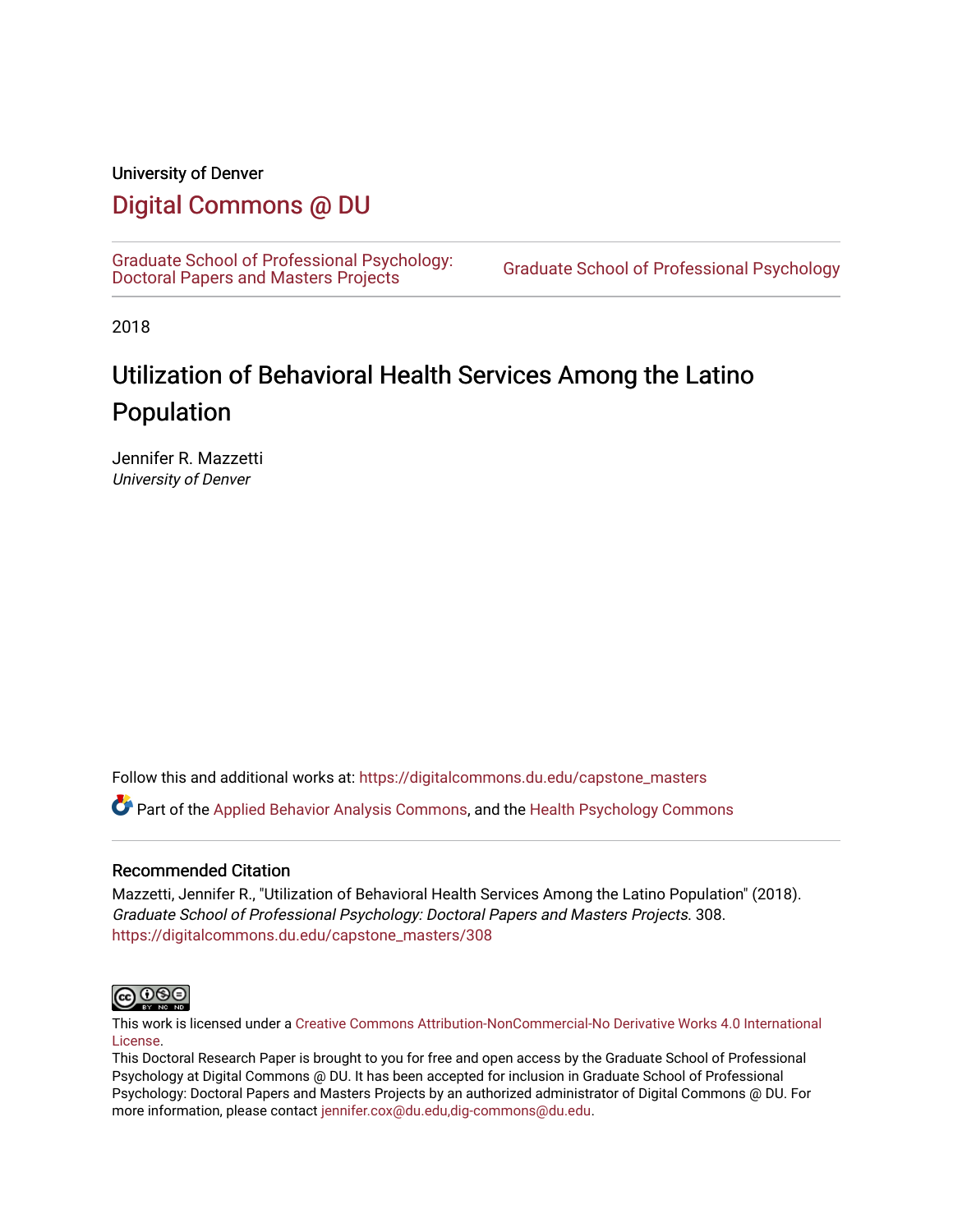#### University of Denver

# [Digital Commons @ DU](https://digitalcommons.du.edu/)

[Graduate School of Professional Psychology:](https://digitalcommons.du.edu/capstone_masters)<br>Doctoral Papers and Masters Projects

Graduate School of Professional Psychology

2018

# Utilization of Behavioral Health Services Among the Latino Population

Jennifer R. Mazzetti University of Denver

Follow this and additional works at: [https://digitalcommons.du.edu/capstone\\_masters](https://digitalcommons.du.edu/capstone_masters?utm_source=digitalcommons.du.edu%2Fcapstone_masters%2F308&utm_medium=PDF&utm_campaign=PDFCoverPages)

Part of the [Applied Behavior Analysis Commons](http://network.bepress.com/hgg/discipline/1235?utm_source=digitalcommons.du.edu%2Fcapstone_masters%2F308&utm_medium=PDF&utm_campaign=PDFCoverPages), and the [Health Psychology Commons](http://network.bepress.com/hgg/discipline/411?utm_source=digitalcommons.du.edu%2Fcapstone_masters%2F308&utm_medium=PDF&utm_campaign=PDFCoverPages) 

#### Recommended Citation

Mazzetti, Jennifer R., "Utilization of Behavioral Health Services Among the Latino Population" (2018). Graduate School of Professional Psychology: Doctoral Papers and Masters Projects. 308. [https://digitalcommons.du.edu/capstone\\_masters/308](https://digitalcommons.du.edu/capstone_masters/308?utm_source=digitalcommons.du.edu%2Fcapstone_masters%2F308&utm_medium=PDF&utm_campaign=PDFCoverPages) 



This work is licensed under a [Creative Commons Attribution-NonCommercial-No Derivative Works 4.0 International](https://creativecommons.org/licenses/by-nc-nd/4.0/) [License.](https://creativecommons.org/licenses/by-nc-nd/4.0/)

This Doctoral Research Paper is brought to you for free and open access by the Graduate School of Professional Psychology at Digital Commons @ DU. It has been accepted for inclusion in Graduate School of Professional Psychology: Doctoral Papers and Masters Projects by an authorized administrator of Digital Commons @ DU. For more information, please contact [jennifer.cox@du.edu,dig-commons@du.edu.](mailto:jennifer.cox@du.edu,dig-commons@du.edu)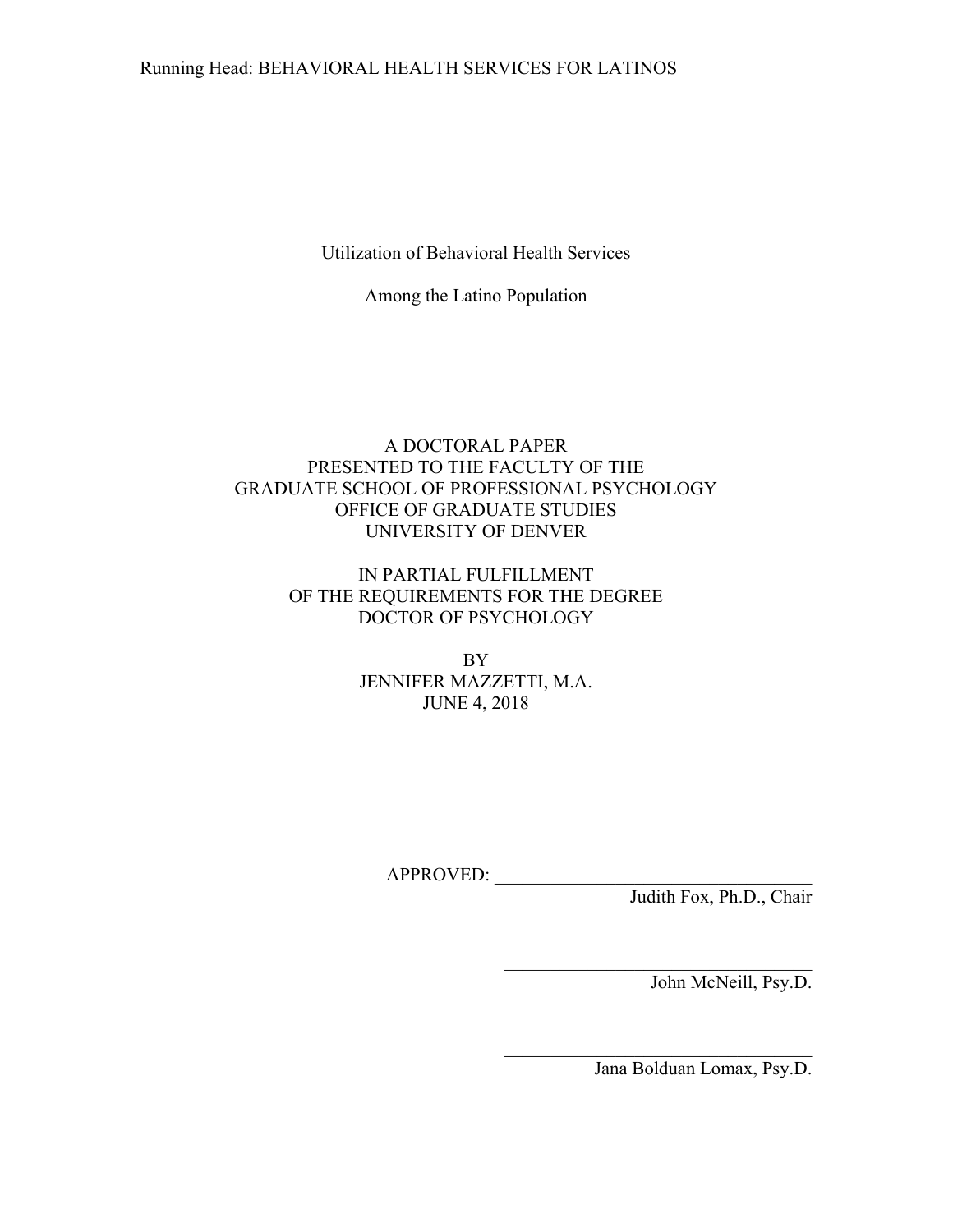## Running Head: BEHAVIORAL HEALTH SERVICES FOR LATINOS

Utilization of Behavioral Health Services

Among the Latino Population

## A DOCTORAL PAPER PRESENTED TO THE FACULTY OF THE GRADUATE SCHOOL OF PROFESSIONAL PSYCHOLOGY OFFICE OF GRADUATE STUDIES UNIVERSITY OF DENVER

## IN PARTIAL FULFILLMENT OF THE REQUIREMENTS FOR THE DEGREE DOCTOR OF PSYCHOLOGY

BY JENNIFER MAZZETTI, M.A. JUNE 4, 2018

APPROVED: \_\_\_\_\_\_\_\_\_\_\_\_\_\_\_\_\_\_\_\_\_\_\_\_\_\_\_\_\_\_\_\_\_\_

Judith Fox, Ph.D., Chair

John McNeill, Psy.D.

Jana Bolduan Lomax, Psy.D.

\_\_\_\_\_\_\_\_\_\_\_\_\_\_\_\_\_\_\_\_\_\_\_\_\_\_\_\_\_\_\_\_\_

\_\_\_\_\_\_\_\_\_\_\_\_\_\_\_\_\_\_\_\_\_\_\_\_\_\_\_\_\_\_\_\_\_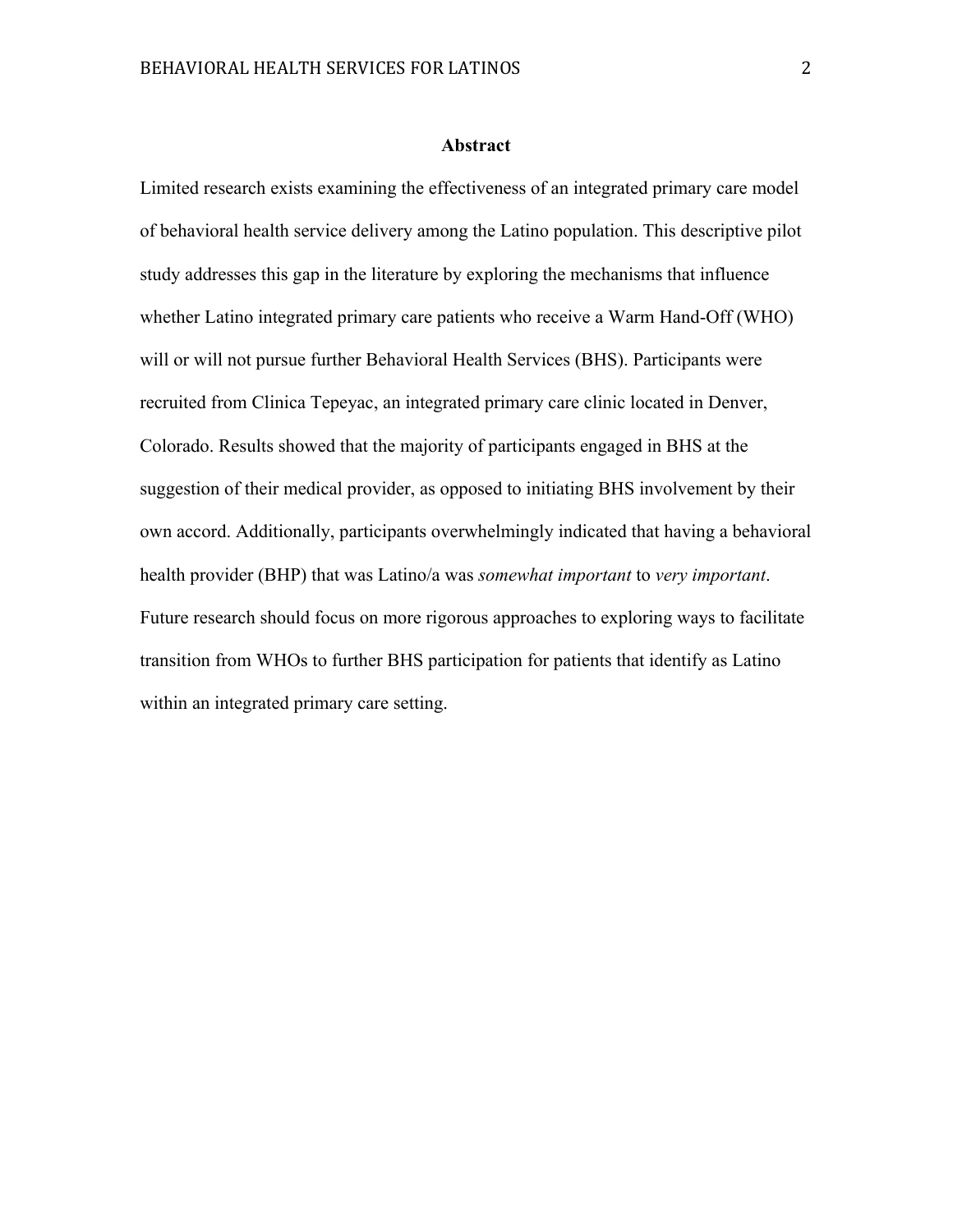#### **Abstract**

Limited research exists examining the effectiveness of an integrated primary care model of behavioral health service delivery among the Latino population. This descriptive pilot study addresses this gap in the literature by exploring the mechanisms that influence whether Latino integrated primary care patients who receive a Warm Hand-Off (WHO) will or will not pursue further Behavioral Health Services (BHS). Participants were recruited from Clinica Tepeyac, an integrated primary care clinic located in Denver, Colorado. Results showed that the majority of participants engaged in BHS at the suggestion of their medical provider, as opposed to initiating BHS involvement by their own accord. Additionally, participants overwhelmingly indicated that having a behavioral health provider (BHP) that was Latino/a was *somewhat important* to *very important*. Future research should focus on more rigorous approaches to exploring ways to facilitate transition from WHOs to further BHS participation for patients that identify as Latino within an integrated primary care setting.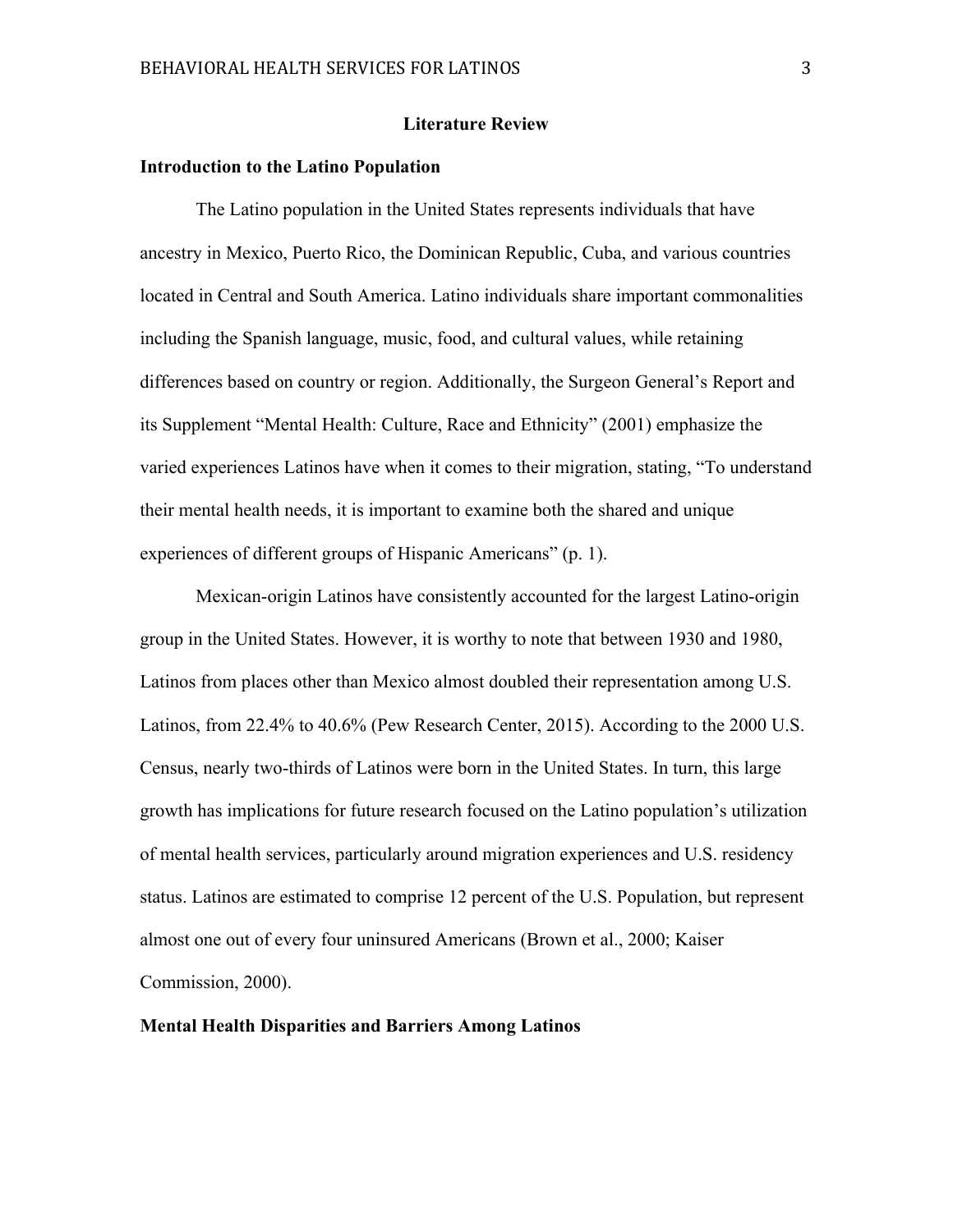#### **Literature Review**

#### **Introduction to the Latino Population**

The Latino population in the United States represents individuals that have ancestry in Mexico, Puerto Rico, the Dominican Republic, Cuba, and various countries located in Central and South America. Latino individuals share important commonalities including the Spanish language, music, food, and cultural values, while retaining differences based on country or region. Additionally, the Surgeon General's Report and its Supplement "Mental Health: Culture, Race and Ethnicity" (2001) emphasize the varied experiences Latinos have when it comes to their migration, stating, "To understand their mental health needs, it is important to examine both the shared and unique experiences of different groups of Hispanic Americans" (p. 1).

Mexican-origin Latinos have consistently accounted for the largest Latino-origin group in the United States. However, it is worthy to note that between 1930 and 1980, Latinos from places other than Mexico almost doubled their representation among U.S. Latinos, from 22.4% to 40.6% (Pew Research Center, 2015). According to the 2000 U.S. Census, nearly two-thirds of Latinos were born in the United States. In turn, this large growth has implications for future research focused on the Latino population's utilization of mental health services, particularly around migration experiences and U.S. residency status. Latinos are estimated to comprise 12 percent of the U.S. Population, but represent almost one out of every four uninsured Americans (Brown et al., 2000; Kaiser Commission, 2000).

### **Mental Health Disparities and Barriers Among Latinos**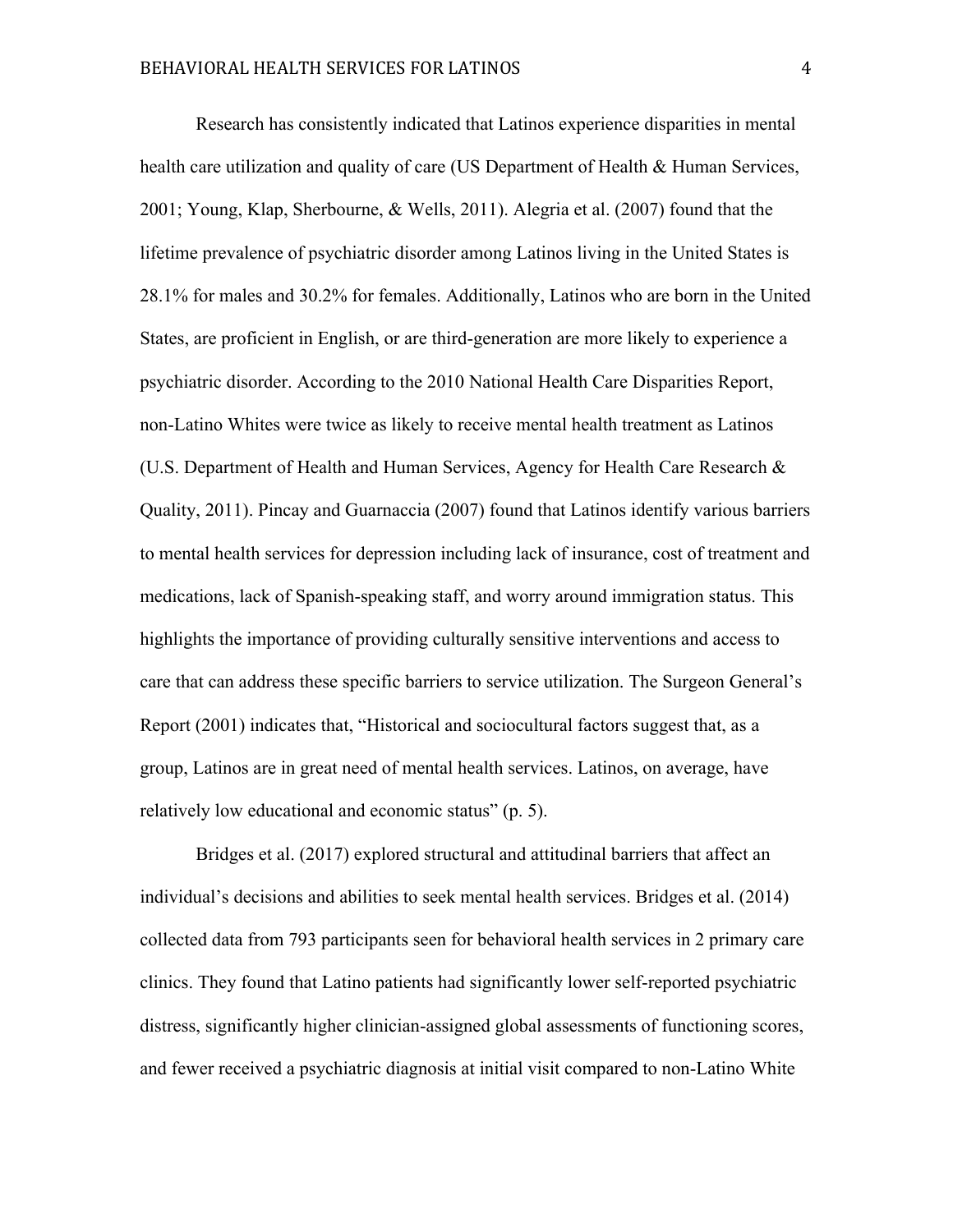Research has consistently indicated that Latinos experience disparities in mental health care utilization and quality of care (US Department of Health & Human Services, 2001; Young, Klap, Sherbourne, & Wells, 2011). Alegria et al. (2007) found that the lifetime prevalence of psychiatric disorder among Latinos living in the United States is 28.1% for males and 30.2% for females. Additionally, Latinos who are born in the United States, are proficient in English, or are third-generation are more likely to experience a psychiatric disorder. According to the 2010 National Health Care Disparities Report, non-Latino Whites were twice as likely to receive mental health treatment as Latinos (U.S. Department of Health and Human Services, Agency for Health Care Research & Quality, 2011). Pincay and Guarnaccia (2007) found that Latinos identify various barriers to mental health services for depression including lack of insurance, cost of treatment and medications, lack of Spanish-speaking staff, and worry around immigration status. This highlights the importance of providing culturally sensitive interventions and access to care that can address these specific barriers to service utilization. The Surgeon General's Report (2001) indicates that, "Historical and sociocultural factors suggest that, as a group, Latinos are in great need of mental health services. Latinos, on average, have relatively low educational and economic status" (p. 5).

Bridges et al. (2017) explored structural and attitudinal barriers that affect an individual's decisions and abilities to seek mental health services. Bridges et al. (2014) collected data from 793 participants seen for behavioral health services in 2 primary care clinics. They found that Latino patients had significantly lower self-reported psychiatric distress, significantly higher clinician-assigned global assessments of functioning scores, and fewer received a psychiatric diagnosis at initial visit compared to non-Latino White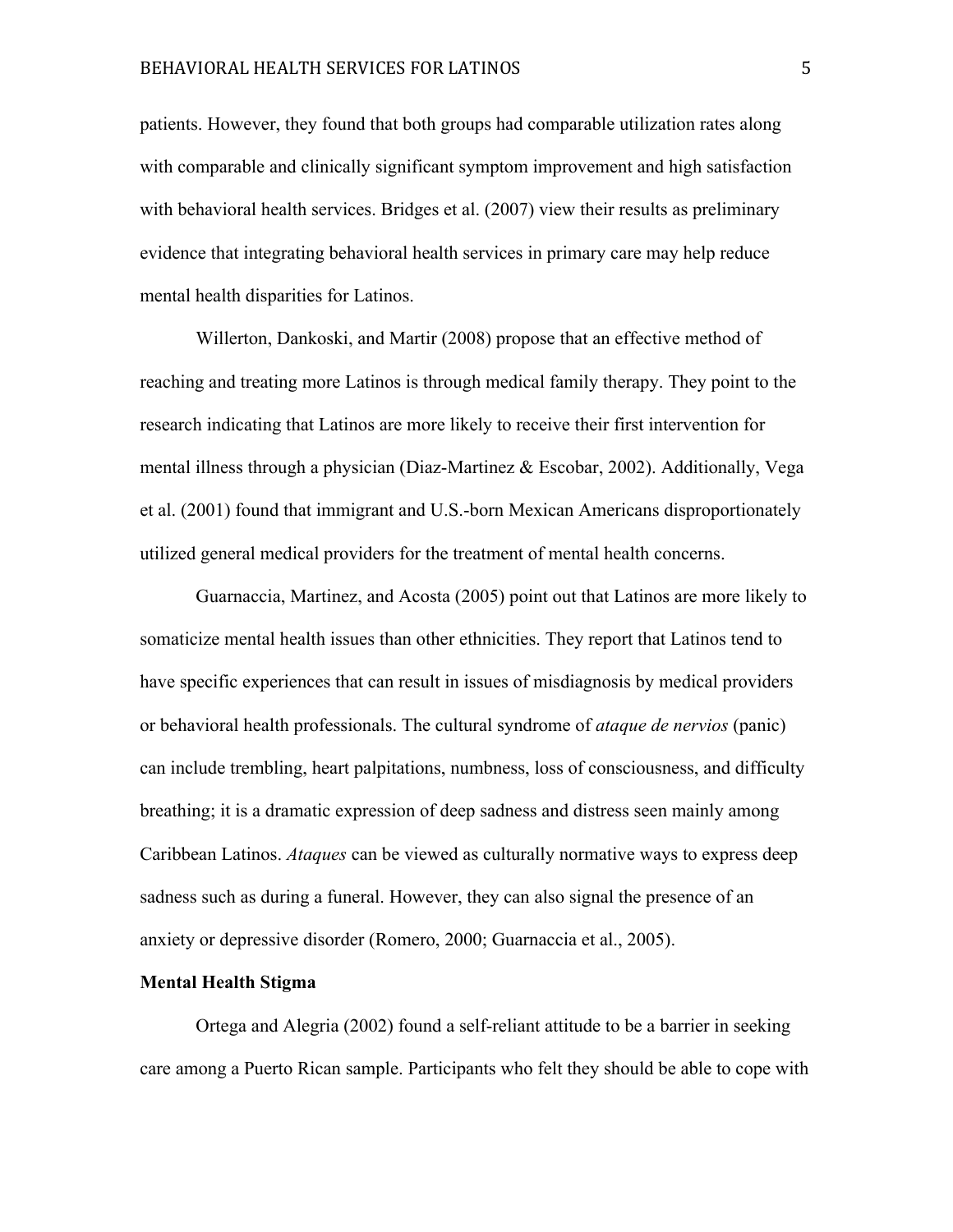## BEHAVIORAL HEALTH SERVICES FOR LATINOS 5

patients. However, they found that both groups had comparable utilization rates along with comparable and clinically significant symptom improvement and high satisfaction with behavioral health services. Bridges et al. (2007) view their results as preliminary evidence that integrating behavioral health services in primary care may help reduce mental health disparities for Latinos.

Willerton, Dankoski, and Martir (2008) propose that an effective method of reaching and treating more Latinos is through medical family therapy. They point to the research indicating that Latinos are more likely to receive their first intervention for mental illness through a physician (Diaz-Martinez  $\&$  Escobar, 2002). Additionally, Vega et al. (2001) found that immigrant and U.S.-born Mexican Americans disproportionately utilized general medical providers for the treatment of mental health concerns.

Guarnaccia, Martinez, and Acosta (2005) point out that Latinos are more likely to somaticize mental health issues than other ethnicities. They report that Latinos tend to have specific experiences that can result in issues of misdiagnosis by medical providers or behavioral health professionals. The cultural syndrome of *ataque de nervios* (panic) can include trembling, heart palpitations, numbness, loss of consciousness, and difficulty breathing; it is a dramatic expression of deep sadness and distress seen mainly among Caribbean Latinos. *Ataques* can be viewed as culturally normative ways to express deep sadness such as during a funeral. However, they can also signal the presence of an anxiety or depressive disorder (Romero, 2000; Guarnaccia et al., 2005).

#### **Mental Health Stigma**

Ortega and Alegria (2002) found a self-reliant attitude to be a barrier in seeking care among a Puerto Rican sample. Participants who felt they should be able to cope with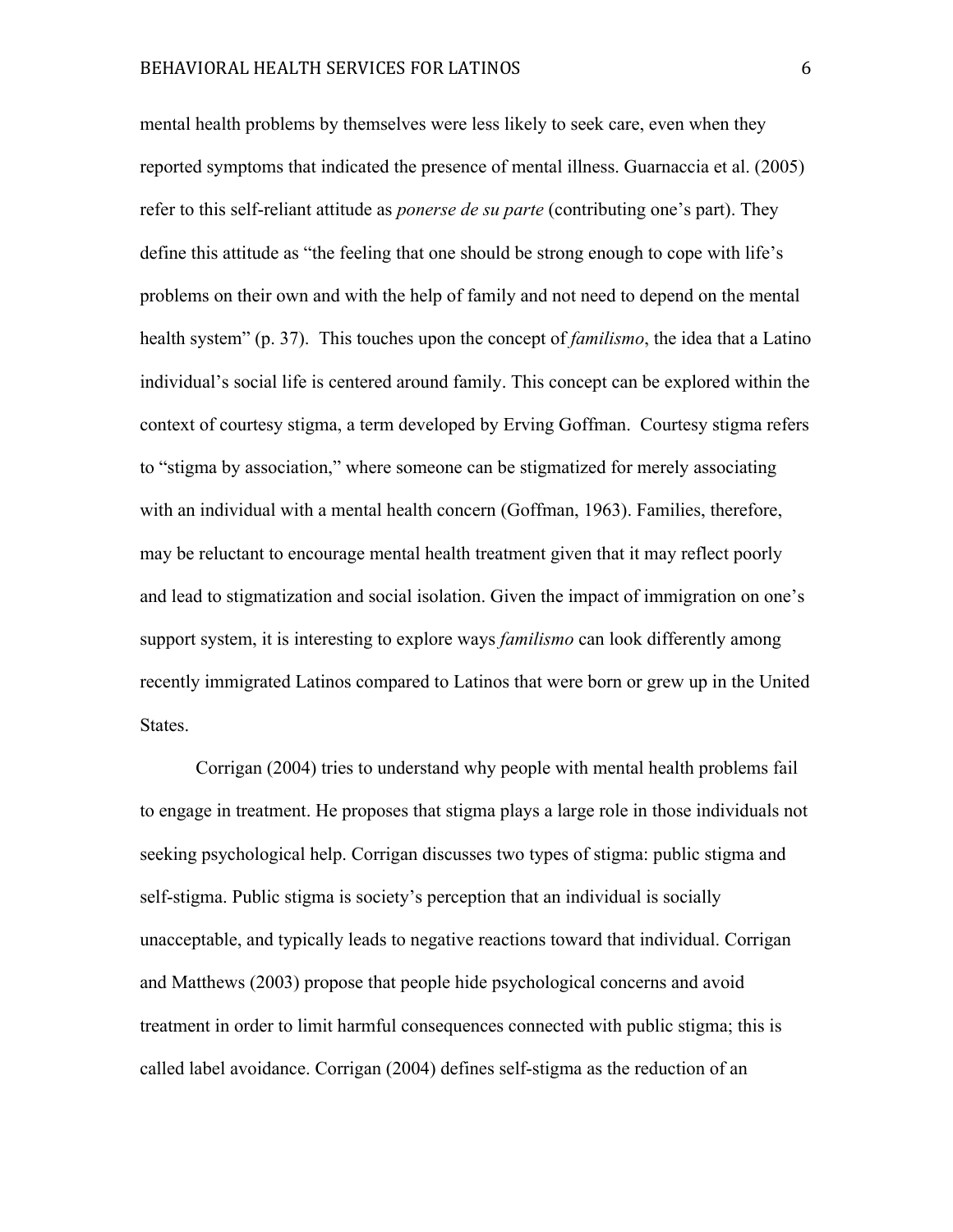mental health problems by themselves were less likely to seek care, even when they reported symptoms that indicated the presence of mental illness. Guarnaccia et al. (2005) refer to this self-reliant attitude as *ponerse de su parte* (contributing one's part). They define this attitude as "the feeling that one should be strong enough to cope with life's problems on their own and with the help of family and not need to depend on the mental health system" (p. 37). This touches upon the concept of *familismo*, the idea that a Latino individual's social life is centered around family. This concept can be explored within the context of courtesy stigma, a term developed by Erving Goffman. Courtesy stigma refers to "stigma by association," where someone can be stigmatized for merely associating with an individual with a mental health concern (Goffman, 1963). Families, therefore, may be reluctant to encourage mental health treatment given that it may reflect poorly and lead to stigmatization and social isolation. Given the impact of immigration on one's support system, it is interesting to explore ways *familismo* can look differently among recently immigrated Latinos compared to Latinos that were born or grew up in the United States.

Corrigan (2004) tries to understand why people with mental health problems fail to engage in treatment. He proposes that stigma plays a large role in those individuals not seeking psychological help. Corrigan discusses two types of stigma: public stigma and self-stigma. Public stigma is society's perception that an individual is socially unacceptable, and typically leads to negative reactions toward that individual. Corrigan and Matthews (2003) propose that people hide psychological concerns and avoid treatment in order to limit harmful consequences connected with public stigma; this is called label avoidance. Corrigan (2004) defines self-stigma as the reduction of an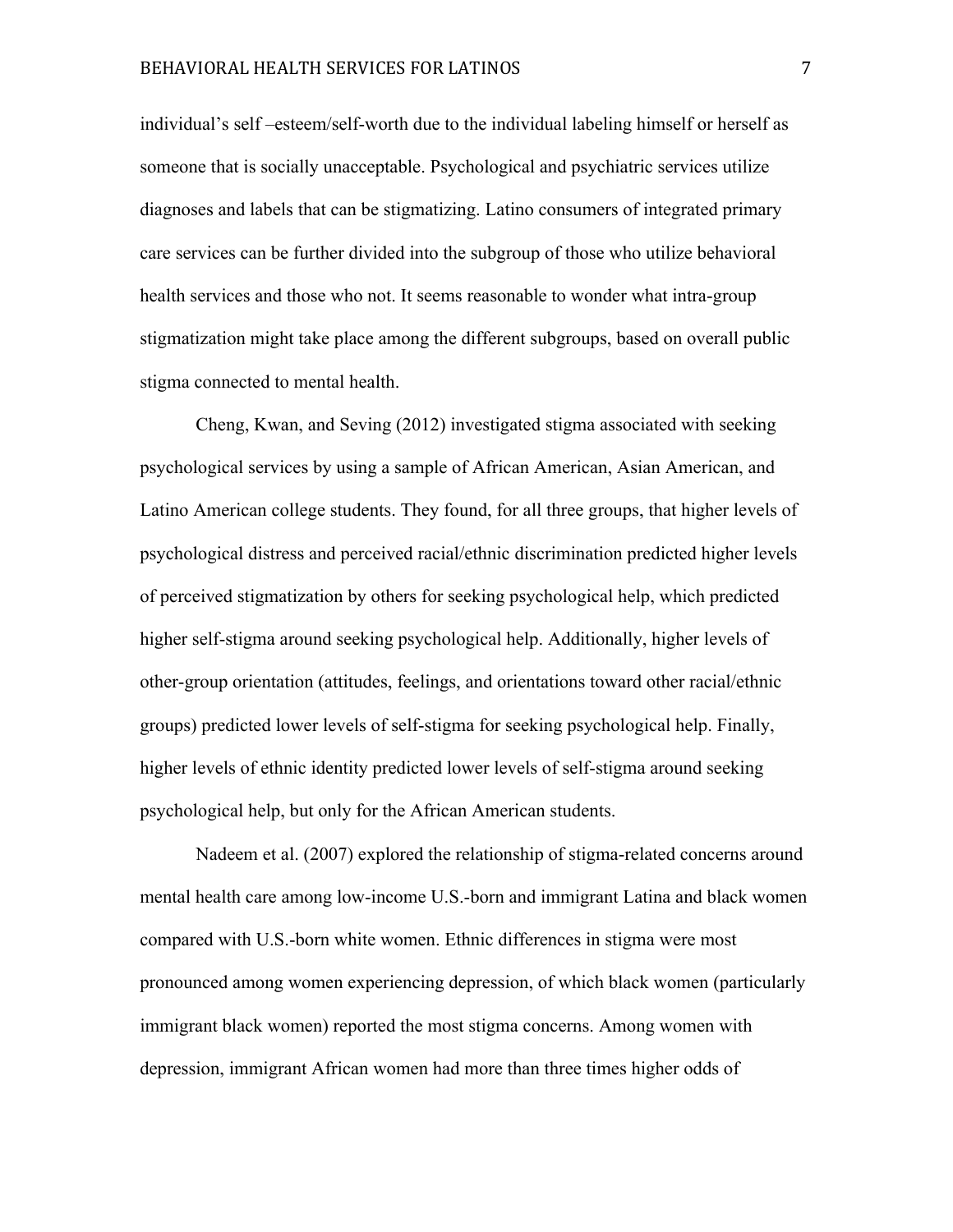individual's self –esteem/self-worth due to the individual labeling himself or herself as someone that is socially unacceptable. Psychological and psychiatric services utilize diagnoses and labels that can be stigmatizing. Latino consumers of integrated primary care services can be further divided into the subgroup of those who utilize behavioral health services and those who not. It seems reasonable to wonder what intra-group stigmatization might take place among the different subgroups, based on overall public stigma connected to mental health.

Cheng, Kwan, and Seving (2012) investigated stigma associated with seeking psychological services by using a sample of African American, Asian American, and Latino American college students. They found, for all three groups, that higher levels of psychological distress and perceived racial/ethnic discrimination predicted higher levels of perceived stigmatization by others for seeking psychological help, which predicted higher self-stigma around seeking psychological help. Additionally, higher levels of other-group orientation (attitudes, feelings, and orientations toward other racial/ethnic groups) predicted lower levels of self-stigma for seeking psychological help. Finally, higher levels of ethnic identity predicted lower levels of self-stigma around seeking psychological help, but only for the African American students.

Nadeem et al. (2007) explored the relationship of stigma-related concerns around mental health care among low-income U.S.-born and immigrant Latina and black women compared with U.S.-born white women. Ethnic differences in stigma were most pronounced among women experiencing depression, of which black women (particularly immigrant black women) reported the most stigma concerns. Among women with depression, immigrant African women had more than three times higher odds of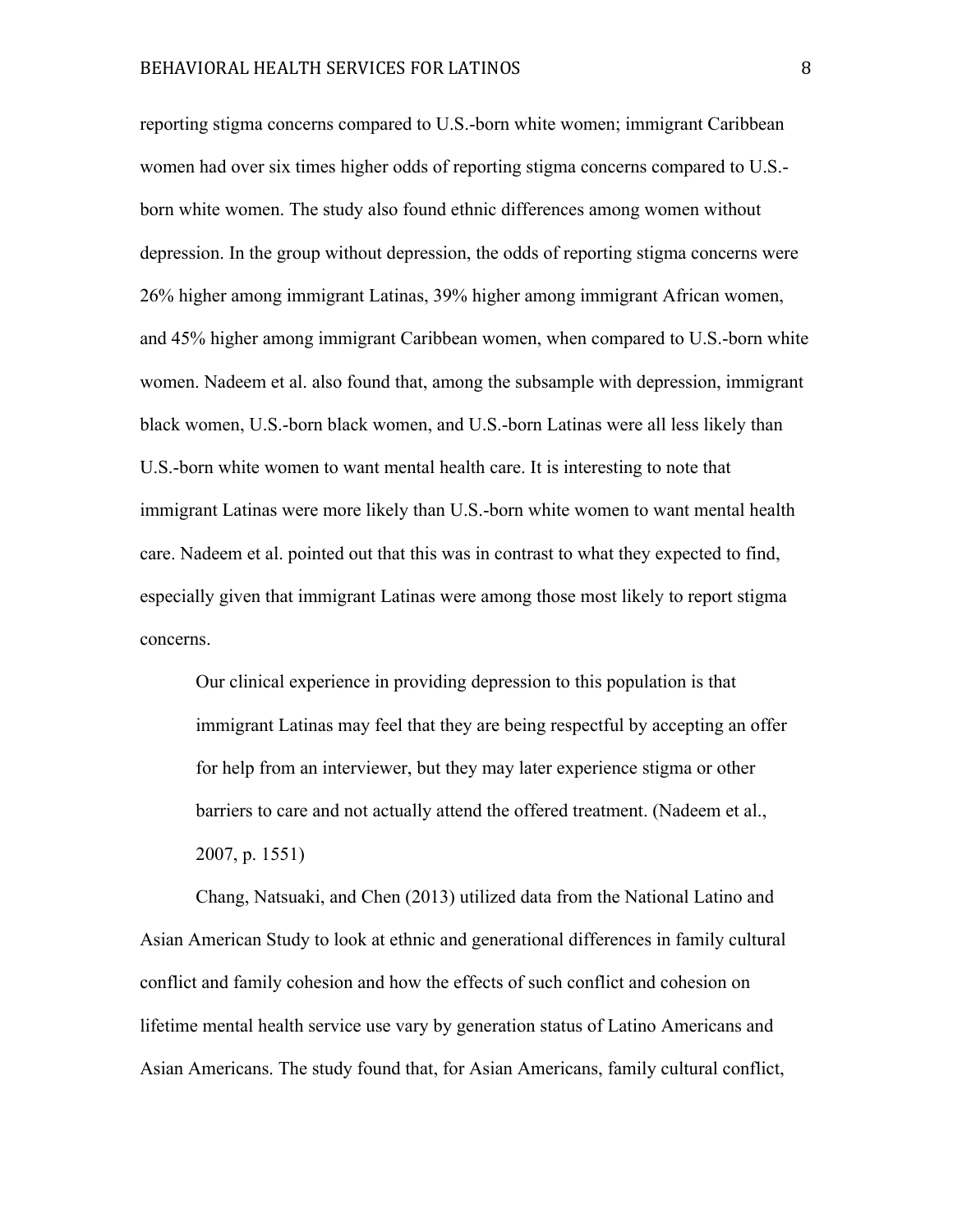reporting stigma concerns compared to U.S.-born white women; immigrant Caribbean women had over six times higher odds of reporting stigma concerns compared to U.S. born white women. The study also found ethnic differences among women without depression. In the group without depression, the odds of reporting stigma concerns were 26% higher among immigrant Latinas, 39% higher among immigrant African women, and 45% higher among immigrant Caribbean women, when compared to U.S.-born white women. Nadeem et al. also found that, among the subsample with depression, immigrant black women, U.S.-born black women, and U.S.-born Latinas were all less likely than U.S.-born white women to want mental health care. It is interesting to note that immigrant Latinas were more likely than U.S.-born white women to want mental health care. Nadeem et al. pointed out that this was in contrast to what they expected to find, especially given that immigrant Latinas were among those most likely to report stigma concerns.

Our clinical experience in providing depression to this population is that immigrant Latinas may feel that they are being respectful by accepting an offer for help from an interviewer, but they may later experience stigma or other barriers to care and not actually attend the offered treatment. (Nadeem et al., 2007, p. 1551)

Chang, Natsuaki, and Chen (2013) utilized data from the National Latino and Asian American Study to look at ethnic and generational differences in family cultural conflict and family cohesion and how the effects of such conflict and cohesion on lifetime mental health service use vary by generation status of Latino Americans and Asian Americans. The study found that, for Asian Americans, family cultural conflict,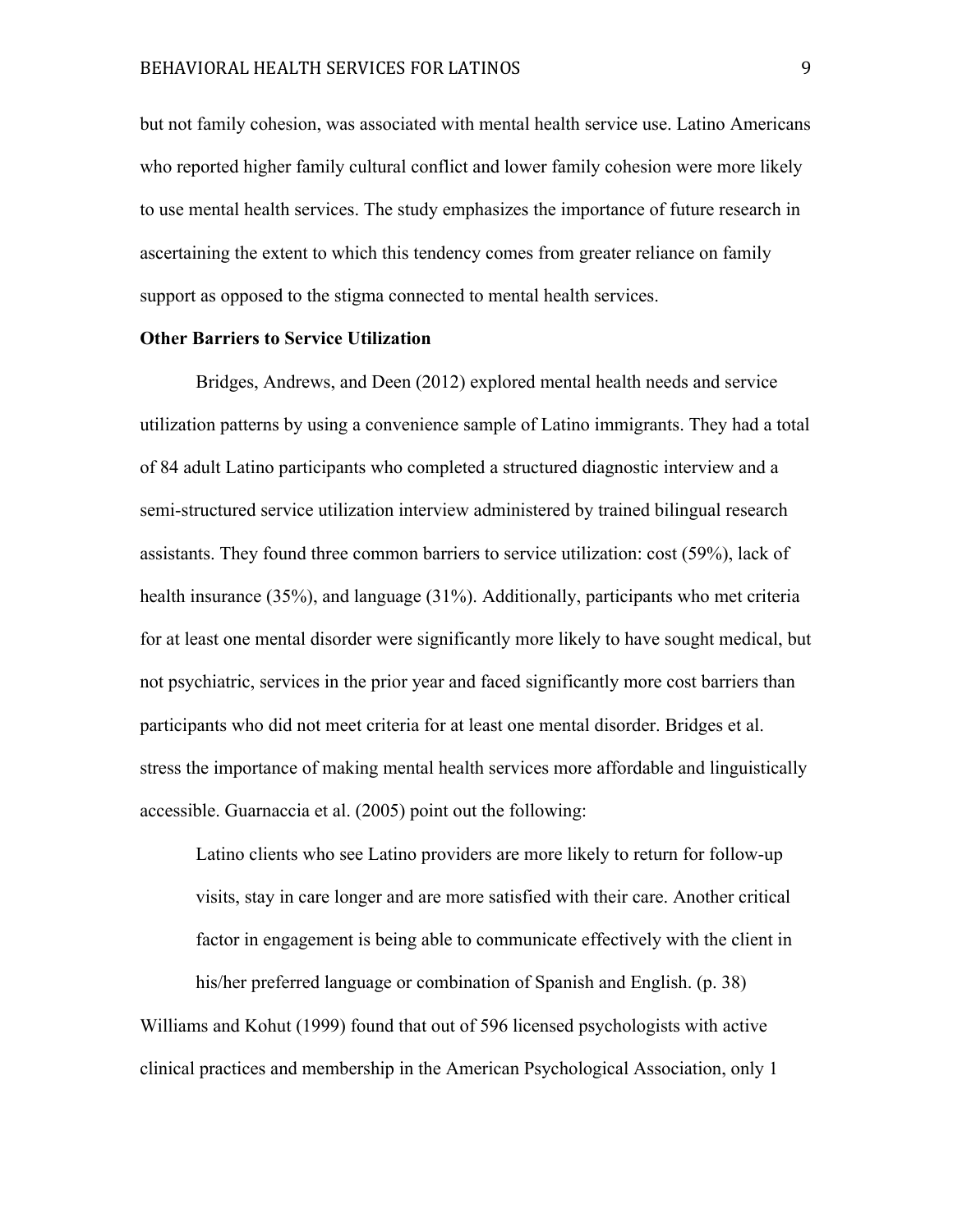but not family cohesion, was associated with mental health service use. Latino Americans who reported higher family cultural conflict and lower family cohesion were more likely to use mental health services. The study emphasizes the importance of future research in ascertaining the extent to which this tendency comes from greater reliance on family support as opposed to the stigma connected to mental health services.

#### **Other Barriers to Service Utilization**

Bridges, Andrews, and Deen (2012) explored mental health needs and service utilization patterns by using a convenience sample of Latino immigrants. They had a total of 84 adult Latino participants who completed a structured diagnostic interview and a semi-structured service utilization interview administered by trained bilingual research assistants. They found three common barriers to service utilization: cost (59%), lack of health insurance (35%), and language (31%). Additionally, participants who met criteria for at least one mental disorder were significantly more likely to have sought medical, but not psychiatric, services in the prior year and faced significantly more cost barriers than participants who did not meet criteria for at least one mental disorder. Bridges et al. stress the importance of making mental health services more affordable and linguistically accessible. Guarnaccia et al. (2005) point out the following:

Latino clients who see Latino providers are more likely to return for follow-up visits, stay in care longer and are more satisfied with their care. Another critical factor in engagement is being able to communicate effectively with the client in his/her preferred language or combination of Spanish and English. (p. 38) Williams and Kohut (1999) found that out of 596 licensed psychologists with active clinical practices and membership in the American Psychological Association, only 1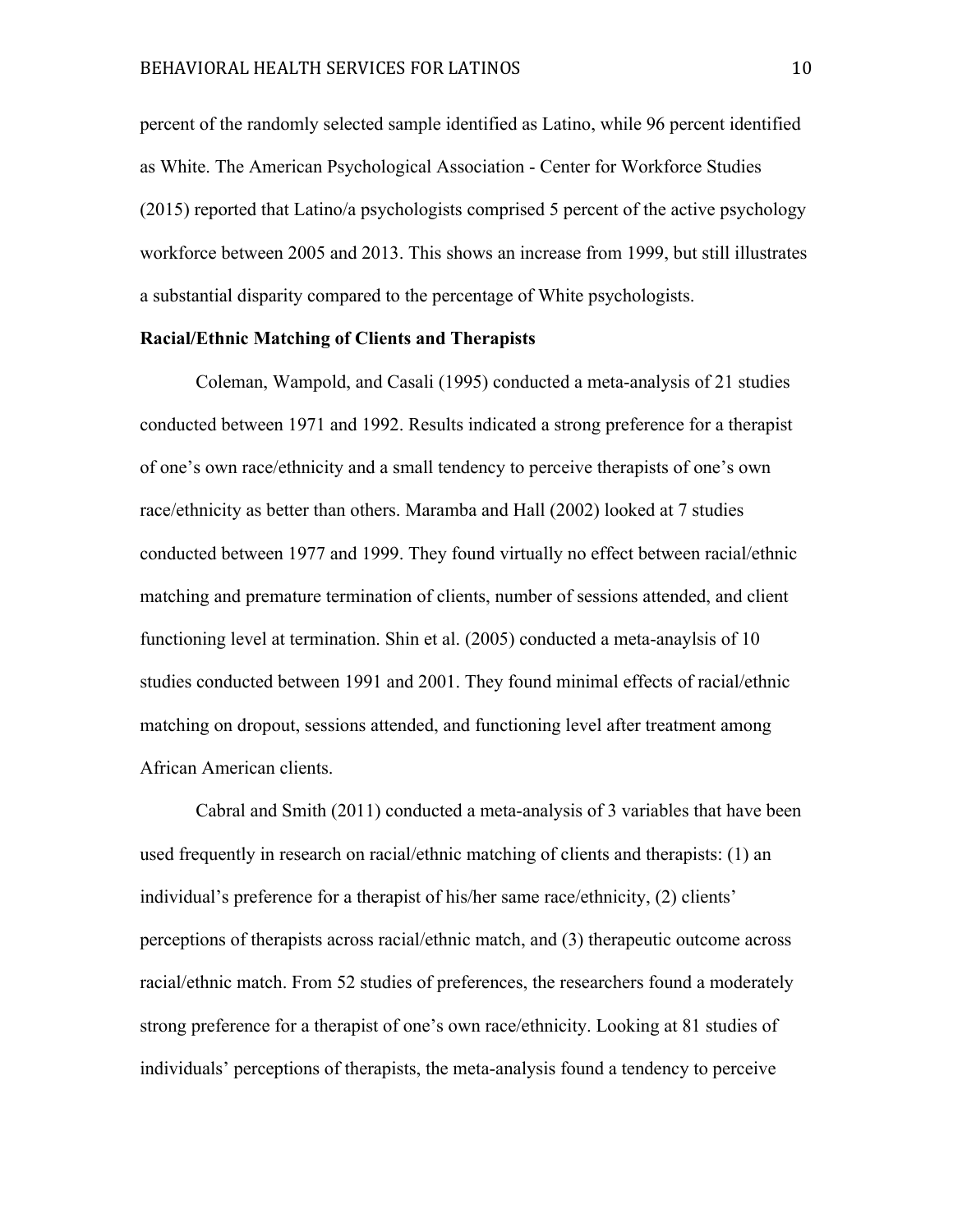percent of the randomly selected sample identified as Latino, while 96 percent identified as White. The American Psychological Association - Center for Workforce Studies (2015) reported that Latino/a psychologists comprised 5 percent of the active psychology workforce between 2005 and 2013. This shows an increase from 1999, but still illustrates a substantial disparity compared to the percentage of White psychologists.

#### **Racial/Ethnic Matching of Clients and Therapists**

Coleman, Wampold, and Casali (1995) conducted a meta-analysis of 21 studies conducted between 1971 and 1992. Results indicated a strong preference for a therapist of one's own race/ethnicity and a small tendency to perceive therapists of one's own race/ethnicity as better than others. Maramba and Hall (2002) looked at 7 studies conducted between 1977 and 1999. They found virtually no effect between racial/ethnic matching and premature termination of clients, number of sessions attended, and client functioning level at termination. Shin et al. (2005) conducted a meta-anaylsis of 10 studies conducted between 1991 and 2001. They found minimal effects of racial/ethnic matching on dropout, sessions attended, and functioning level after treatment among African American clients.

Cabral and Smith (2011) conducted a meta-analysis of 3 variables that have been used frequently in research on racial/ethnic matching of clients and therapists: (1) an individual's preference for a therapist of his/her same race/ethnicity, (2) clients' perceptions of therapists across racial/ethnic match, and (3) therapeutic outcome across racial/ethnic match. From 52 studies of preferences, the researchers found a moderately strong preference for a therapist of one's own race/ethnicity. Looking at 81 studies of individuals' perceptions of therapists, the meta-analysis found a tendency to perceive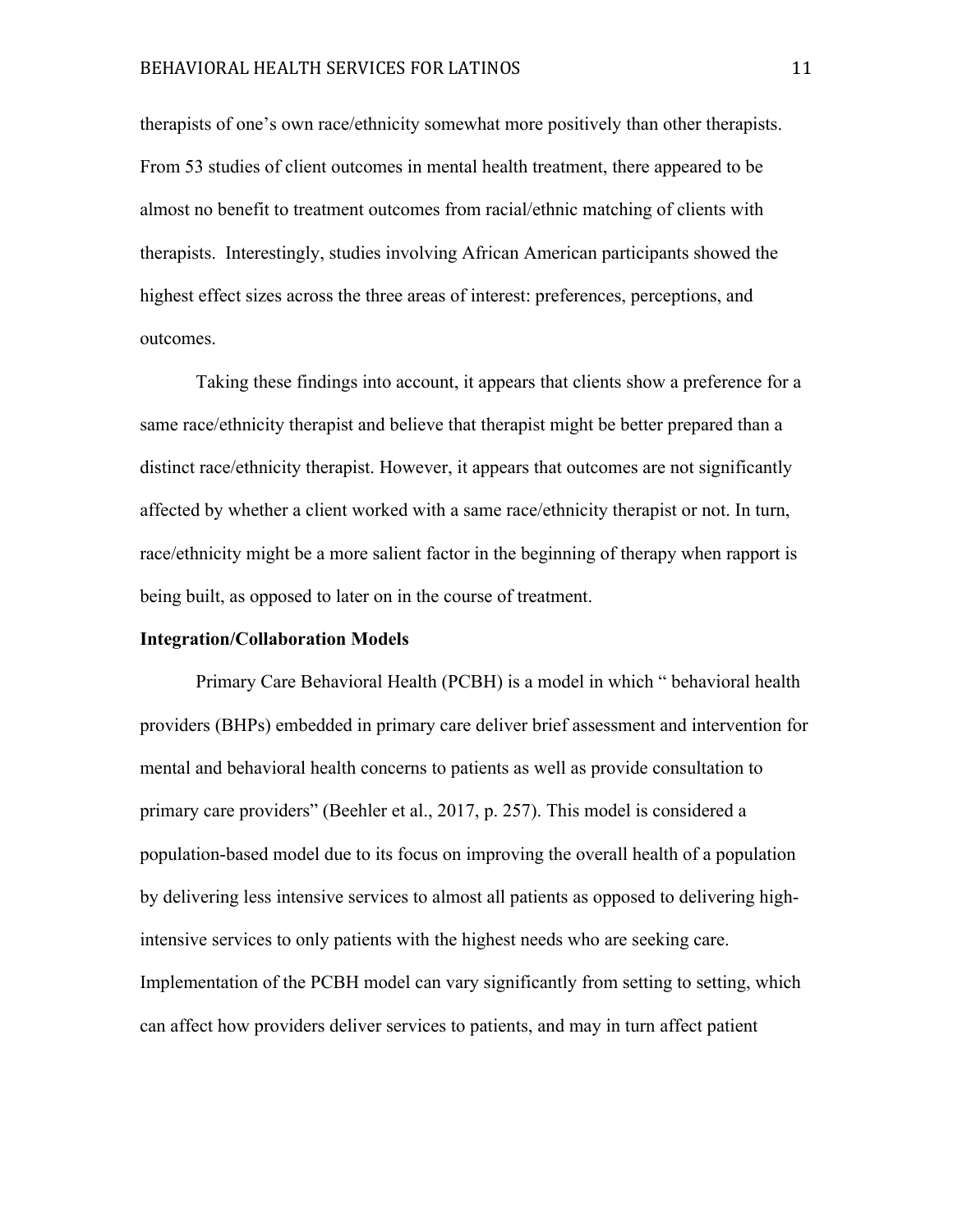## BEHAVIORAL HEALTH SERVICES FOR LATINOS 11

therapists of one's own race/ethnicity somewhat more positively than other therapists. From 53 studies of client outcomes in mental health treatment, there appeared to be almost no benefit to treatment outcomes from racial/ethnic matching of clients with therapists. Interestingly, studies involving African American participants showed the highest effect sizes across the three areas of interest: preferences, perceptions, and outcomes.

Taking these findings into account, it appears that clients show a preference for a same race/ethnicity therapist and believe that therapist might be better prepared than a distinct race/ethnicity therapist. However, it appears that outcomes are not significantly affected by whether a client worked with a same race/ethnicity therapist or not. In turn, race/ethnicity might be a more salient factor in the beginning of therapy when rapport is being built, as opposed to later on in the course of treatment.

#### **Integration/Collaboration Models**

Primary Care Behavioral Health (PCBH) is a model in which " behavioral health providers (BHPs) embedded in primary care deliver brief assessment and intervention for mental and behavioral health concerns to patients as well as provide consultation to primary care providers" (Beehler et al., 2017, p. 257). This model is considered a population-based model due to its focus on improving the overall health of a population by delivering less intensive services to almost all patients as opposed to delivering highintensive services to only patients with the highest needs who are seeking care. Implementation of the PCBH model can vary significantly from setting to setting, which can affect how providers deliver services to patients, and may in turn affect patient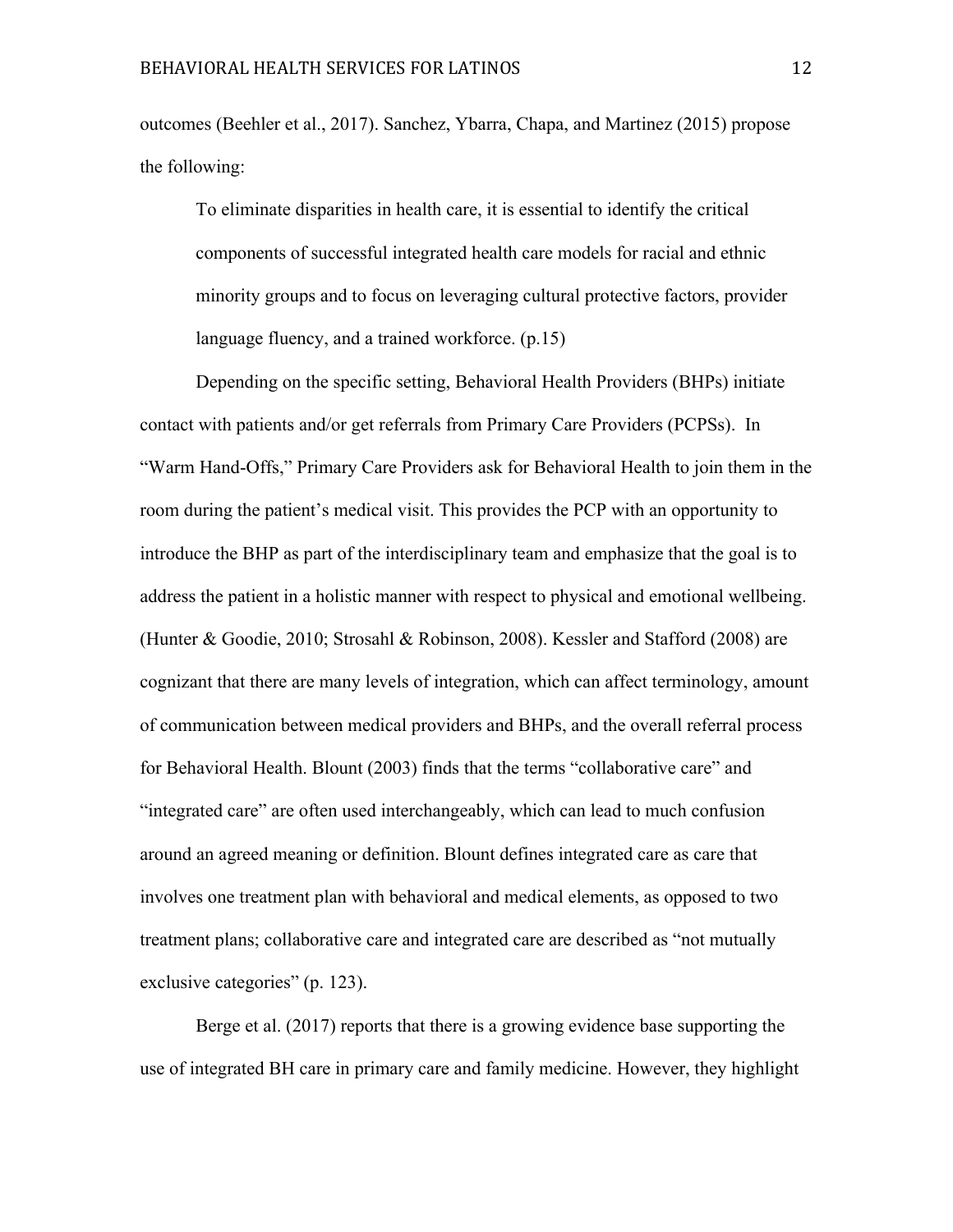outcomes (Beehler et al., 2017). Sanchez, Ybarra, Chapa, and Martinez (2015) propose the following:

To eliminate disparities in health care, it is essential to identify the critical components of successful integrated health care models for racial and ethnic minority groups and to focus on leveraging cultural protective factors, provider language fluency, and a trained workforce. (p.15)

Depending on the specific setting, Behavioral Health Providers (BHPs) initiate contact with patients and/or get referrals from Primary Care Providers (PCPSs). In "Warm Hand-Offs," Primary Care Providers ask for Behavioral Health to join them in the room during the patient's medical visit. This provides the PCP with an opportunity to introduce the BHP as part of the interdisciplinary team and emphasize that the goal is to address the patient in a holistic manner with respect to physical and emotional wellbeing. (Hunter & Goodie, 2010; Strosahl & Robinson, 2008). Kessler and Stafford (2008) are cognizant that there are many levels of integration, which can affect terminology, amount of communication between medical providers and BHPs, and the overall referral process for Behavioral Health. Blount (2003) finds that the terms "collaborative care" and "integrated care" are often used interchangeably, which can lead to much confusion around an agreed meaning or definition. Blount defines integrated care as care that involves one treatment plan with behavioral and medical elements, as opposed to two treatment plans; collaborative care and integrated care are described as "not mutually exclusive categories" (p. 123).

Berge et al. (2017) reports that there is a growing evidence base supporting the use of integrated BH care in primary care and family medicine. However, they highlight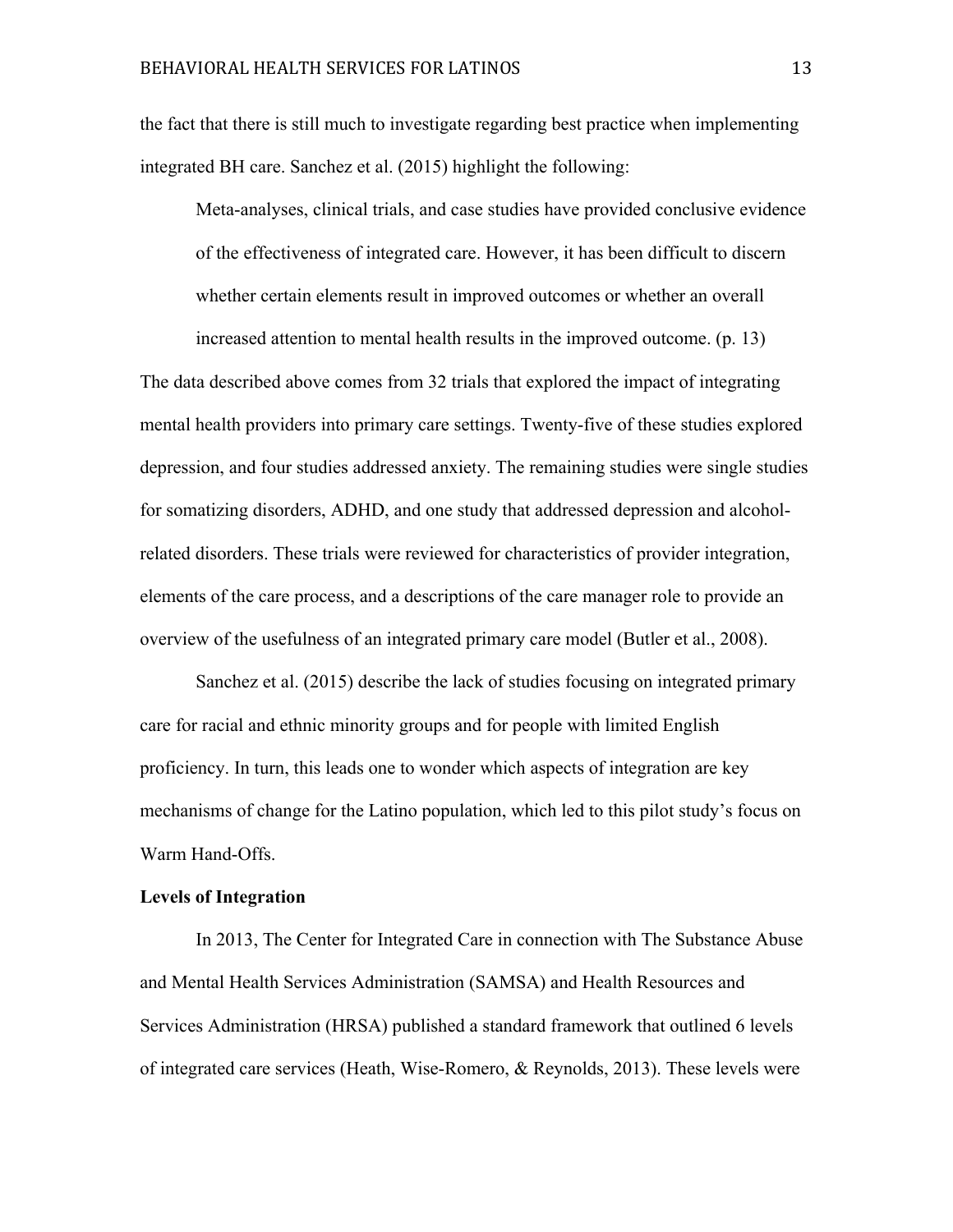the fact that there is still much to investigate regarding best practice when implementing integrated BH care. Sanchez et al. (2015) highlight the following:

Meta-analyses, clinical trials, and case studies have provided conclusive evidence of the effectiveness of integrated care. However, it has been difficult to discern whether certain elements result in improved outcomes or whether an overall

increased attention to mental health results in the improved outcome. (p. 13)

The data described above comes from 32 trials that explored the impact of integrating mental health providers into primary care settings. Twenty-five of these studies explored depression, and four studies addressed anxiety. The remaining studies were single studies for somatizing disorders, ADHD, and one study that addressed depression and alcoholrelated disorders. These trials were reviewed for characteristics of provider integration, elements of the care process, and a descriptions of the care manager role to provide an overview of the usefulness of an integrated primary care model (Butler et al., 2008).

Sanchez et al. (2015) describe the lack of studies focusing on integrated primary care for racial and ethnic minority groups and for people with limited English proficiency. In turn, this leads one to wonder which aspects of integration are key mechanisms of change for the Latino population, which led to this pilot study's focus on Warm Hand-Offs.

#### **Levels of Integration**

In 2013, The Center for Integrated Care in connection with The Substance Abuse and Mental Health Services Administration (SAMSA) and Health Resources and Services Administration (HRSA) published a standard framework that outlined 6 levels of integrated care services (Heath, Wise-Romero, & Reynolds, 2013). These levels were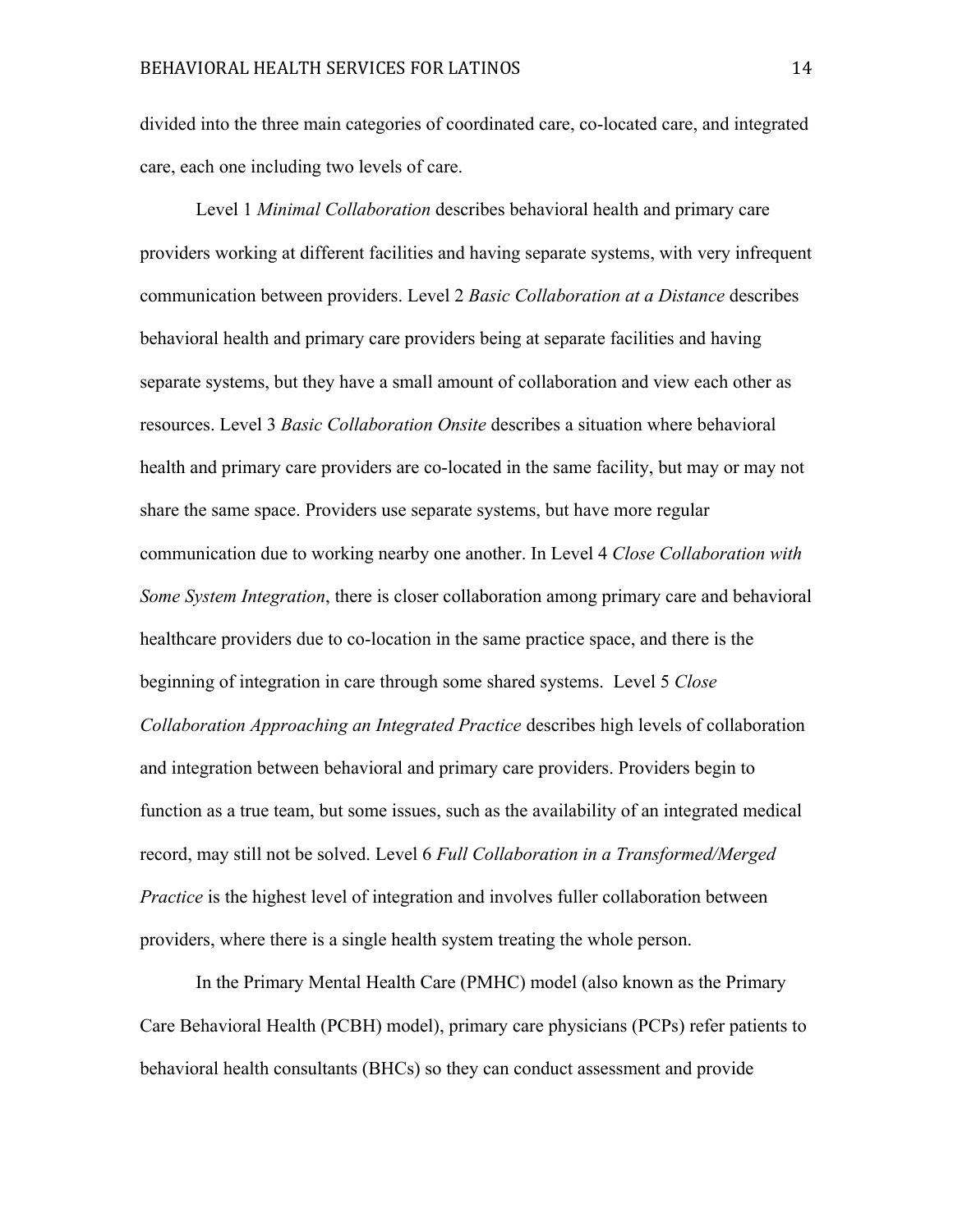divided into the three main categories of coordinated care, co-located care, and integrated care, each one including two levels of care.

Level 1 *Minimal Collaboration* describes behavioral health and primary care providers working at different facilities and having separate systems, with very infrequent communication between providers. Level 2 *Basic Collaboration at a Distance* describes behavioral health and primary care providers being at separate facilities and having separate systems, but they have a small amount of collaboration and view each other as resources. Level 3 *Basic Collaboration Onsite* describes a situation where behavioral health and primary care providers are co-located in the same facility, but may or may not share the same space. Providers use separate systems, but have more regular communication due to working nearby one another. In Level 4 *Close Collaboration with Some System Integration*, there is closer collaboration among primary care and behavioral healthcare providers due to co-location in the same practice space, and there is the beginning of integration in care through some shared systems. Level 5 *Close Collaboration Approaching an Integrated Practice* describes high levels of collaboration and integration between behavioral and primary care providers. Providers begin to function as a true team, but some issues, such as the availability of an integrated medical record, may still not be solved. Level 6 *Full Collaboration in a Transformed/Merged Practice* is the highest level of integration and involves fuller collaboration between providers, where there is a single health system treating the whole person.

In the Primary Mental Health Care (PMHC) model (also known as the Primary Care Behavioral Health (PCBH) model), primary care physicians (PCPs) refer patients to behavioral health consultants (BHCs) so they can conduct assessment and provide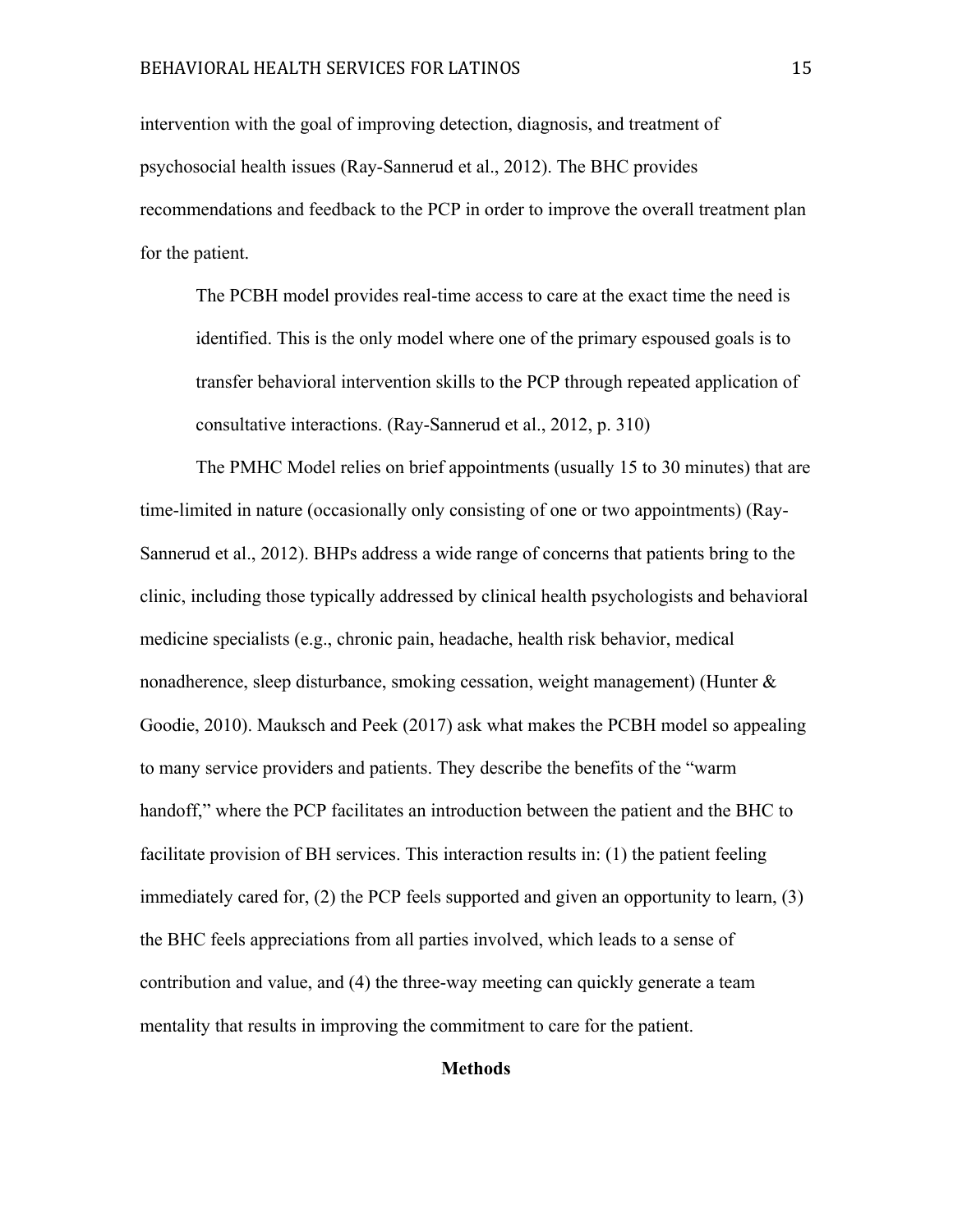intervention with the goal of improving detection, diagnosis, and treatment of psychosocial health issues (Ray-Sannerud et al., 2012). The BHC provides recommendations and feedback to the PCP in order to improve the overall treatment plan for the patient.

The PCBH model provides real-time access to care at the exact time the need is identified. This is the only model where one of the primary espoused goals is to transfer behavioral intervention skills to the PCP through repeated application of consultative interactions. (Ray-Sannerud et al., 2012, p. 310)

The PMHC Model relies on brief appointments (usually 15 to 30 minutes) that are time-limited in nature (occasionally only consisting of one or two appointments) (Ray-Sannerud et al., 2012). BHPs address a wide range of concerns that patients bring to the clinic, including those typically addressed by clinical health psychologists and behavioral medicine specialists (e.g., chronic pain, headache, health risk behavior, medical nonadherence, sleep disturbance, smoking cessation, weight management) (Hunter  $\&$ Goodie, 2010). Mauksch and Peek (2017) ask what makes the PCBH model so appealing to many service providers and patients. They describe the benefits of the "warm handoff," where the PCP facilitates an introduction between the patient and the BHC to facilitate provision of BH services. This interaction results in: (1) the patient feeling immediately cared for, (2) the PCP feels supported and given an opportunity to learn, (3) the BHC feels appreciations from all parties involved, which leads to a sense of contribution and value, and (4) the three-way meeting can quickly generate a team mentality that results in improving the commitment to care for the patient.

#### **Methods**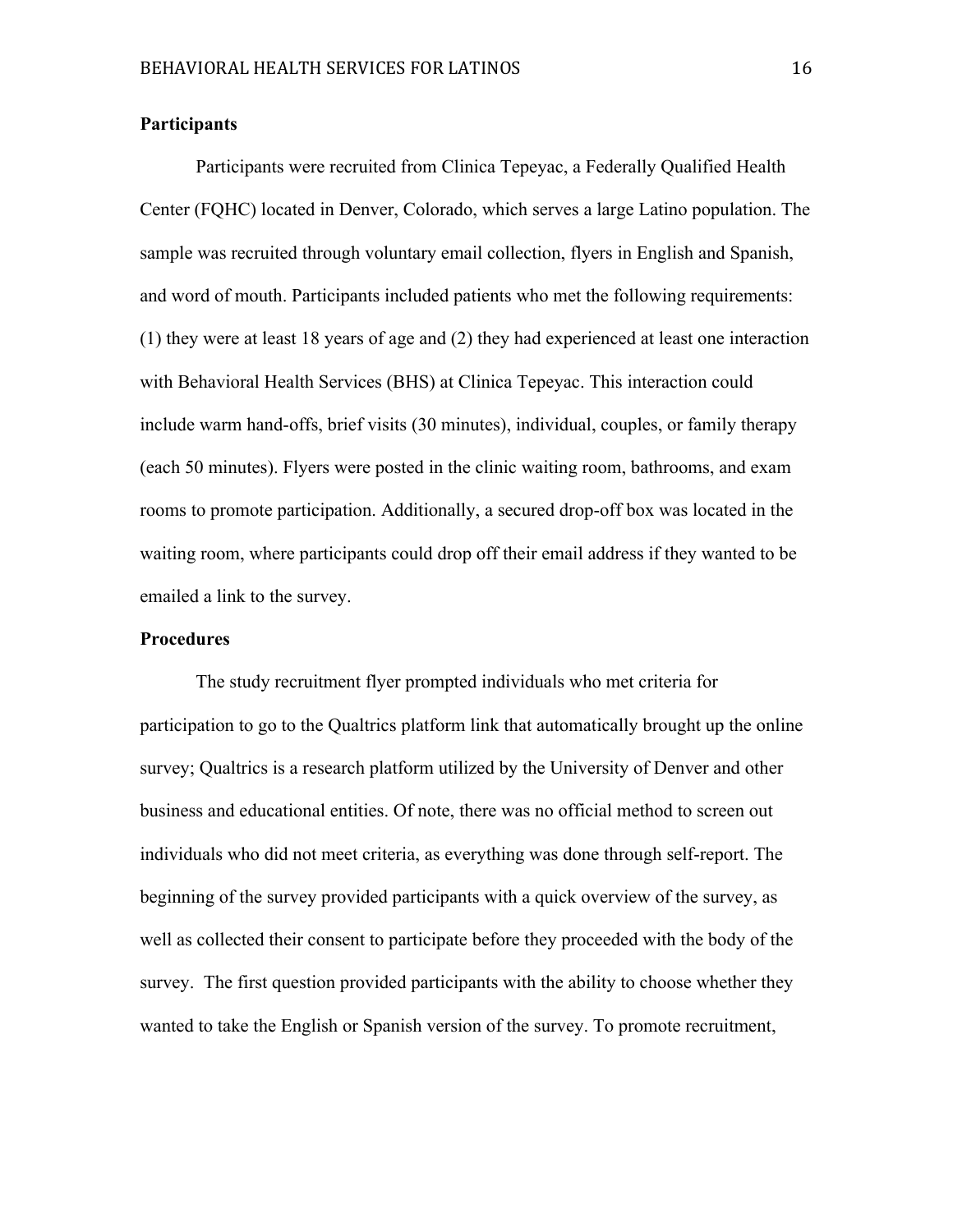#### **Participants**

Participants were recruited from Clinica Tepeyac, a Federally Qualified Health Center (FQHC) located in Denver, Colorado, which serves a large Latino population. The sample was recruited through voluntary email collection, flyers in English and Spanish, and word of mouth. Participants included patients who met the following requirements: (1) they were at least 18 years of age and (2) they had experienced at least one interaction with Behavioral Health Services (BHS) at Clinica Tepeyac. This interaction could include warm hand-offs, brief visits (30 minutes), individual, couples, or family therapy (each 50 minutes). Flyers were posted in the clinic waiting room, bathrooms, and exam rooms to promote participation. Additionally, a secured drop-off box was located in the waiting room, where participants could drop off their email address if they wanted to be emailed a link to the survey.

#### **Procedures**

The study recruitment flyer prompted individuals who met criteria for participation to go to the Qualtrics platform link that automatically brought up the online survey; Qualtrics is a research platform utilized by the University of Denver and other business and educational entities. Of note, there was no official method to screen out individuals who did not meet criteria, as everything was done through self-report. The beginning of the survey provided participants with a quick overview of the survey, as well as collected their consent to participate before they proceeded with the body of the survey. The first question provided participants with the ability to choose whether they wanted to take the English or Spanish version of the survey. To promote recruitment,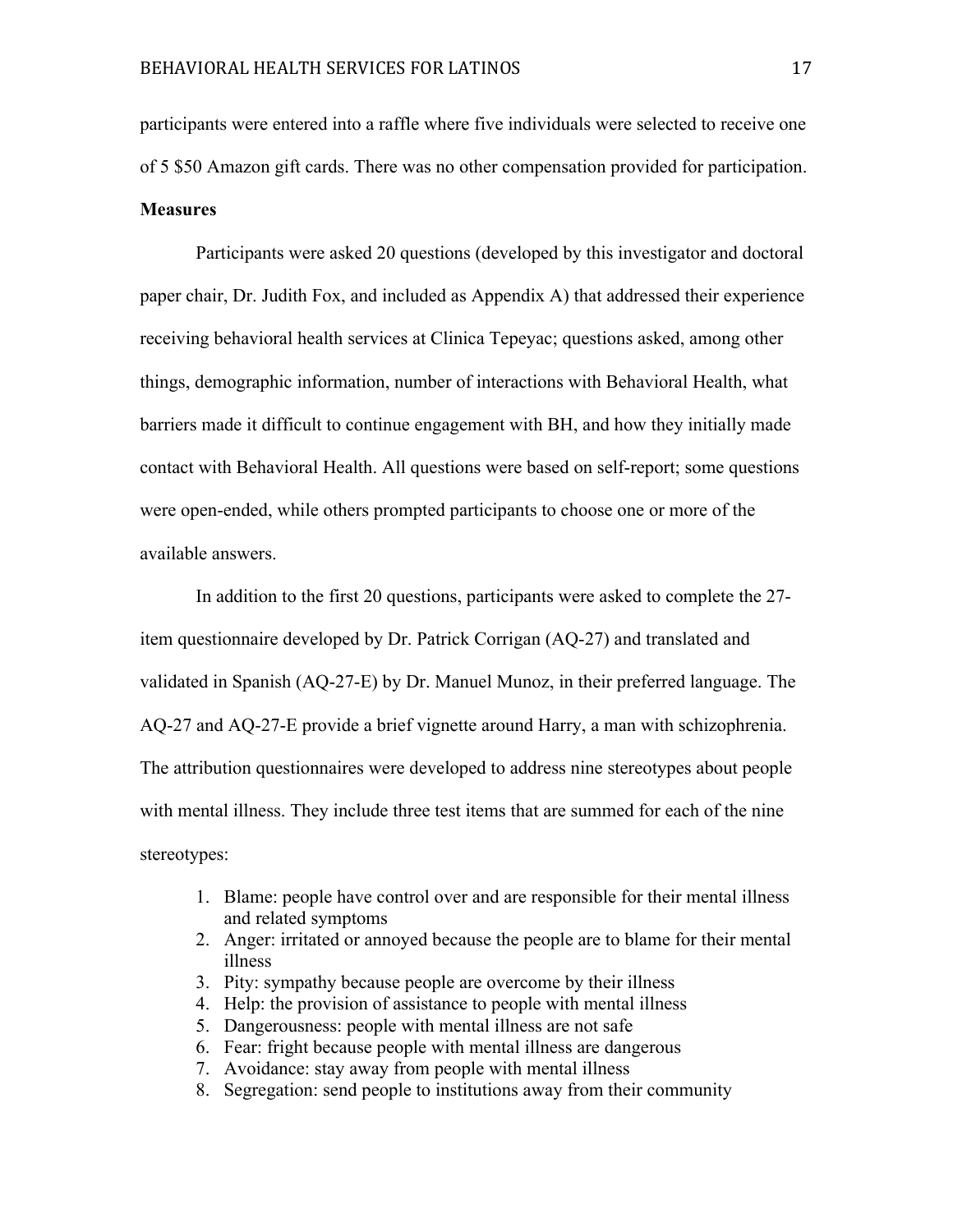participants were entered into a raffle where five individuals were selected to receive one of 5 \$50 Amazon gift cards. There was no other compensation provided for participation. **Measures**

Participants were asked 20 questions (developed by this investigator and doctoral paper chair, Dr. Judith Fox, and included as Appendix A) that addressed their experience receiving behavioral health services at Clinica Tepeyac; questions asked, among other things, demographic information, number of interactions with Behavioral Health, what barriers made it difficult to continue engagement with BH, and how they initially made contact with Behavioral Health. All questions were based on self-report; some questions were open-ended, while others prompted participants to choose one or more of the available answers.

In addition to the first 20 questions, participants were asked to complete the 27 item questionnaire developed by Dr. Patrick Corrigan (AQ-27) and translated and validated in Spanish (AQ-27-E) by Dr. Manuel Munoz, in their preferred language. The AQ-27 and AQ-27-E provide a brief vignette around Harry, a man with schizophrenia. The attribution questionnaires were developed to address nine stereotypes about people with mental illness. They include three test items that are summed for each of the nine stereotypes:

- 1. Blame: people have control over and are responsible for their mental illness and related symptoms
- 2. Anger: irritated or annoyed because the people are to blame for their mental illness
- 3. Pity: sympathy because people are overcome by their illness
- 4. Help: the provision of assistance to people with mental illness
- 5. Dangerousness: people with mental illness are not safe
- 6. Fear: fright because people with mental illness are dangerous
- 7. Avoidance: stay away from people with mental illness
- 8. Segregation: send people to institutions away from their community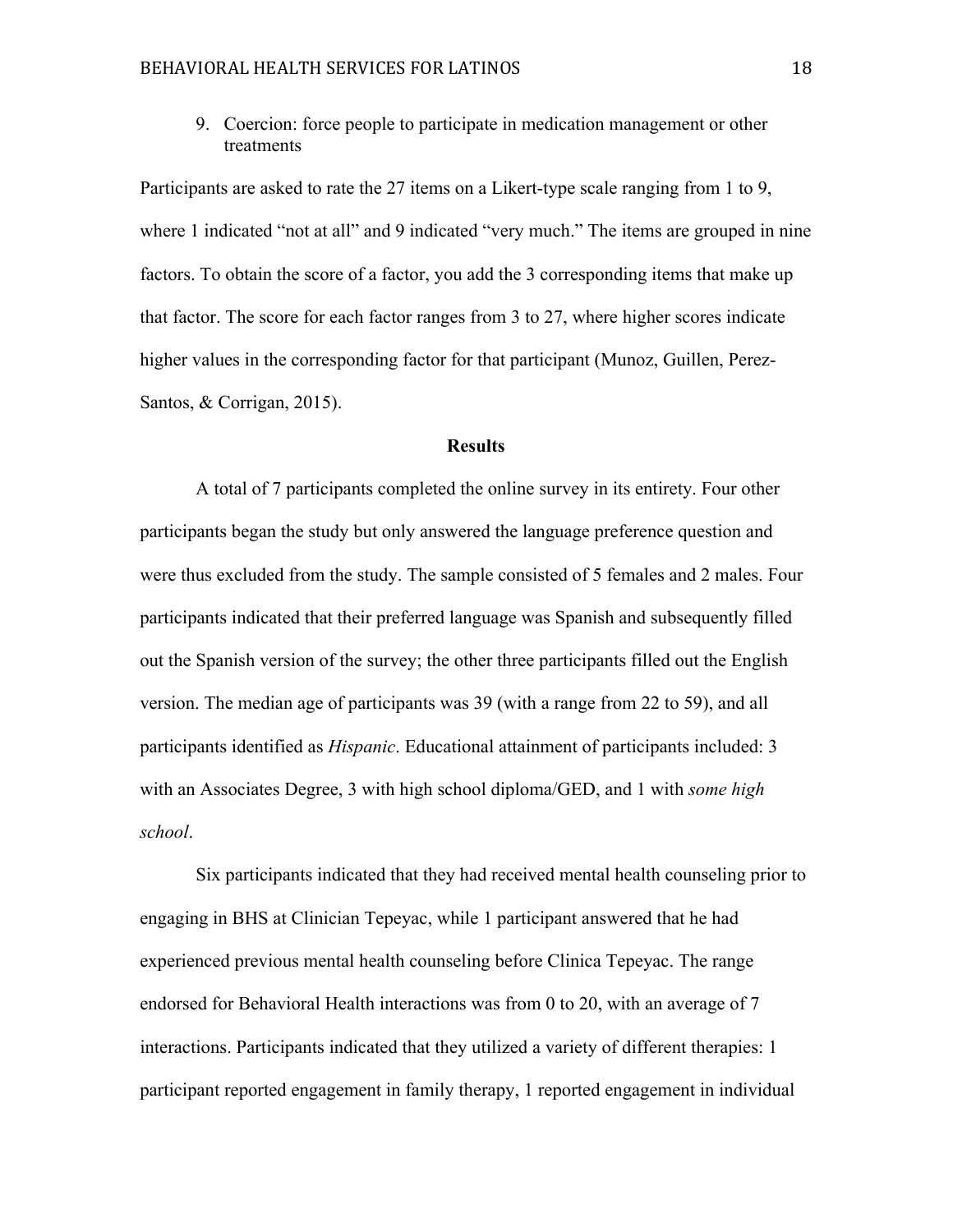9. Coercion: force people to participate in medication management or other treatments

Participants are asked to rate the 27 items on a Likert-type scale ranging from 1 to 9, where 1 indicated "not at all" and 9 indicated "very much." The items are grouped in nine factors. To obtain the score of a factor, you add the 3 corresponding items that make up that factor. The score for each factor ranges from 3 to 27, where higher scores indicate higher values in the corresponding factor for that participant (Munoz, Guillen, Perez-Santos, & Corrigan, 2015).

## **Results**

A total of 7 participants completed the online survey in its entirety. Four other participants began the study but only answered the language preference question and were thus excluded from the study. The sample consisted of 5 females and 2 males. Four participants indicated that their preferred language was Spanish and subsequently filled out the Spanish version of the survey; the other three participants filled out the English version. The median age of participants was 39 (with a range from 22 to 59), and all participants identified as *Hispanic*. Educational attainment of participants included: 3 with an Associates Degree, 3 with high school diploma/GED, and 1 with *some high school*.

Six participants indicated that they had received mental health counseling prior to engaging in BHS at Clinician Tepeyac, while 1 participant answered that he had experienced previous mental health counseling before Clinica Tepeyac. The range endorsed for Behavioral Health interactions was from 0 to 20, with an average of 7 interactions. Participants indicated that they utilized a variety of different therapies: 1 participant reported engagement in family therapy, 1 reported engagement in individual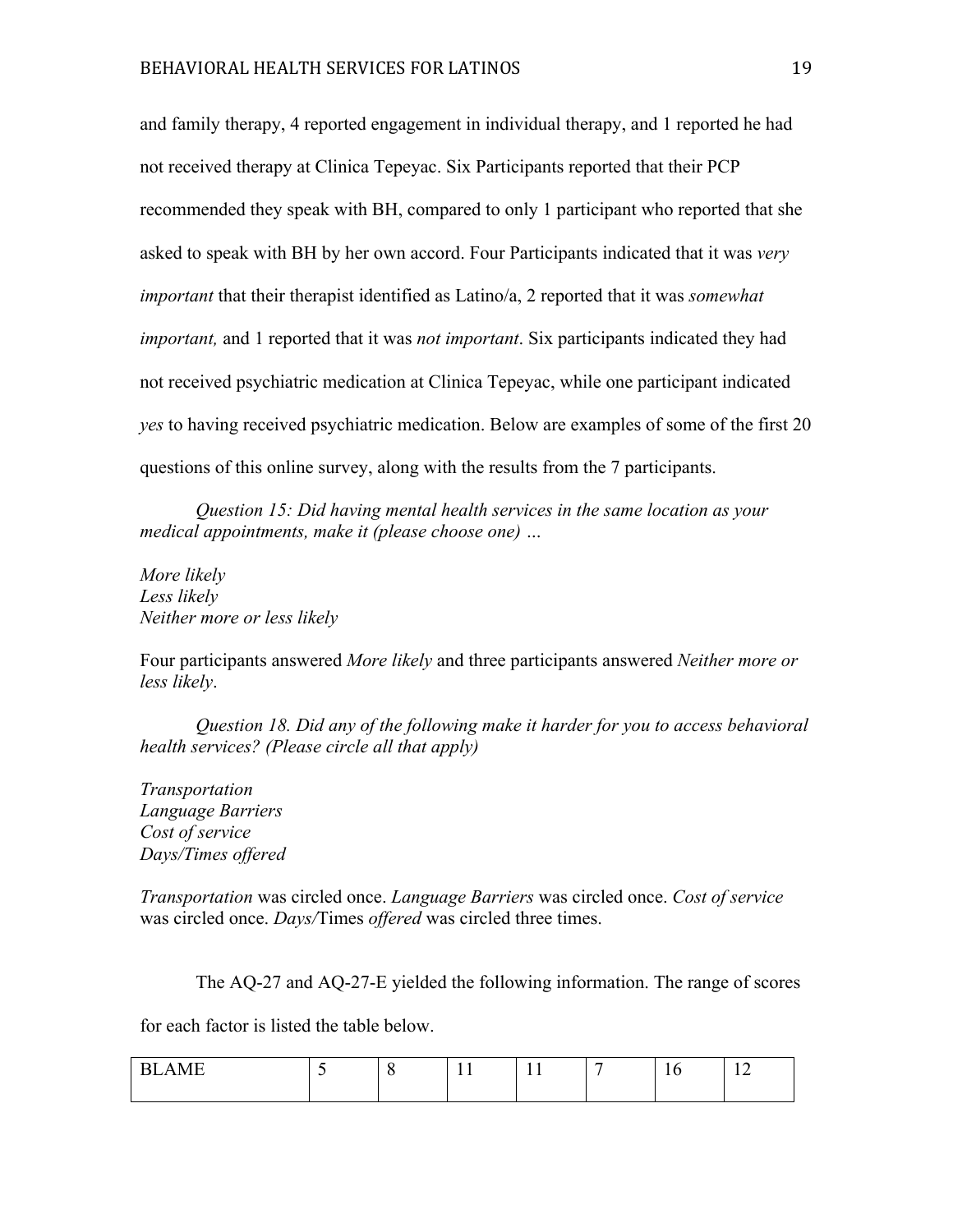and family therapy, 4 reported engagement in individual therapy, and 1 reported he had not received therapy at Clinica Tepeyac. Six Participants reported that their PCP recommended they speak with BH, compared to only 1 participant who reported that she asked to speak with BH by her own accord. Four Participants indicated that it was *very important* that their therapist identified as Latino/a, 2 reported that it was *somewhat important,* and 1 reported that it was *not important*. Six participants indicated they had not received psychiatric medication at Clinica Tepeyac, while one participant indicated *yes* to having received psychiatric medication. Below are examples of some of the first 20 questions of this online survey, along with the results from the 7 participants.

*Question 15: Did having mental health services in the same location as your medical appointments, make it (please choose one) …*

*More likely Less likely Neither more or less likely* 

Four participants answered *More likely* and three participants answered *Neither more or less likely*.

*Question 18. Did any of the following make it harder for you to access behavioral health services? (Please circle all that apply)* 

*Transportation Language Barriers Cost of service Days/Times offered*

*Transportation* was circled once. *Language Barriers* was circled once. *Cost of service* was circled once. *Days/*Times *offered* was circled three times.

The AQ-27 and AQ-27-E yielded the following information. The range of scores

for each factor is listed the table below.

| $\sqrt{2}$<br>--<br>—— |  | - - | <b>.</b><br>- - | - | 1 V | $\sim$ $\sim$<br>$-$ |
|------------------------|--|-----|-----------------|---|-----|----------------------|
|                        |  |     |                 |   |     |                      |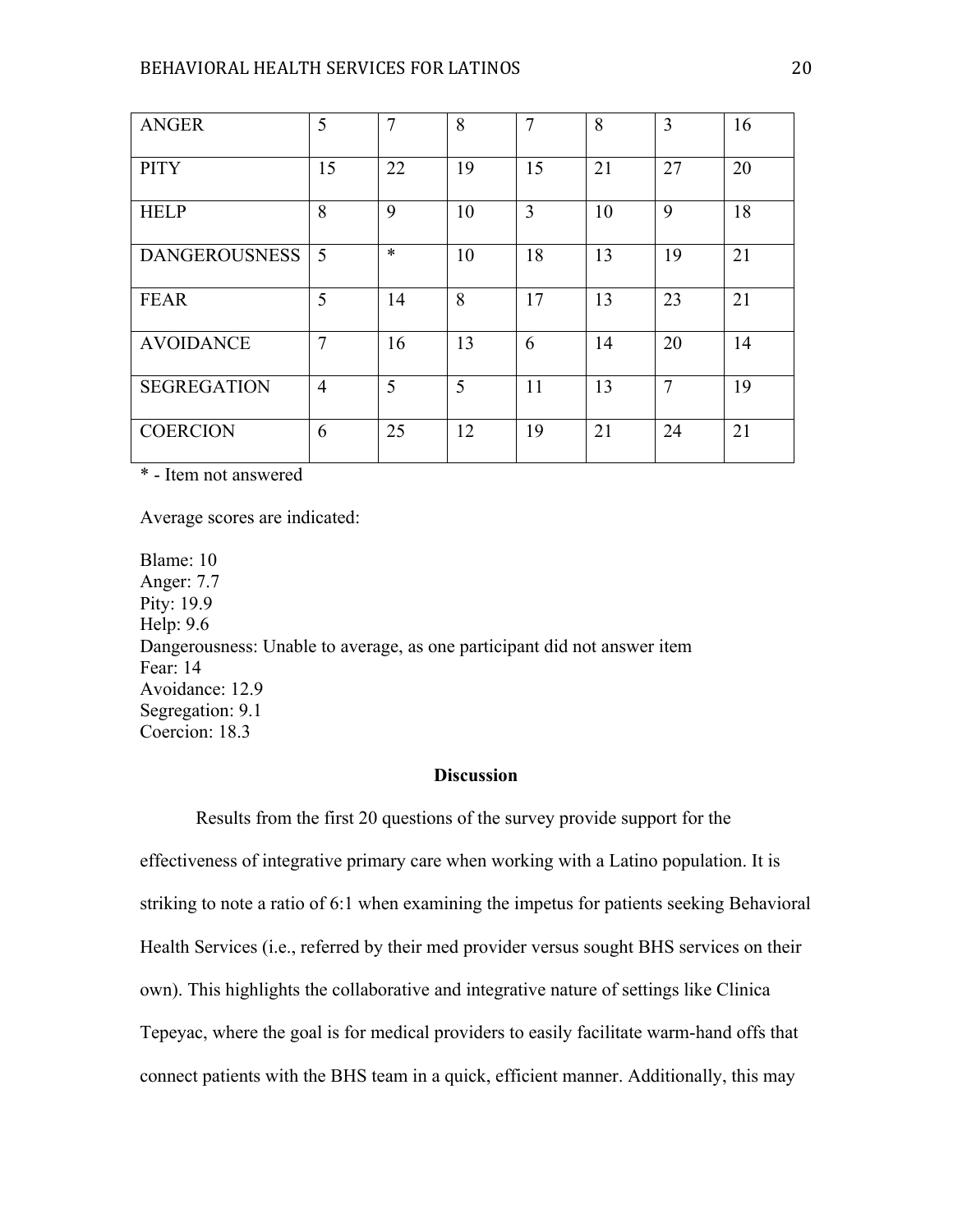| <b>ANGER</b>         | 5              | $\overline{7}$ | 8  | $\overline{7}$ | 8  | 3              | 16 |
|----------------------|----------------|----------------|----|----------------|----|----------------|----|
| <b>PITY</b>          | 15             | 22             | 19 | 15             | 21 | 27             | 20 |
| <b>HELP</b>          | 8              | 9              | 10 | 3              | 10 | 9              | 18 |
| <b>DANGEROUSNESS</b> | 5              | $\ast$         | 10 | 18             | 13 | 19             | 21 |
| <b>FEAR</b>          | 5              | 14             | 8  | 17             | 13 | 23             | 21 |
| <b>AVOIDANCE</b>     | $\overline{7}$ | 16             | 13 | 6              | 14 | 20             | 14 |
| <b>SEGREGATION</b>   | $\overline{4}$ | 5              | 5  | 11             | 13 | $\overline{7}$ | 19 |
| <b>COERCION</b>      | 6              | 25             | 12 | 19             | 21 | 24             | 21 |

\* - Item not answered

Average scores are indicated:

Blame: 10 Anger: 7.7 Pity: 19.9 Help: 9.6 Dangerousness: Unable to average, as one participant did not answer item Fear: 14 Avoidance: 12.9 Segregation: 9.1 Coercion: 18.3

## **Discussion**

Results from the first 20 questions of the survey provide support for the effectiveness of integrative primary care when working with a Latino population. It is striking to note a ratio of 6:1 when examining the impetus for patients seeking Behavioral Health Services (i.e., referred by their med provider versus sought BHS services on their own). This highlights the collaborative and integrative nature of settings like Clinica Tepeyac, where the goal is for medical providers to easily facilitate warm-hand offs that connect patients with the BHS team in a quick, efficient manner. Additionally, this may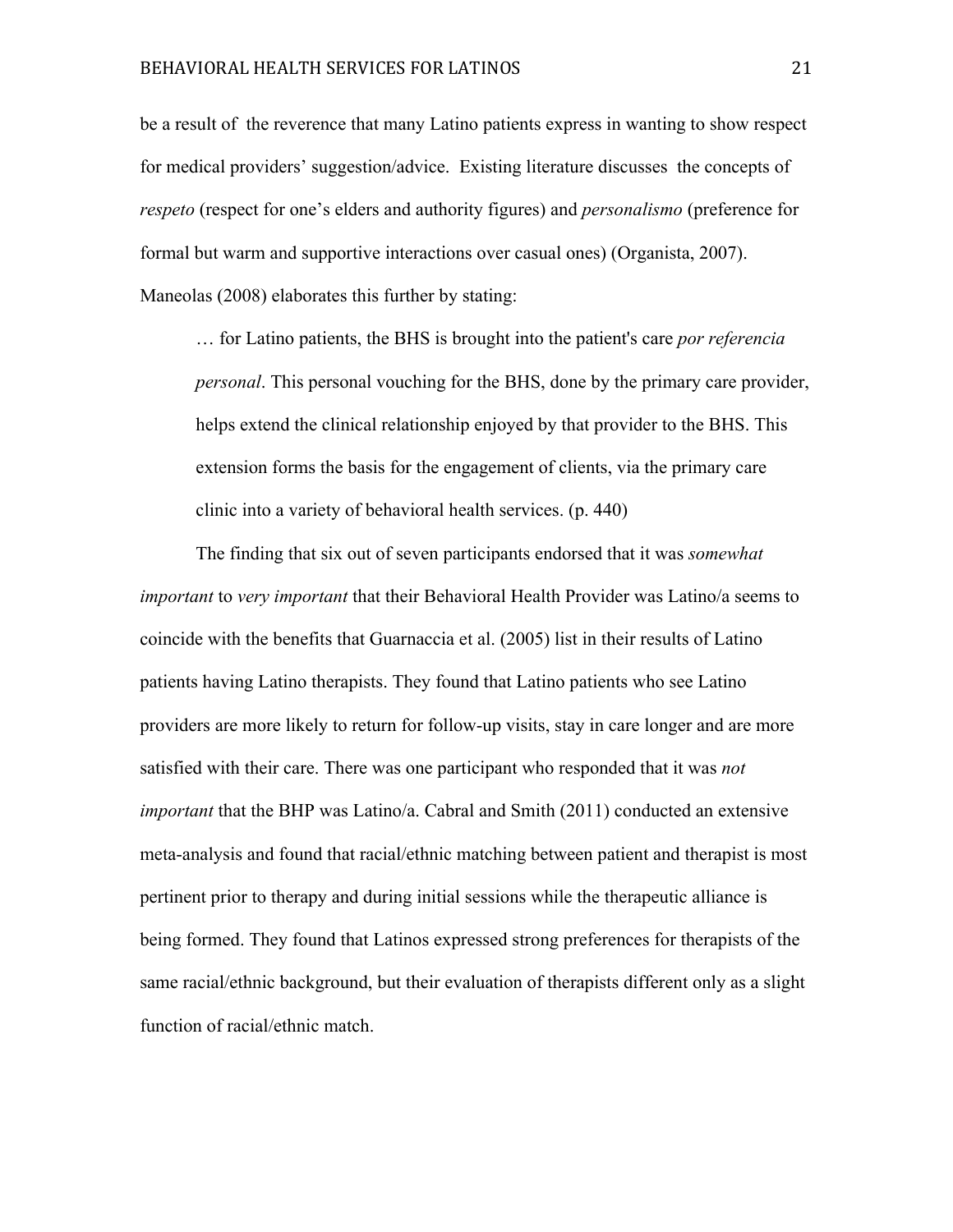be a result of the reverence that many Latino patients express in wanting to show respect for medical providers' suggestion/advice. Existing literature discusses the concepts of *respeto* (respect for one's elders and authority figures) and *personalismo* (preference for formal but warm and supportive interactions over casual ones) (Organista, 2007). Maneolas (2008) elaborates this further by stating:

… for Latino patients, the BHS is brought into the patient's care *por referencia personal*. This personal vouching for the BHS, done by the primary care provider, helps extend the clinical relationship enjoyed by that provider to the BHS. This extension forms the basis for the engagement of clients, via the primary care clinic into a variety of behavioral health services. (p. 440)

The finding that six out of seven participants endorsed that it was *somewhat important* to *very important* that their Behavioral Health Provider was Latino/a seems to coincide with the benefits that Guarnaccia et al. (2005) list in their results of Latino patients having Latino therapists. They found that Latino patients who see Latino providers are more likely to return for follow-up visits, stay in care longer and are more satisfied with their care. There was one participant who responded that it was *not important* that the BHP was Latino/a. Cabral and Smith (2011) conducted an extensive meta-analysis and found that racial/ethnic matching between patient and therapist is most pertinent prior to therapy and during initial sessions while the therapeutic alliance is being formed. They found that Latinos expressed strong preferences for therapists of the same racial/ethnic background, but their evaluation of therapists different only as a slight function of racial/ethnic match.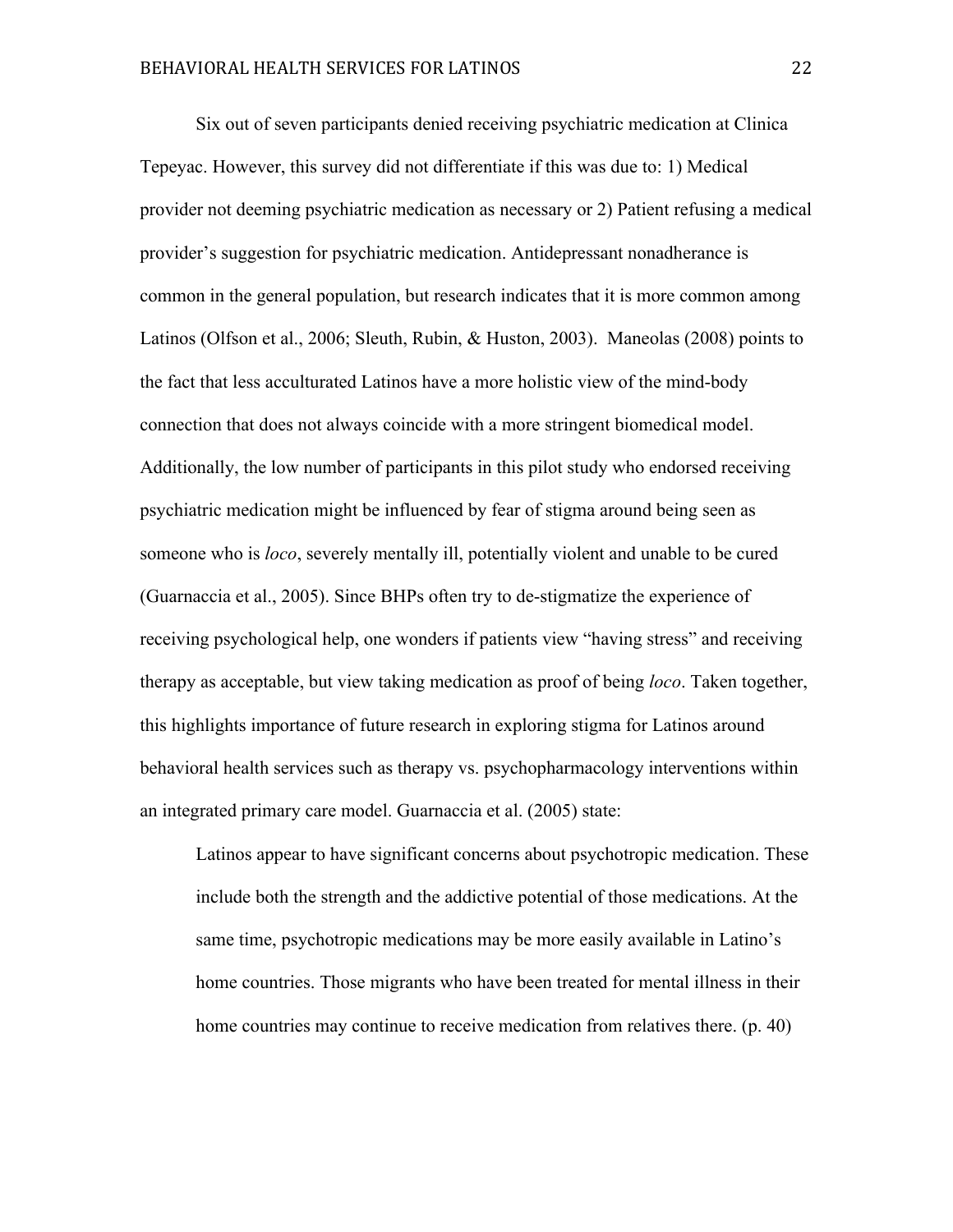Six out of seven participants denied receiving psychiatric medication at Clinica Tepeyac. However, this survey did not differentiate if this was due to: 1) Medical provider not deeming psychiatric medication as necessary or 2) Patient refusing a medical provider's suggestion for psychiatric medication. Antidepressant nonadherance is common in the general population, but research indicates that it is more common among Latinos (Olfson et al., 2006; Sleuth, Rubin, & Huston, 2003). Maneolas (2008) points to the fact that less acculturated Latinos have a more holistic view of the mind-body connection that does not always coincide with a more stringent biomedical model. Additionally, the low number of participants in this pilot study who endorsed receiving psychiatric medication might be influenced by fear of stigma around being seen as someone who is *loco*, severely mentally ill, potentially violent and unable to be cured (Guarnaccia et al., 2005). Since BHPs often try to de-stigmatize the experience of receiving psychological help, one wonders if patients view "having stress" and receiving therapy as acceptable, but view taking medication as proof of being *loco*. Taken together, this highlights importance of future research in exploring stigma for Latinos around behavioral health services such as therapy vs. psychopharmacology interventions within an integrated primary care model. Guarnaccia et al. (2005) state:

Latinos appear to have significant concerns about psychotropic medication. These include both the strength and the addictive potential of those medications. At the same time, psychotropic medications may be more easily available in Latino's home countries. Those migrants who have been treated for mental illness in their home countries may continue to receive medication from relatives there. (p. 40)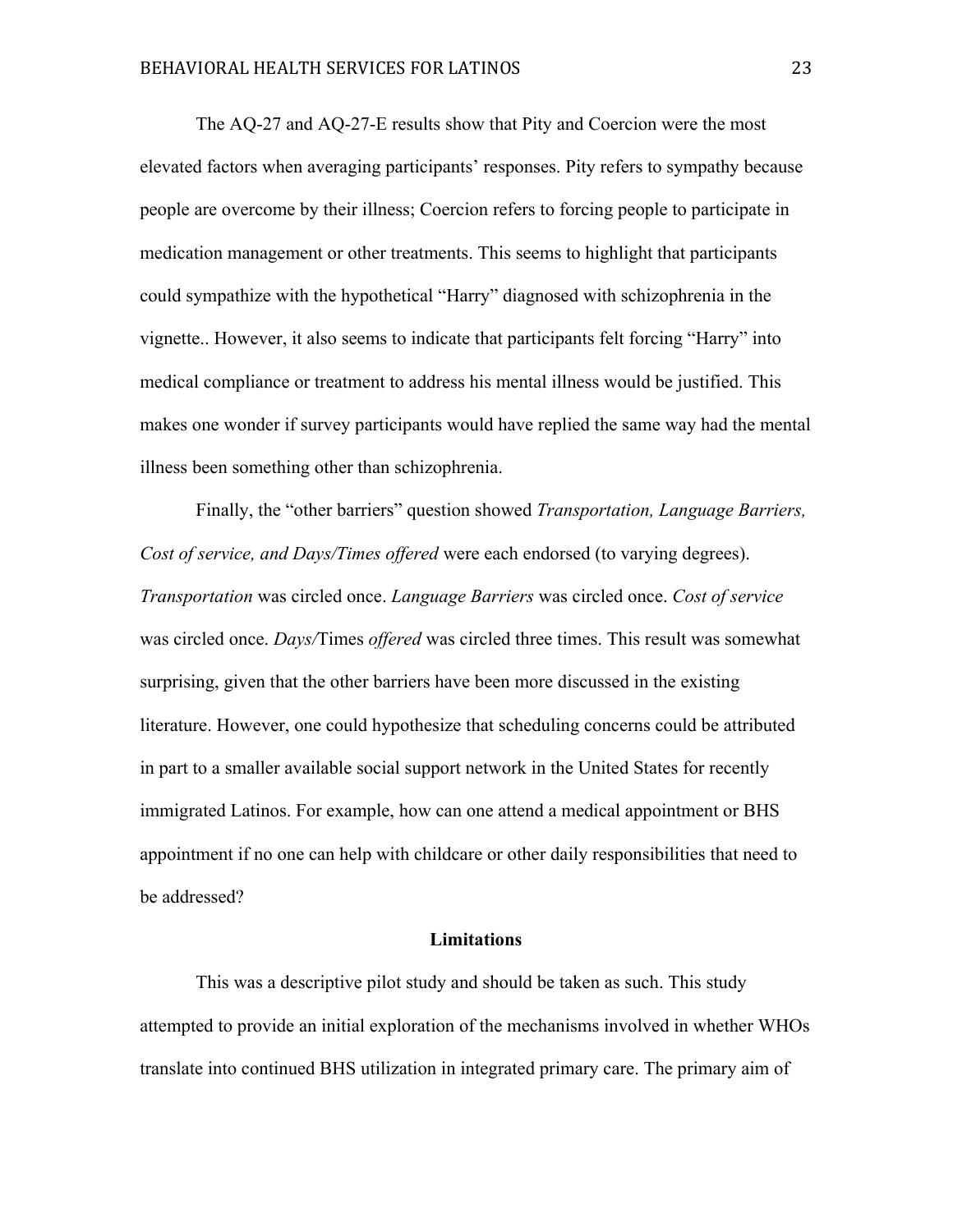The AQ-27 and AQ-27-E results show that Pity and Coercion were the most elevated factors when averaging participants' responses. Pity refers to sympathy because people are overcome by their illness; Coercion refers to forcing people to participate in medication management or other treatments. This seems to highlight that participants could sympathize with the hypothetical "Harry" diagnosed with schizophrenia in the vignette.. However, it also seems to indicate that participants felt forcing "Harry" into medical compliance or treatment to address his mental illness would be justified. This makes one wonder if survey participants would have replied the same way had the mental illness been something other than schizophrenia.

Finally, the "other barriers" question showed *Transportation, Language Barriers, Cost of service, and Days/Times offered* were each endorsed (to varying degrees). *Transportation* was circled once. *Language Barriers* was circled once. *Cost of service* was circled once. *Days/*Times *offered* was circled three times. This result was somewhat surprising, given that the other barriers have been more discussed in the existing literature. However, one could hypothesize that scheduling concerns could be attributed in part to a smaller available social support network in the United States for recently immigrated Latinos. For example, how can one attend a medical appointment or BHS appointment if no one can help with childcare or other daily responsibilities that need to be addressed?

#### **Limitations**

This was a descriptive pilot study and should be taken as such. This study attempted to provide an initial exploration of the mechanisms involved in whether WHOs translate into continued BHS utilization in integrated primary care. The primary aim of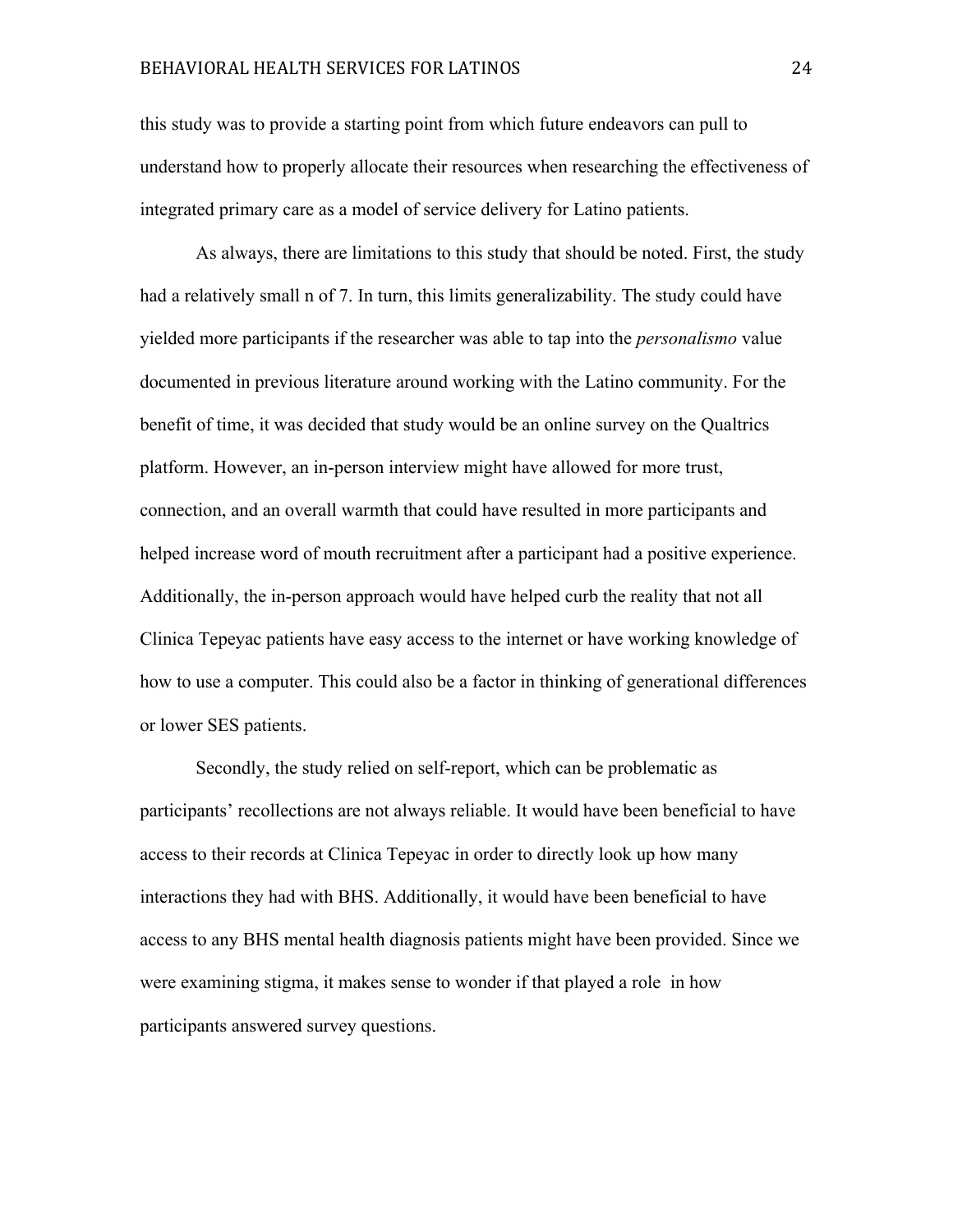## BEHAVIORAL HEALTH SERVICES FOR LATINOS 24

this study was to provide a starting point from which future endeavors can pull to understand how to properly allocate their resources when researching the effectiveness of integrated primary care as a model of service delivery for Latino patients.

As always, there are limitations to this study that should be noted. First, the study had a relatively small n of 7. In turn, this limits generalizability. The study could have yielded more participants if the researcher was able to tap into the *personalismo* value documented in previous literature around working with the Latino community. For the benefit of time, it was decided that study would be an online survey on the Qualtrics platform. However, an in-person interview might have allowed for more trust, connection, and an overall warmth that could have resulted in more participants and helped increase word of mouth recruitment after a participant had a positive experience. Additionally, the in-person approach would have helped curb the reality that not all Clinica Tepeyac patients have easy access to the internet or have working knowledge of how to use a computer. This could also be a factor in thinking of generational differences or lower SES patients.

Secondly, the study relied on self-report, which can be problematic as participants' recollections are not always reliable. It would have been beneficial to have access to their records at Clinica Tepeyac in order to directly look up how many interactions they had with BHS. Additionally, it would have been beneficial to have access to any BHS mental health diagnosis patients might have been provided. Since we were examining stigma, it makes sense to wonder if that played a role in how participants answered survey questions.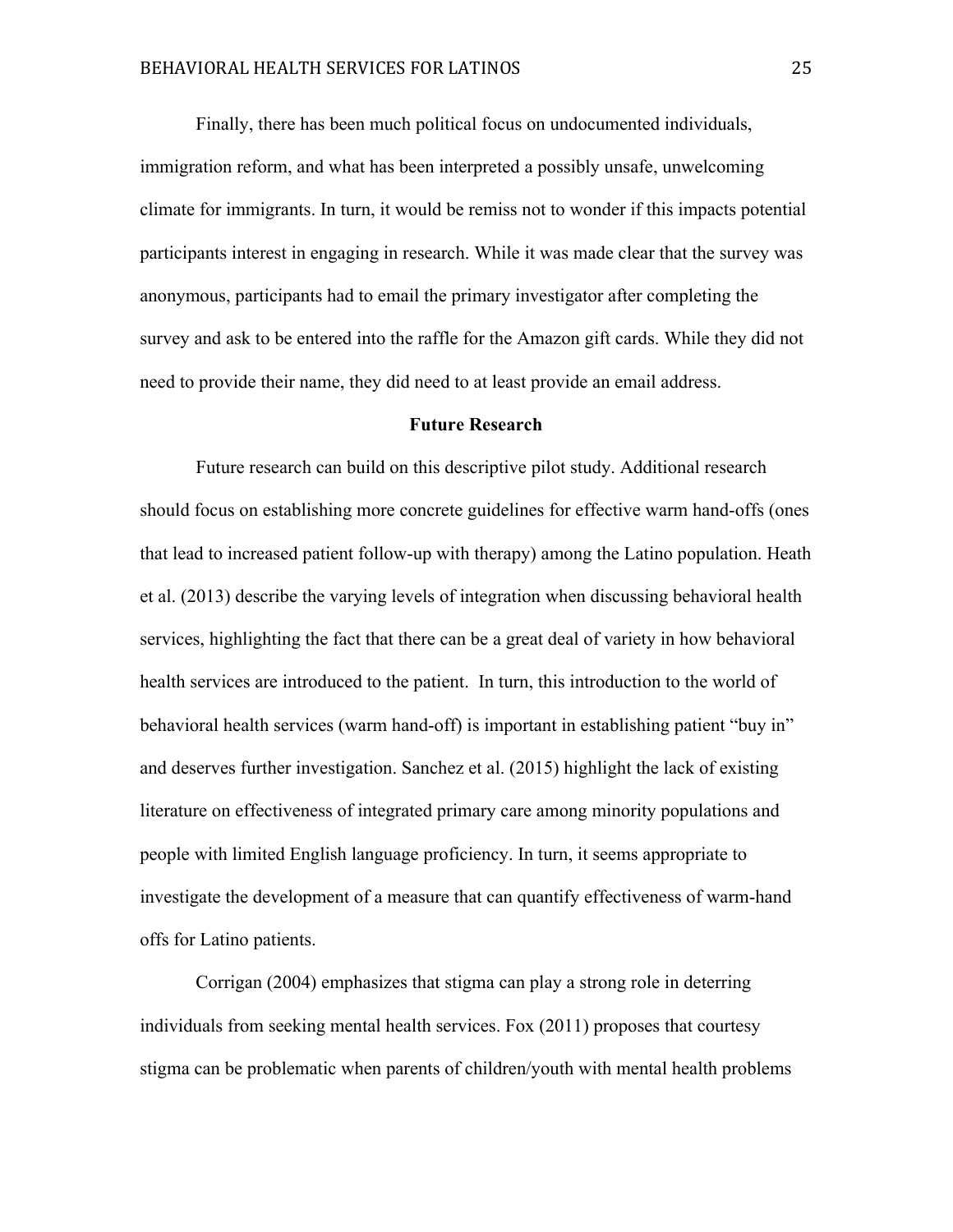Finally, there has been much political focus on undocumented individuals, immigration reform, and what has been interpreted a possibly unsafe, unwelcoming climate for immigrants. In turn, it would be remiss not to wonder if this impacts potential participants interest in engaging in research. While it was made clear that the survey was anonymous, participants had to email the primary investigator after completing the survey and ask to be entered into the raffle for the Amazon gift cards. While they did not need to provide their name, they did need to at least provide an email address.

#### **Future Research**

Future research can build on this descriptive pilot study. Additional research should focus on establishing more concrete guidelines for effective warm hand-offs (ones that lead to increased patient follow-up with therapy) among the Latino population. Heath et al. (2013) describe the varying levels of integration when discussing behavioral health services, highlighting the fact that there can be a great deal of variety in how behavioral health services are introduced to the patient. In turn, this introduction to the world of behavioral health services (warm hand-off) is important in establishing patient "buy in" and deserves further investigation. Sanchez et al. (2015) highlight the lack of existing literature on effectiveness of integrated primary care among minority populations and people with limited English language proficiency. In turn, it seems appropriate to investigate the development of a measure that can quantify effectiveness of warm-hand offs for Latino patients.

Corrigan (2004) emphasizes that stigma can play a strong role in deterring individuals from seeking mental health services. Fox (2011) proposes that courtesy stigma can be problematic when parents of children/youth with mental health problems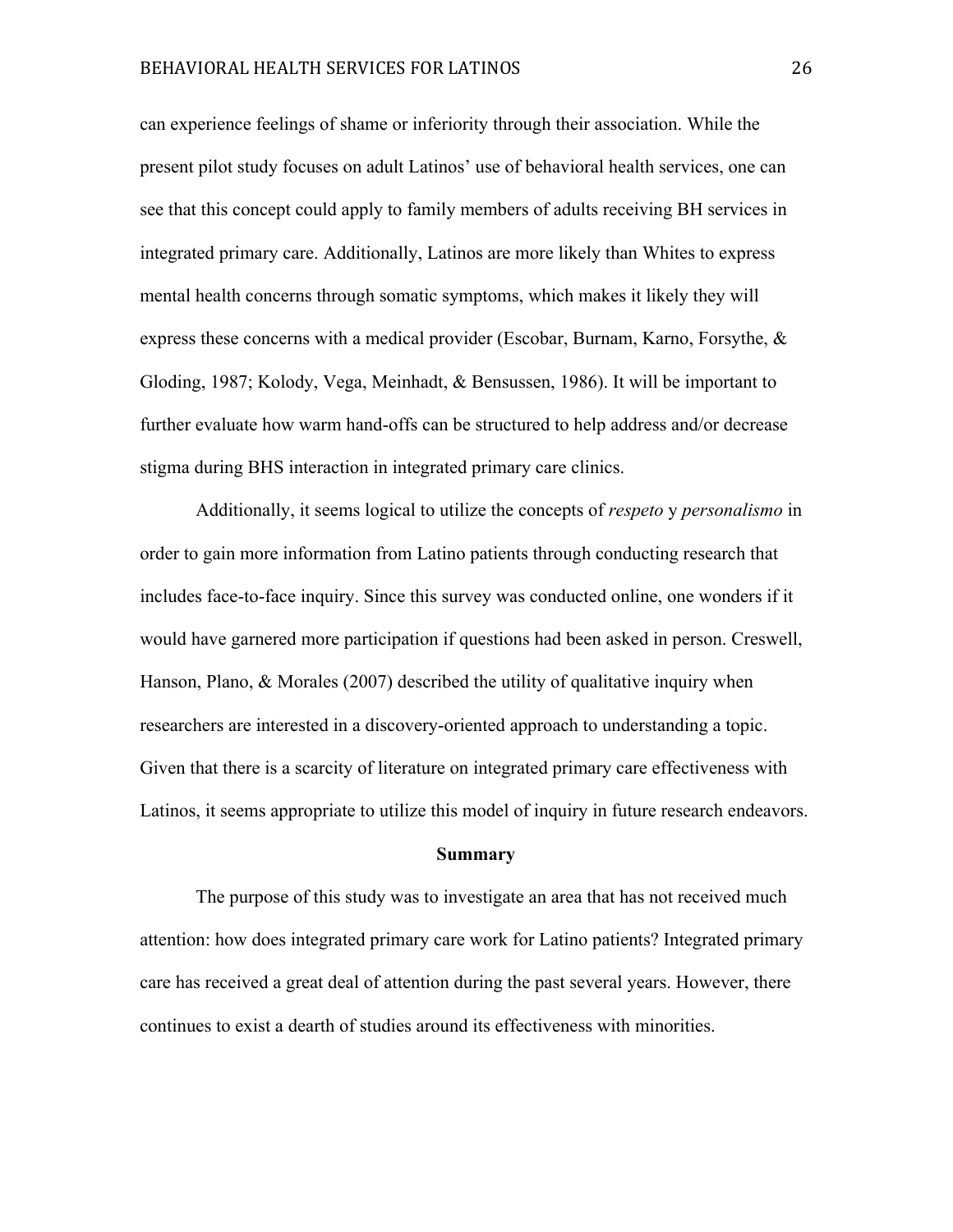can experience feelings of shame or inferiority through their association. While the present pilot study focuses on adult Latinos' use of behavioral health services, one can see that this concept could apply to family members of adults receiving BH services in integrated primary care. Additionally, Latinos are more likely than Whites to express mental health concerns through somatic symptoms, which makes it likely they will express these concerns with a medical provider (Escobar, Burnam, Karno, Forsythe, & Gloding, 1987; Kolody, Vega, Meinhadt, & Bensussen, 1986). It will be important to further evaluate how warm hand-offs can be structured to help address and/or decrease stigma during BHS interaction in integrated primary care clinics.

Additionally, it seems logical to utilize the concepts of *respeto* y *personalismo* in order to gain more information from Latino patients through conducting research that includes face-to-face inquiry. Since this survey was conducted online, one wonders if it would have garnered more participation if questions had been asked in person. Creswell, Hanson, Plano, & Morales (2007) described the utility of qualitative inquiry when researchers are interested in a discovery-oriented approach to understanding a topic. Given that there is a scarcity of literature on integrated primary care effectiveness with Latinos, it seems appropriate to utilize this model of inquiry in future research endeavors.

#### **Summary**

The purpose of this study was to investigate an area that has not received much attention: how does integrated primary care work for Latino patients? Integrated primary care has received a great deal of attention during the past several years. However, there continues to exist a dearth of studies around its effectiveness with minorities.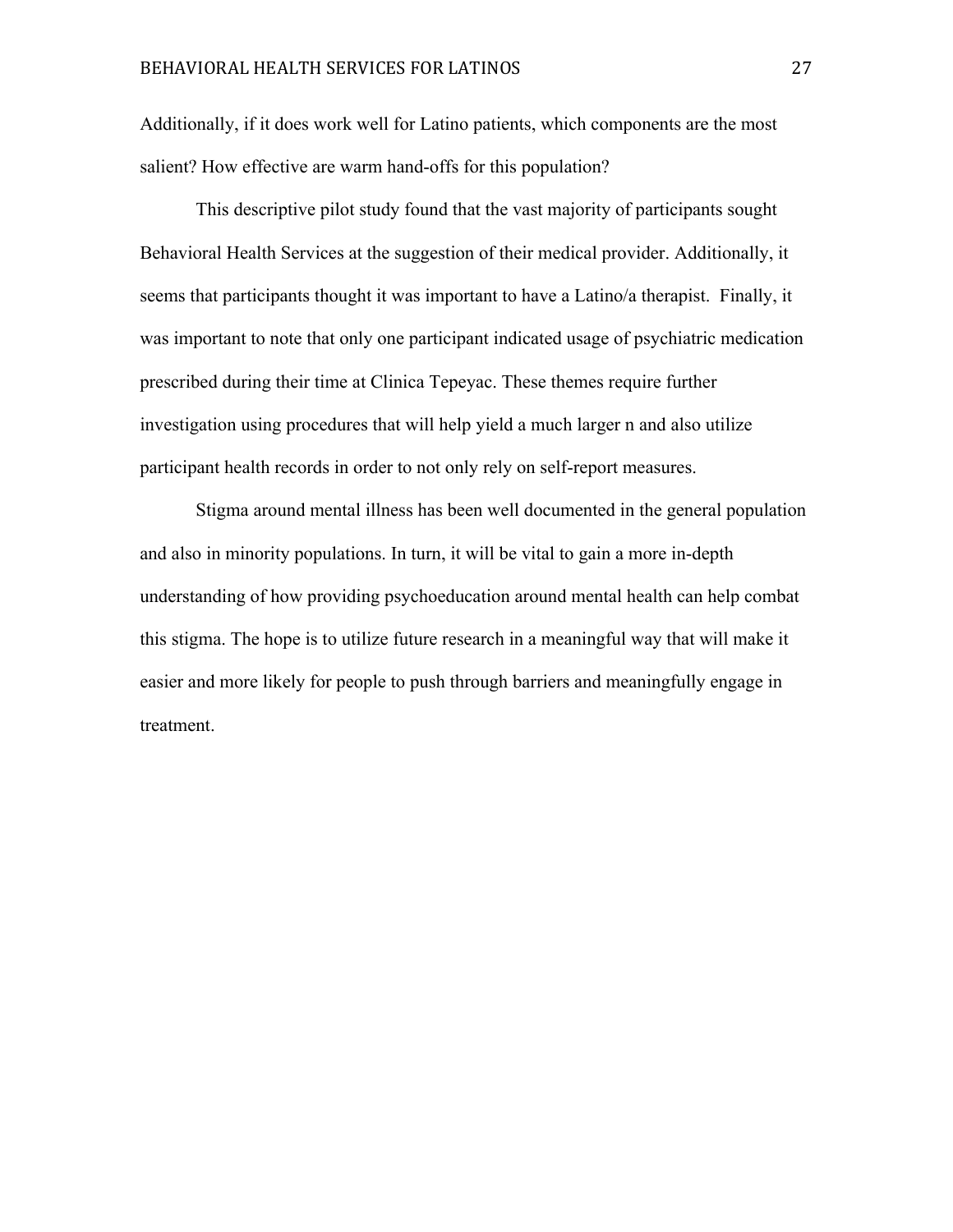Additionally, if it does work well for Latino patients, which components are the most salient? How effective are warm hand-offs for this population?

This descriptive pilot study found that the vast majority of participants sought Behavioral Health Services at the suggestion of their medical provider. Additionally, it seems that participants thought it was important to have a Latino/a therapist. Finally, it was important to note that only one participant indicated usage of psychiatric medication prescribed during their time at Clinica Tepeyac. These themes require further investigation using procedures that will help yield a much larger n and also utilize participant health records in order to not only rely on self-report measures.

Stigma around mental illness has been well documented in the general population and also in minority populations. In turn, it will be vital to gain a more in-depth understanding of how providing psychoeducation around mental health can help combat this stigma. The hope is to utilize future research in a meaningful way that will make it easier and more likely for people to push through barriers and meaningfully engage in treatment.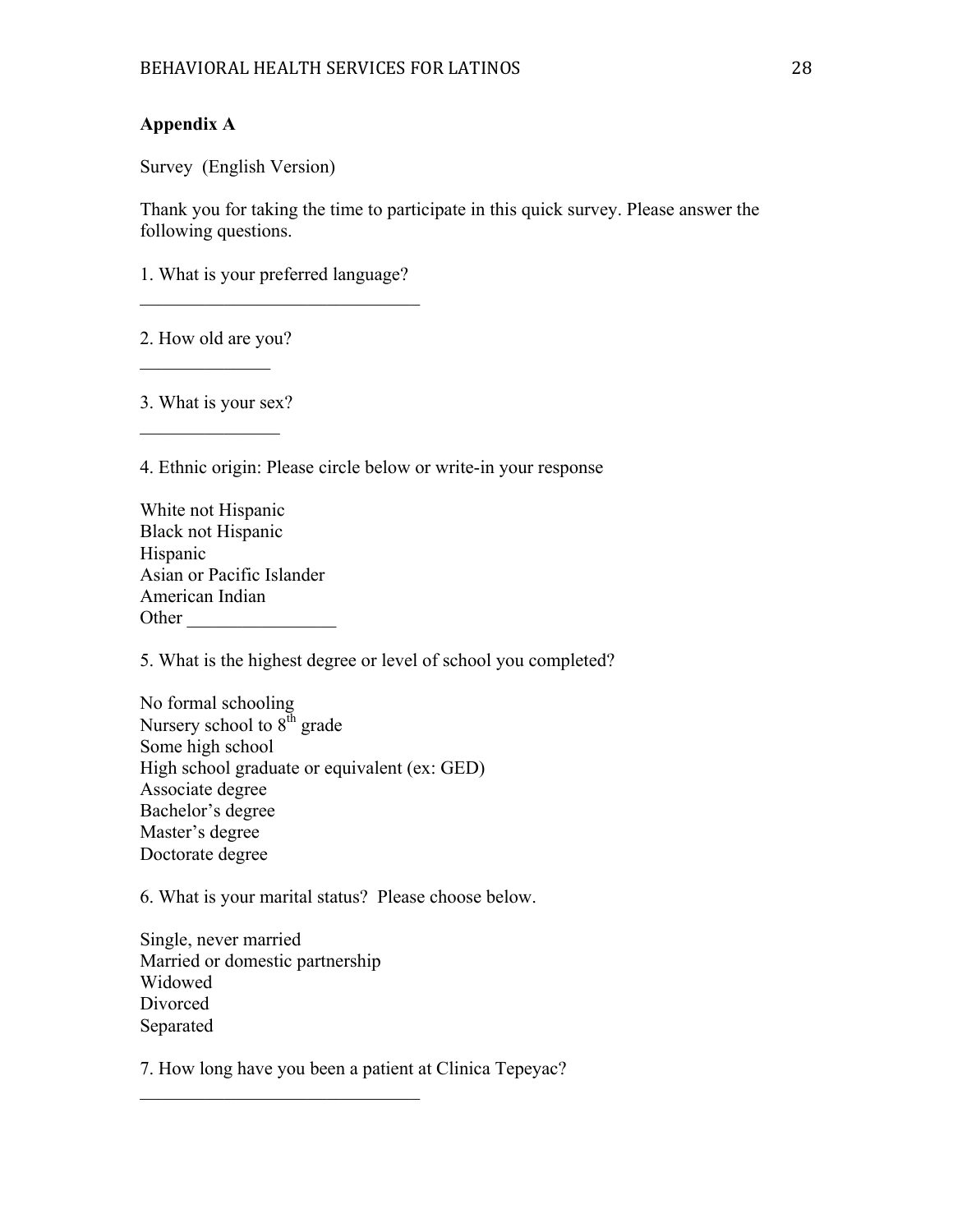## **Appendix A**

Survey (English Version)

Thank you for taking the time to participate in this quick survey. Please answer the following questions.

1. What is your preferred language?  $\mathcal{L}_\text{max}$  , and the set of the set of the set of the set of the set of the set of the set of the set of the set of the set of the set of the set of the set of the set of the set of the set of the set of the set of the

2. How old are you?

 $\frac{1}{2}$ 

3. What is your sex?  $\frac{1}{2}$ 

4. Ethnic origin: Please circle below or write-in your response

| White not Hispanic        |
|---------------------------|
| <b>Black not Hispanic</b> |
| Hispanic                  |
| Asian or Pacific Islander |
| American Indian           |
| Other                     |

5. What is the highest degree or level of school you completed?

No formal schooling Nursery school to  $8<sup>th</sup>$  grade Some high school High school graduate or equivalent (ex: GED) Associate degree Bachelor's degree Master's degree Doctorate degree

6. What is your marital status? Please choose below.

Single, never married Married or domestic partnership Widowed Divorced Separated

 $\mathcal{L}_\text{max}$ 

7. How long have you been a patient at Clinica Tepeyac?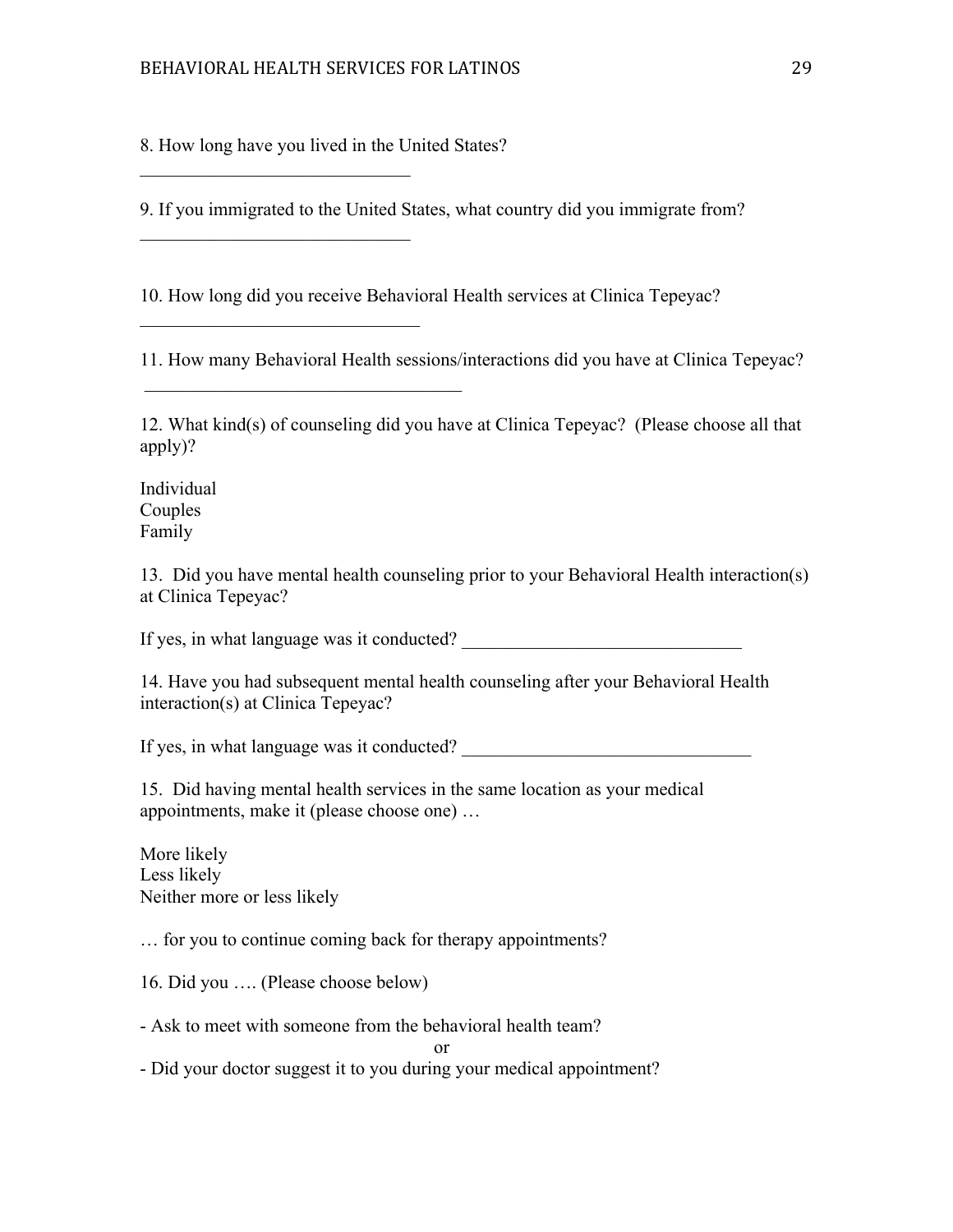8. How long have you lived in the United States?

 $\mathcal{L}_\text{max}$ 

 $\mathcal{L}_\text{max}$ 

 $\mathcal{L}_\text{max}$  , and the set of the set of the set of the set of the set of the set of the set of the set of the set of the set of the set of the set of the set of the set of the set of the set of the set of the set of the

 $\mathcal{L}_\text{max}$ 

9. If you immigrated to the United States, what country did you immigrate from?

10. How long did you receive Behavioral Health services at Clinica Tepeyac?

11. How many Behavioral Health sessions/interactions did you have at Clinica Tepeyac?

12. What kind(s) of counseling did you have at Clinica Tepeyac? (Please choose all that apply)?

Individual Couples Family

13. Did you have mental health counseling prior to your Behavioral Health interaction(s) at Clinica Tepeyac?

If yes, in what language was it conducted?

14. Have you had subsequent mental health counseling after your Behavioral Health interaction(s) at Clinica Tepeyac?

If yes, in what language was it conducted?

15. Did having mental health services in the same location as your medical appointments, make it (please choose one) …

More likely Less likely Neither more or less likely

… for you to continue coming back for therapy appointments?

16. Did you …. (Please choose below)

- Ask to meet with someone from the behavioral health team?

or

- Did your doctor suggest it to you during your medical appointment?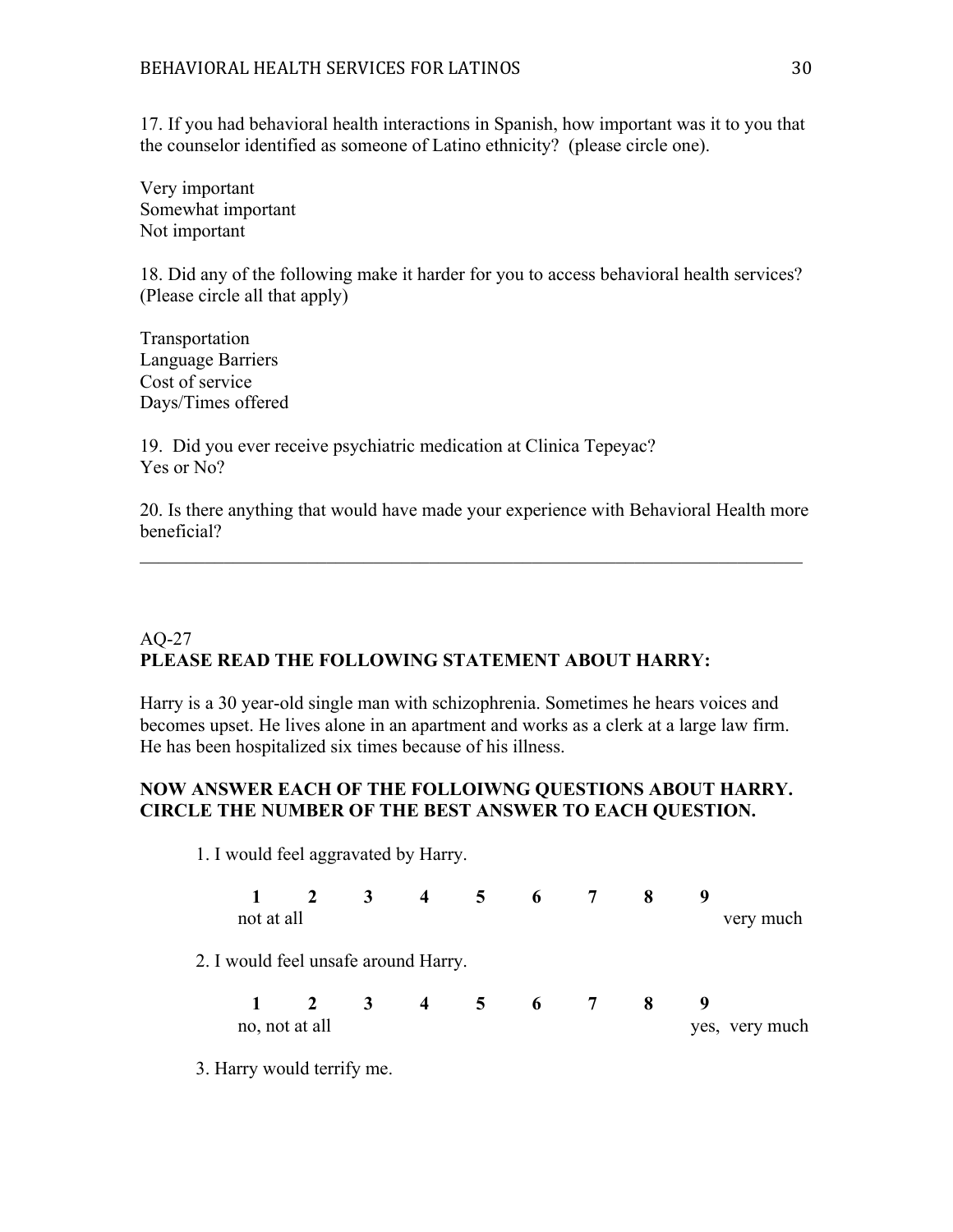17. If you had behavioral health interactions in Spanish, how important was it to you that the counselor identified as someone of Latino ethnicity? (please circle one).

Very important Somewhat important Not important

18. Did any of the following make it harder for you to access behavioral health services? (Please circle all that apply)

Transportation Language Barriers Cost of service Days/Times offered

19. Did you ever receive psychiatric medication at Clinica Tepeyac? Yes or No?

20. Is there anything that would have made your experience with Behavioral Health more beneficial?

 $\_$  , and the set of the set of the set of the set of the set of the set of the set of the set of the set of the set of the set of the set of the set of the set of the set of the set of the set of the set of the set of th

## AQ-27 **PLEASE READ THE FOLLOWING STATEMENT ABOUT HARRY:**

Harry is a 30 year-old single man with schizophrenia. Sometimes he hears voices and becomes upset. He lives alone in an apartment and works as a clerk at a large law firm. He has been hospitalized six times because of his illness.

## **NOW ANSWER EACH OF THE FOLLOIWNG QUESTIONS ABOUT HARRY. CIRCLE THE NUMBER OF THE BEST ANSWER TO EACH QUESTION.**

1. I would feel aggravated by Harry.

|                                      | $1 \quad 2 \quad 3$         |  | 4 5 6 7 | 8  |                |
|--------------------------------------|-----------------------------|--|---------|----|----------------|
| not at all                           |                             |  |         |    | very much      |
| 2. I would feel unsafe around Harry. |                             |  |         |    |                |
|                                      | $1 \t2 \t3 \t4 \t5 \t6 \t7$ |  |         | -8 |                |
|                                      | no, not at all              |  |         |    | yes, very much |

3. Harry would terrify me.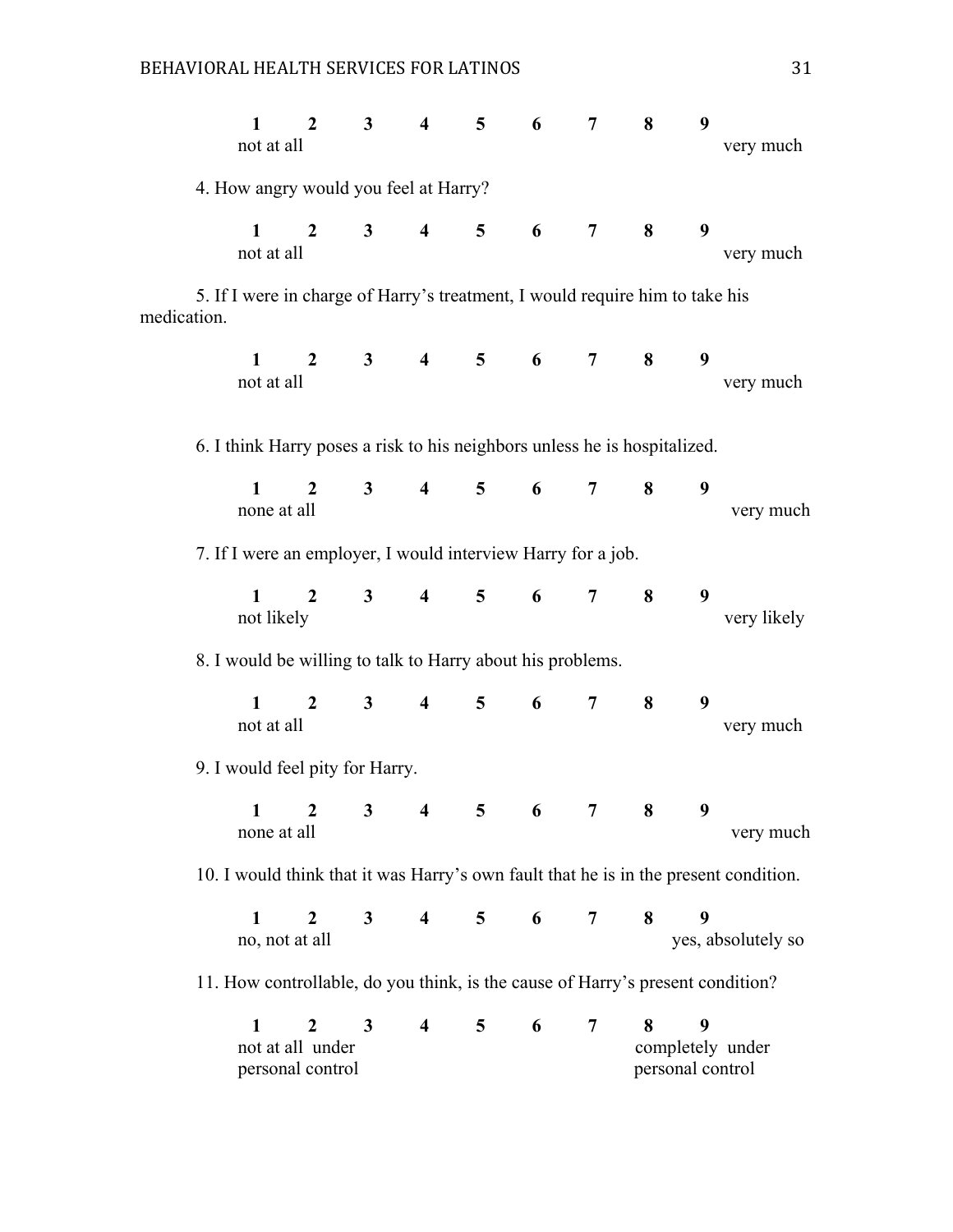|             | $\mathbf{1}$<br>not at all                                                           | $\overline{2}$                                           | 3 <sup>1</sup> | $\overline{\mathbf{4}}$ | $5\overline{)}$ | 6                  | 7              | 8                     | 9 | very much          |
|-------------|--------------------------------------------------------------------------------------|----------------------------------------------------------|----------------|-------------------------|-----------------|--------------------|----------------|-----------------------|---|--------------------|
|             | 4. How angry would you feel at Harry?                                                |                                                          |                |                         |                 |                    |                |                       |   |                    |
|             | $\mathbf{1}$<br>not at all                                                           | $\overline{2}$                                           | $3^{\circ}$    | $\overline{4}$          |                 | $5\qquad 6$        | 7              | 8                     | 9 | very much          |
| medication. | 5. If I were in charge of Harry's treatment, I would require him to take his         |                                                          |                |                         |                 |                    |                |                       |   |                    |
|             | $\mathbf{1}$<br>not at all                                                           | $\mathbf{2}$                                             |                |                         |                 | $3 \t 4 \t 5 \t 6$ | 7              | 8                     | 9 | very much          |
|             | 6. I think Harry poses a risk to his neighbors unless he is hospitalized.            |                                                          |                |                         |                 |                    |                |                       |   |                    |
|             | $\mathbf{1}$<br>none at all                                                          | $\overline{2}$                                           | $3^{\circ}$    | $\overline{4}$          |                 | $5\qquad 6$        | $\overline{7}$ | 8                     | 9 | very much          |
|             | 7. If I were an employer, I would interview Harry for a job.                         |                                                          |                |                         |                 |                    |                |                       |   |                    |
|             | 1<br>not likely                                                                      | $2^{\circ}$                                              | $3^{\circ}$    | $\overline{4}$          | 5 <sup>5</sup>  | 6                  | 7 <sup>7</sup> | 8                     | 9 | very likely        |
|             | 8. I would be willing to talk to Harry about his problems.                           |                                                          |                |                         |                 |                    |                |                       |   |                    |
|             | $\mathbf{1}$<br>not at all                                                           | $\overline{2}$                                           | $3^{\circ}$    | $\overline{4}$          | 5 <sup>5</sup>  | 6                  | $\overline{7}$ | 8                     | 9 | very much          |
|             | 9. I would feel pity for Harry.                                                      |                                                          |                |                         |                 |                    |                |                       |   |                    |
|             | none at all                                                                          | $1$ 2 3 4 5 6                                            |                |                         |                 |                    | $\overline{7}$ | 8                     | 9 | very much          |
|             | 10. I would think that it was Harry's own fault that he is in the present condition. |                                                          |                |                         |                 |                    |                |                       |   |                    |
|             | $\mathbf{1}$<br>no, not at all                                                       | $\overline{2}$                                           | 3 <sup>1</sup> | $\overline{\mathbf{4}}$ | 5               | 6                  | 7              | 8                     | 9 | yes, absolutely so |
|             | 11. How controllable, do you think, is the cause of Harry's present condition?       |                                                          |                |                         |                 |                    |                |                       |   |                    |
|             | $\mathbf{1}$                                                                         | $\boldsymbol{2}$<br>not at all under<br>personal control | $\mathbf{3}$   | $\overline{\mathbf{4}}$ | 5               | 6                  | 7              | 8<br>personal control | 9 | completely under   |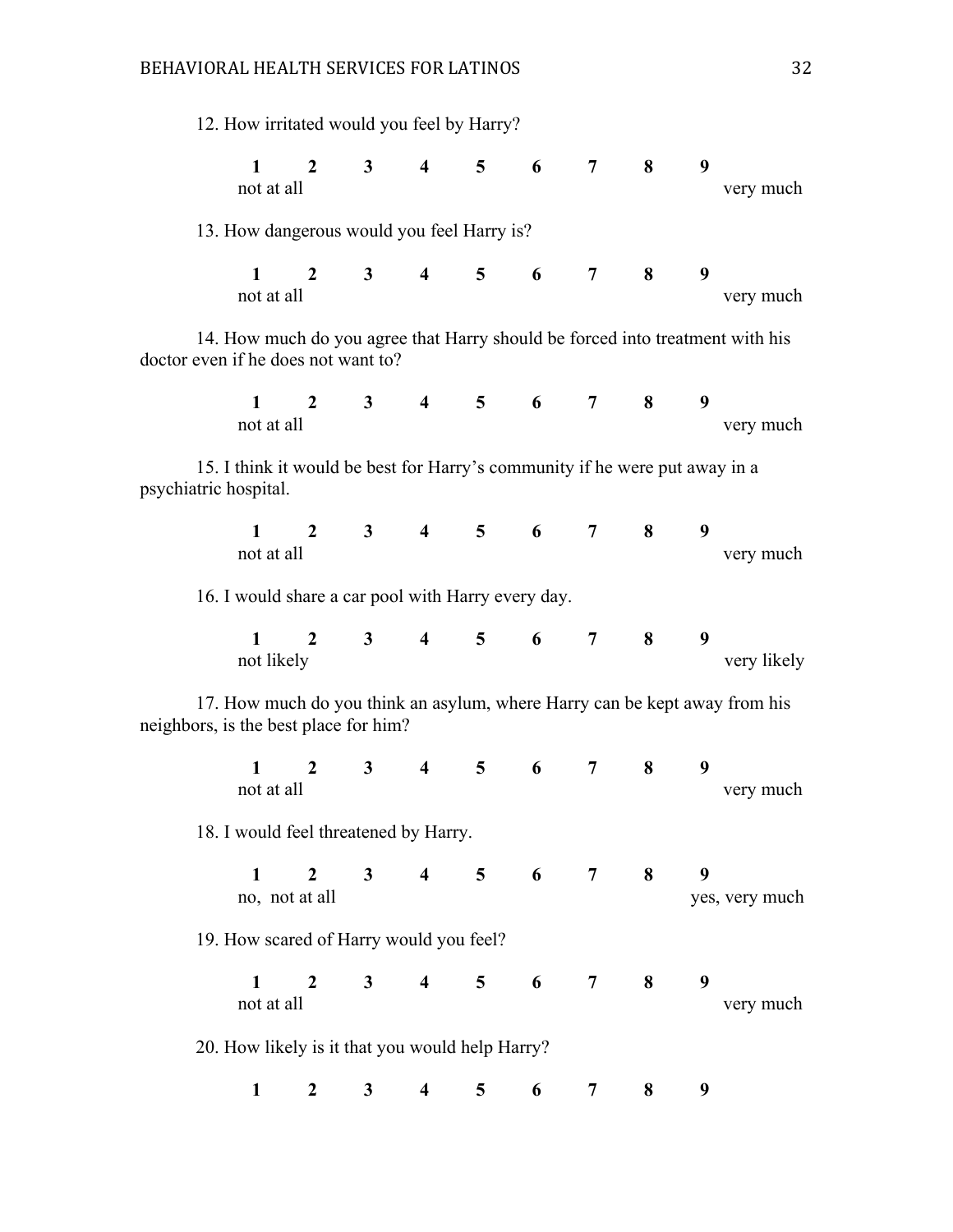| 12. How irritated would you feel by Harry?                                                                           |                                  |                |                         |                |                     |                |                         |   |                |
|----------------------------------------------------------------------------------------------------------------------|----------------------------------|----------------|-------------------------|----------------|---------------------|----------------|-------------------------|---|----------------|
| $\mathbf 1$<br>not at all                                                                                            | $\mathbf{2}$                     |                | $3 \t 4 \t 5 \t 6$      |                |                     | 7              | 8                       | 9 | very much      |
| 13. How dangerous would you feel Harry is?                                                                           |                                  |                |                         |                |                     |                |                         |   |                |
| $\mathbf{1}$<br>not at all                                                                                           | $\overline{2}$                   | $3^{\circ}$    | $\overline{4}$          |                | $5\qquad 6$         | 7 <sup>7</sup> | 8                       | 9 | very much      |
| 14. How much do you agree that Harry should be forced into treatment with his<br>doctor even if he does not want to? |                                  |                |                         |                |                     |                |                         |   |                |
| $\mathbf{1}$<br>not at all                                                                                           | $\overline{2}$                   |                | 3 4 5 6 7 8             |                |                     |                |                         | 9 | very much      |
| 15. I think it would be best for Harry's community if he were put away in a<br>psychiatric hospital.                 |                                  |                |                         |                |                     |                |                         |   |                |
| $\mathbf{1}$<br>not at all                                                                                           |                                  |                | 2 3 4 5 6 7             |                |                     |                | 8                       | 9 | very much      |
| 16. I would share a car pool with Harry every day.                                                                   |                                  |                |                         |                |                     |                |                         |   |                |
| $1 \quad \blacksquare$<br>not likely                                                                                 | $\mathbf{2}$                     |                | $3 \t 4 \t 5 \t 6$      |                |                     | 7              | $\overline{\mathbf{8}}$ | 9 | very likely    |
| 17. How much do you think an asylum, where Harry can be kept away from his<br>neighbors, is the best place for him?  |                                  |                |                         |                |                     |                |                         |   |                |
| $\mathbf{1}$<br>not at all                                                                                           | 2                                | $3^{\circ}$    | $\overline{4}$          | 5 <sup>5</sup> | $6\degree$          | $\mathbf 7$    | 8                       | 9 | very much      |
| 18. I would feel threatened by Harry.                                                                                |                                  |                |                         |                |                     |                |                         |   |                |
| $\mathbf{1}$                                                                                                         | $\overline{2}$<br>no, not at all | 3 <sup>7</sup> |                         |                | 4 5 6 7 8           |                |                         | 9 | yes, very much |
| 19. How scared of Harry would you feel?                                                                              |                                  |                |                         |                |                     |                |                         |   |                |
| $\mathbf{1}$<br>not at all                                                                                           | $\mathbf{2}$                     |                | $3 \t 4$                |                | $5\qquad 6\qquad 7$ |                | 8                       | 9 | very much      |
| 20. How likely is it that you would help Harry?                                                                      |                                  |                |                         |                |                     |                |                         |   |                |
| $\mathbf{1}$                                                                                                         | $\overline{2}$                   | 3 <sup>1</sup> | $\overline{\mathbf{4}}$ | 5              | 6                   | 7              | 8                       | 9 |                |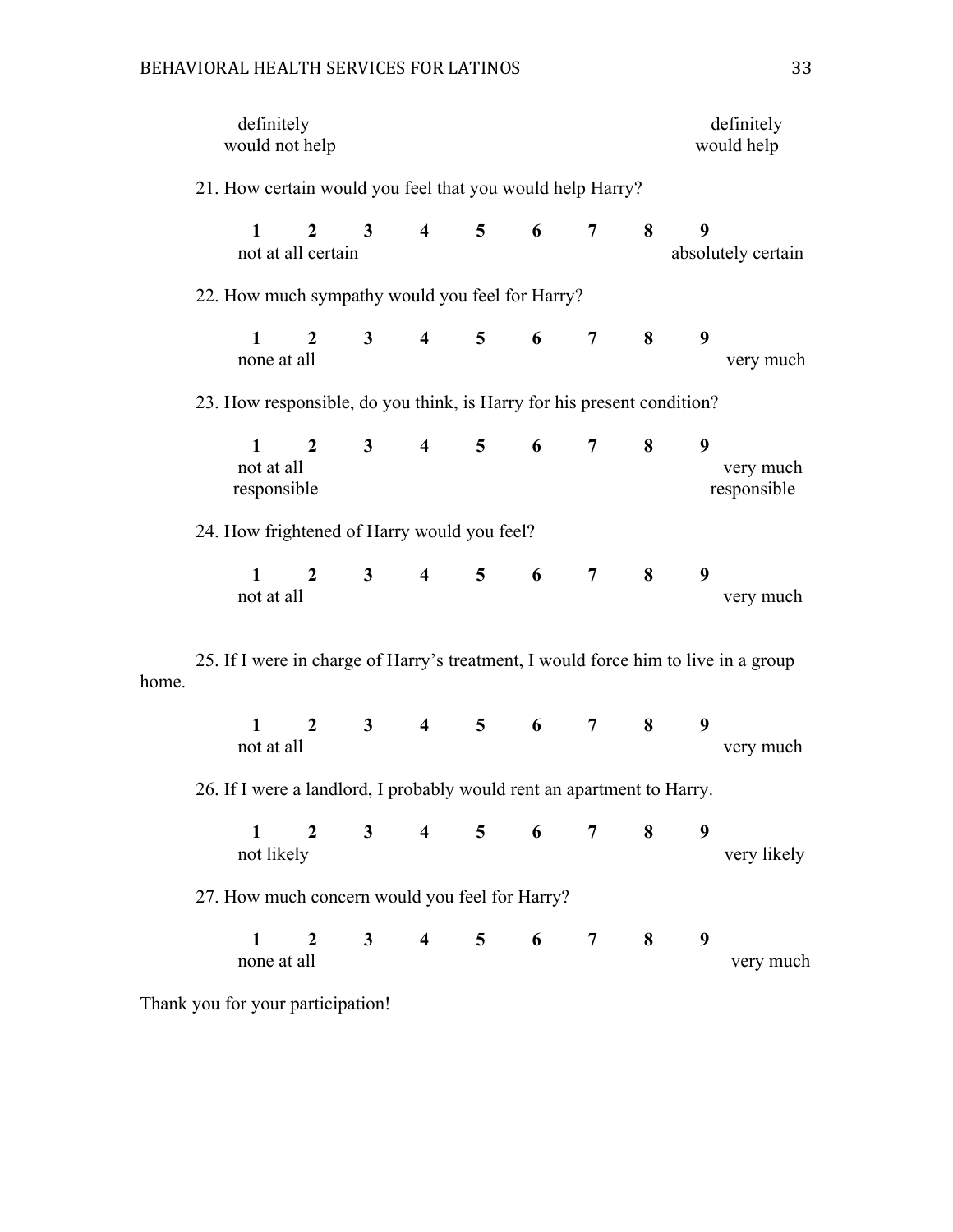## BEHAVIORAL HEALTH SERVICES FOR LATINOS 33

|                                             | definitely<br>would not help                                                       |                                   |                |                                             |                |                 |                |   |   | definitely<br>would help |
|---------------------------------------------|------------------------------------------------------------------------------------|-----------------------------------|----------------|---------------------------------------------|----------------|-----------------|----------------|---|---|--------------------------|
|                                             | 21. How certain would you feel that you would help Harry?                          |                                   |                |                                             |                |                 |                |   |   |                          |
|                                             | $\mathbf{1}$                                                                       | $2^{\circ}$<br>not at all certain | $\mathbf{3}$   | $\overline{\mathbf{4}}$                     | 5              | 6               | 7              | 8 | 9 | absolutely certain       |
|                                             | 22. How much sympathy would you feel for Harry?                                    |                                   |                |                                             |                |                 |                |   |   |                          |
|                                             | $\mathbf{1}$<br>none at all                                                        | $\overline{2}$                    | 3 <sup>7</sup> | $\overline{4}$                              | 5 <sup>5</sup> | 6               | $\overline{7}$ | 8 | 9 | very much                |
|                                             | 23. How responsible, do you think, is Harry for his present condition?             |                                   |                |                                             |                |                 |                |   |   |                          |
|                                             | $\mathbf{1}$<br>not at all<br>responsible                                          | $\overline{2}$                    | $3^{\circ}$    | $\overline{4}$                              | 5 <sup>5</sup> | $6\overline{6}$ | $\overline{7}$ | 8 | 9 | very much<br>responsible |
| 24. How frightened of Harry would you feel? |                                                                                    |                                   |                |                                             |                |                 |                |   |   |                          |
|                                             | $\mathbf{1}$<br>not at all                                                         | $\overline{2}$                    | 3 <sup>1</sup> | $\overline{4}$                              | 5 <sup>5</sup> | $6\degree$      | 7              | 8 | 9 | very much                |
| home.                                       | 25. If I were in charge of Harry's treatment, I would force him to live in a group |                                   |                |                                             |                |                 |                |   |   |                          |
|                                             | $\mathbf{1}$<br>not at all                                                         | $\overline{2}$                    | $3^{\circ}$    |                                             | $4 \quad 5$    | $6\degree$      | 7              | 8 | 9 | very much                |
|                                             | 26. If I were a landlord, I probably would rent an apartment to Harry.             |                                   |                |                                             |                |                 |                |   |   |                          |
|                                             | $\mathbf{1}$<br>not likely                                                         | 2 3 4 5 6 7 8                     |                |                                             |                |                 |                |   | 9 | very likely              |
|                                             | 27. How much concern would you feel for Harry?                                     |                                   |                |                                             |                |                 |                |   |   |                          |
|                                             | $\mathbf{1}$<br>none at all                                                        |                                   |                | $2 \quad 3 \quad 4 \quad 5 \quad 6 \quad 7$ |                |                 |                | 8 | 9 | very much                |
|                                             | Thank you for your participation!                                                  |                                   |                |                                             |                |                 |                |   |   |                          |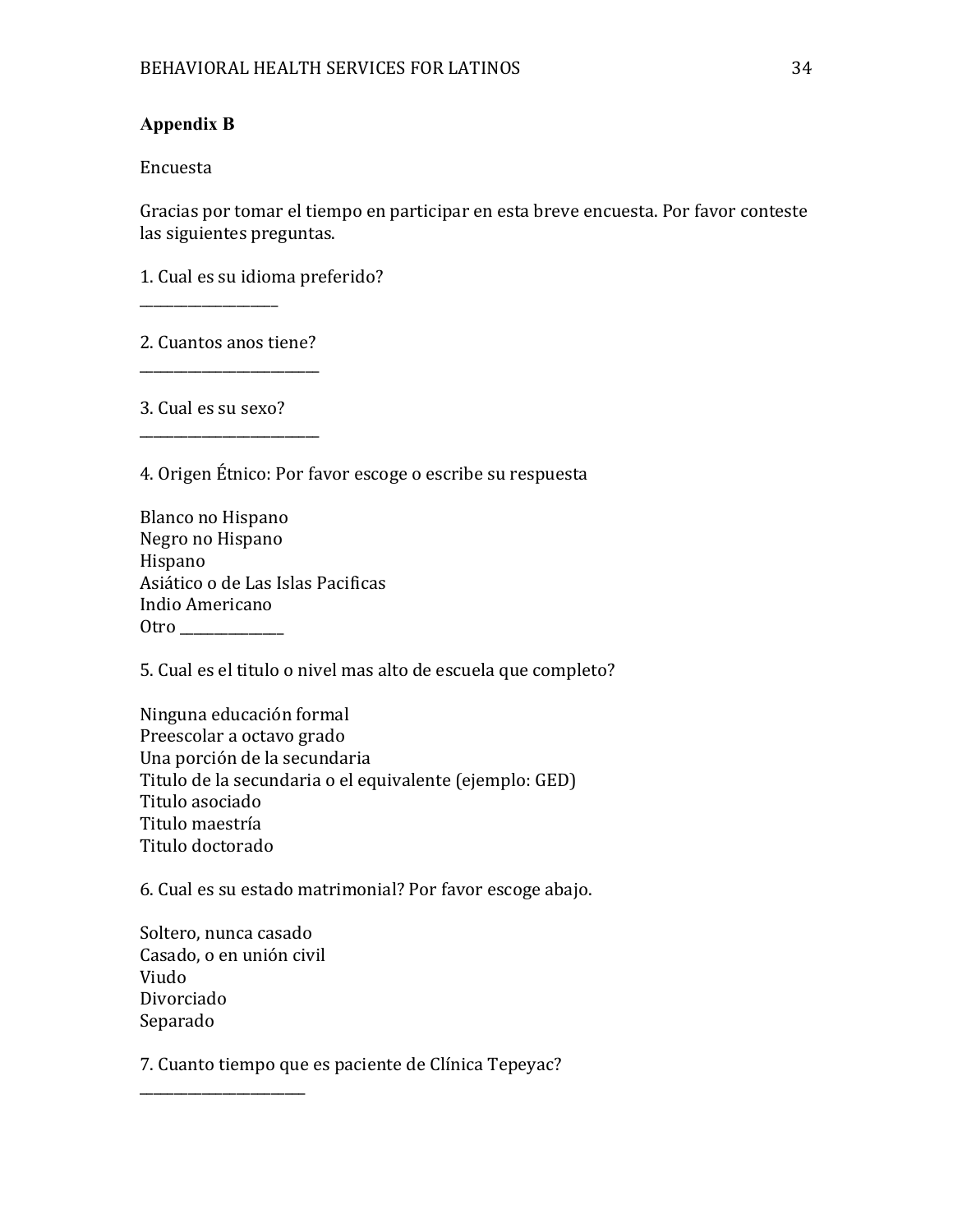## **Appendix B**

Encuesta 

Gracias por tomar el tiempo en participar en esta breve encuesta. Por favor conteste las siguientes preguntas.

1. Cual es su idioma preferido?

2. Cuantos anos tiene? \_\_\_\_\_\_\_\_\_\_\_\_\_\_\_\_\_\_\_\_\_\_\_\_\_\_

\_\_\_\_\_\_\_\_\_\_\_\_\_\_\_\_\_\_\_\_\_\_\_\_\_\_

3. Cual es su sexo?

\_\_\_\_\_\_\_\_\_\_\_\_\_\_\_\_\_\_\_\_

4. Origen Étnico: Por favor escoge o escribe su respuesta

5. Cual es el titulo o nivel mas alto de escuela que completo?

Ninguna educación formal Preescolar a octavo grado Una porción de la secundaria Titulo de la secundaria o el equivalente (ejemplo: GED) Titulo asociado Titulo maestría Titulo doctorado

6. Cual es su estado matrimonial? Por favor escoge abajo.

Soltero, nunca casado Casado, o en unión civil Viudo Divorciado Separado 

\_\_\_\_\_\_\_\_\_\_\_\_\_\_\_\_\_\_\_\_\_\_\_\_

7. Cuanto tiempo que es paciente de Clínica Tepeyac?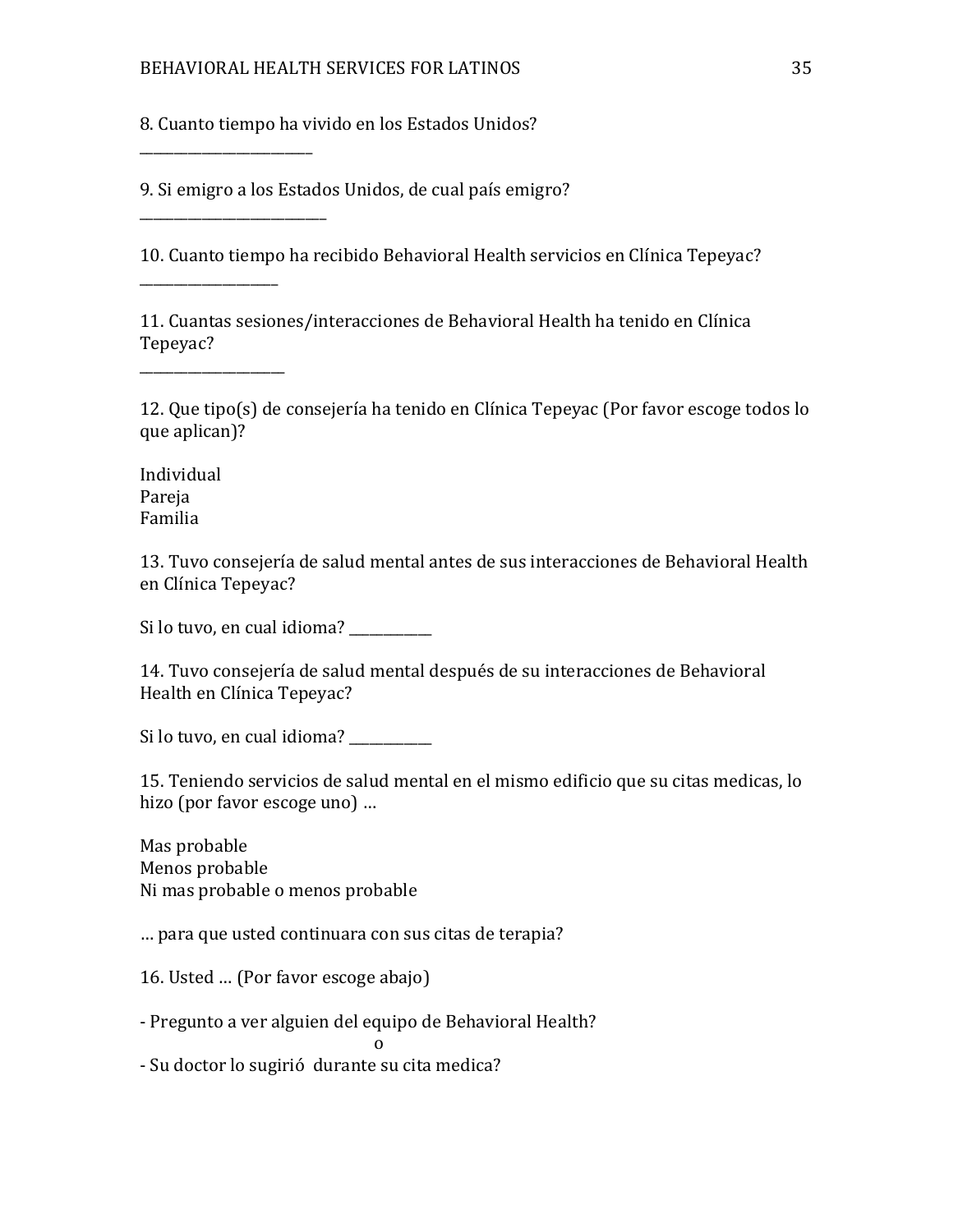8. Cuanto tiempo ha vivido en los Estados Unidos?

9. Si emigro a los Estados Unidos, de cual país emigro?

10. Cuanto tiempo ha recibido Behavioral Health servicios en Clínica Tepeyac?

11. Cuantas sesiones/interacciones de Behavioral Health ha tenido en Clínica Tepeyac? 

12. Que tipo(s) de consejería ha tenido en Clínica Tepeyac (Por favor escoge todos lo que aplican)?

Individual Pareja Familia

\_\_\_\_\_\_\_\_\_\_\_\_\_\_\_\_\_\_\_\_\_\_\_\_\_

\_\_\_\_\_\_\_\_\_\_\_\_\_\_\_\_\_\_\_\_\_\_\_\_\_\_\_

\_\_\_\_\_\_\_\_\_\_\_\_\_\_\_\_\_\_\_\_

\_\_\_\_\_\_\_\_\_\_\_\_\_\_\_\_\_\_\_\_\_

13. Tuvo consejería de salud mental antes de sus interacciones de Behavioral Health en Clínica Tepeyac?

Si lo tuvo, en cual idioma?

14. Tuvo consejería de salud mental después de su interacciones de Behavioral Health en Clínica Tepeyac?

Si lo tuvo, en cual idioma?

15. Teniendo servicios de salud mental en el mismo edificio que su citas medicas, lo hizo (por favor escoge uno) ...

Mas probable Menos probable Ni mas probable o menos probable

... para que usted continuara con sus citas de terapia?

16. Usted ... (Por favor escoge abajo)

o and the contract of the contract of the contract of the contract of the contract of the contract of the contract of the contract of the contract of the contract of the contract of the contract of the contract of the cont

- Pregunto a ver alguien del equipo de Behavioral Health?

- Su doctor lo sugirió durante su cita medica?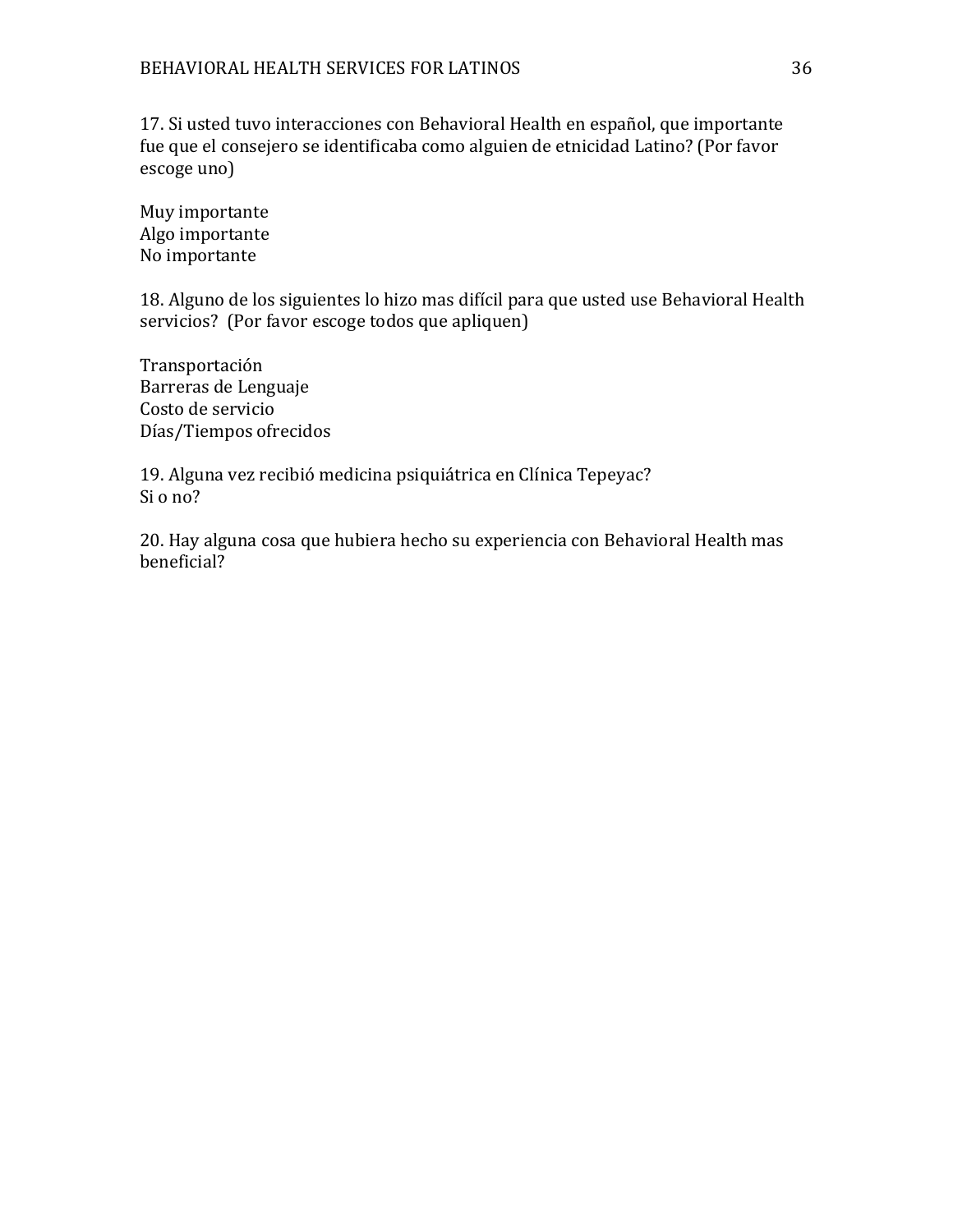17. Si usted tuvo interacciones con Behavioral Health en español, que importante fue que el consejero se identificaba como alguien de etnicidad Latino? (Por favor escoge uno)

Muy importante Algo importante No importante

18. Alguno de los siguientes lo hizo mas difícil para que usted use Behavioral Health servicios? (Por favor escoge todos que apliquen)

Transportación Barreras de Lenguaje Costo de servicio Días/Tiempos ofrecidos

19. Alguna vez recibió medicina psiquiátrica en Clínica Tepeyac? Si o no?

20. Hay alguna cosa que hubiera hecho su experiencia con Behavioral Health mas beneficial?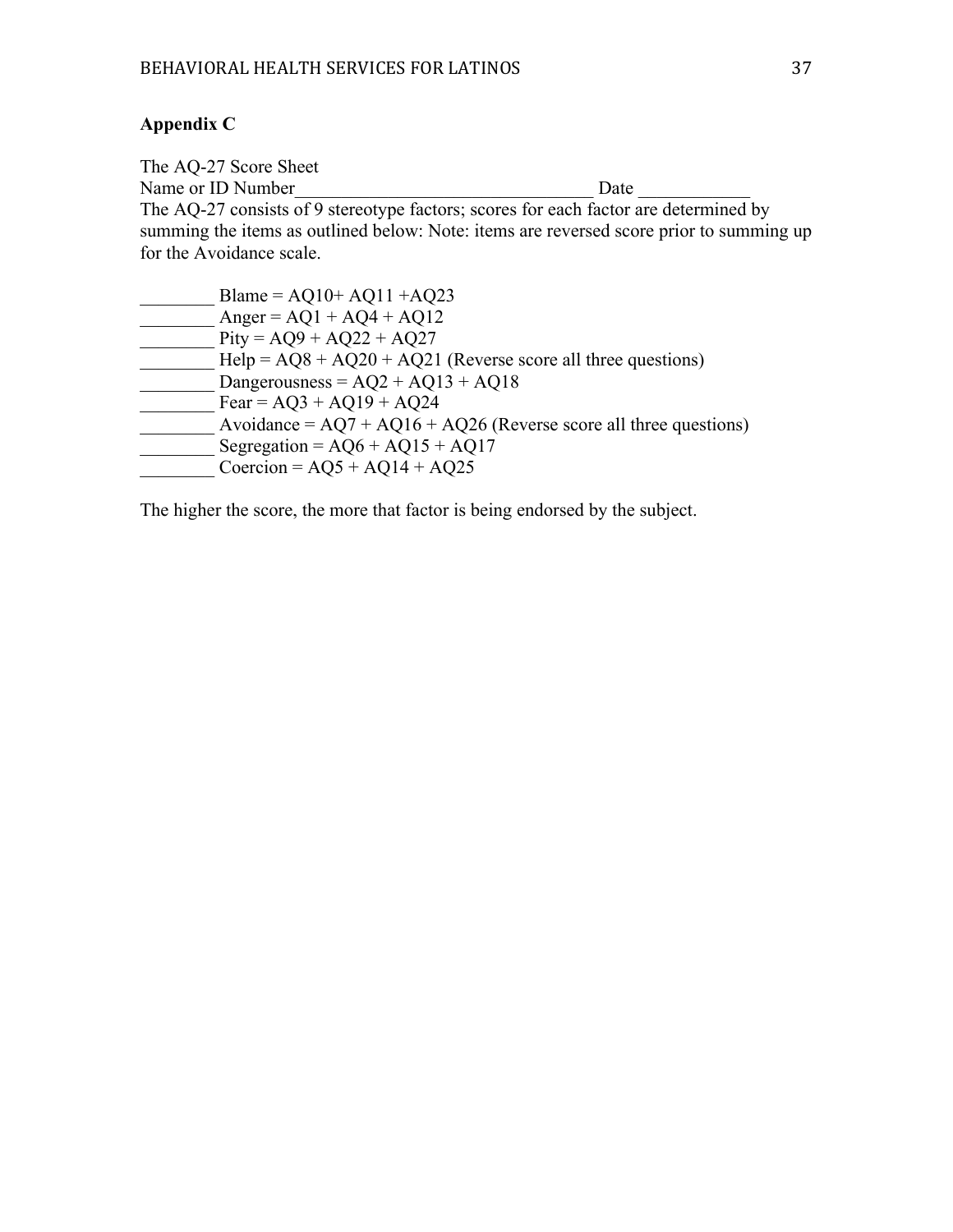# **Appendix C**

The AQ-27 Score Sheet<br>Name or ID Number Name or ID Number Definition of  $\Box$ The AQ-27 consists of 9 stereotype factors; scores for each factor are determined by summing the items as outlined below: Note: items are reversed score prior to summing up for the Avoidance scale.  $_{\rm{Blama}} = \Lambda 010+ \Lambda 011 + \Lambda 023$ 

| Blame = $AQ10+ AQ11+ AQ23$                                          |
|---------------------------------------------------------------------|
| Anger = $AQ1 + AQ4 + AQ12$                                          |
| $Pity = AQ9 + AQ22 + AQ27$                                          |
| $Help = AQ8 + AQ20 + AQ21$ (Reverse score all three questions)      |
| Dangerousness = $AQ2 + AQ13 + AQ18$                                 |
| $\text{Fear} = \text{AQ}3 + \text{AQ}19 + \text{AQ}24$              |
| Avoidance = $AQ7 + AQ16 + AQ26$ (Reverse score all three questions) |
| Segregation = $AQ6 + AQ15 + AQ17$                                   |
| Coercion = $AQ5 + AQ14 + AQ25$                                      |
|                                                                     |

The higher the score, the more that factor is being endorsed by the subject.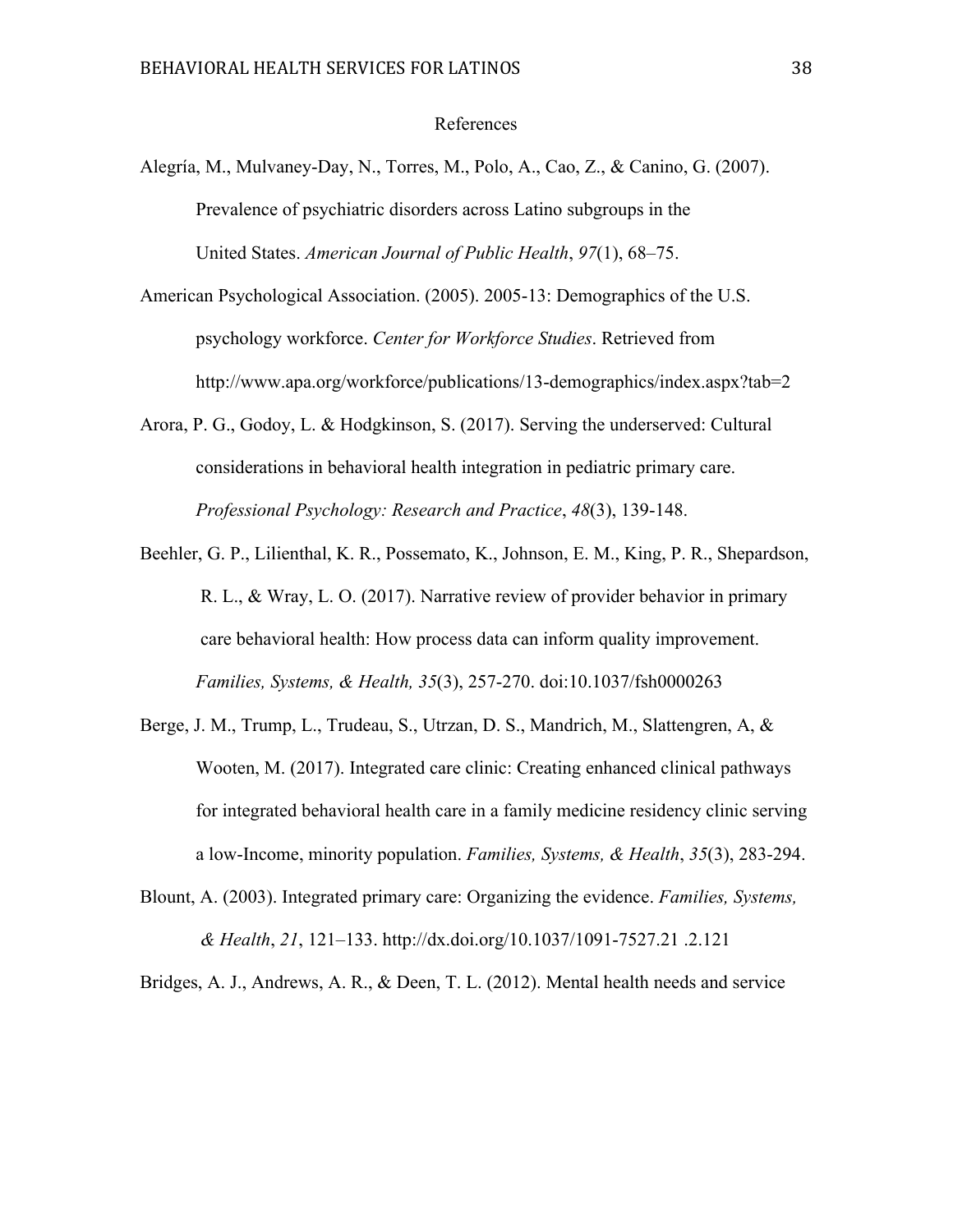#### References

- Alegría, M., Mulvaney-Day, N., Torres, M., Polo, A., Cao, Z., & Canino, G. (2007). Prevalence of psychiatric disorders across Latino subgroups in the United States. *American Journal of Public Health*, *97*(1), 68–75.
- American Psychological Association. (2005). 2005-13: Demographics of the U.S. psychology workforce. *Center for Workforce Studies*. Retrieved from http://www.apa.org/workforce/publications/13-demographics/index.aspx?tab=2
- Arora, P. G., Godoy, L. & Hodgkinson, S. (2017). Serving the underserved: Cultural considerations in behavioral health integration in pediatric primary care. *Professional Psychology: Research and Practice*, *48*(3), 139-148.
- Beehler, G. P., Lilienthal, K. R., Possemato, K., Johnson, E. M., King, P. R., Shepardson, R. L., & Wray, L. O. (2017). Narrative review of provider behavior in primary care behavioral health: How process data can inform quality improvement. *Families, Systems, & Health, 35*(3), 257-270. doi:10.1037/fsh0000263
- Berge, J. M., Trump, L., Trudeau, S., Utrzan, D. S., Mandrich, M., Slattengren, A, & Wooten, M. (2017). Integrated care clinic: Creating enhanced clinical pathways for integrated behavioral health care in a family medicine residency clinic serving a low-Income, minority population. *Families, Systems, & Health*, *35*(3), 283-294.
- Blount, A. (2003). Integrated primary care: Organizing the evidence. *Families, Systems, & Health*, *21*, 121–133. http://dx.doi.org/10.1037/1091-7527.21 .2.121

Bridges, A. J., Andrews, A. R., & Deen, T. L. (2012). Mental health needs and service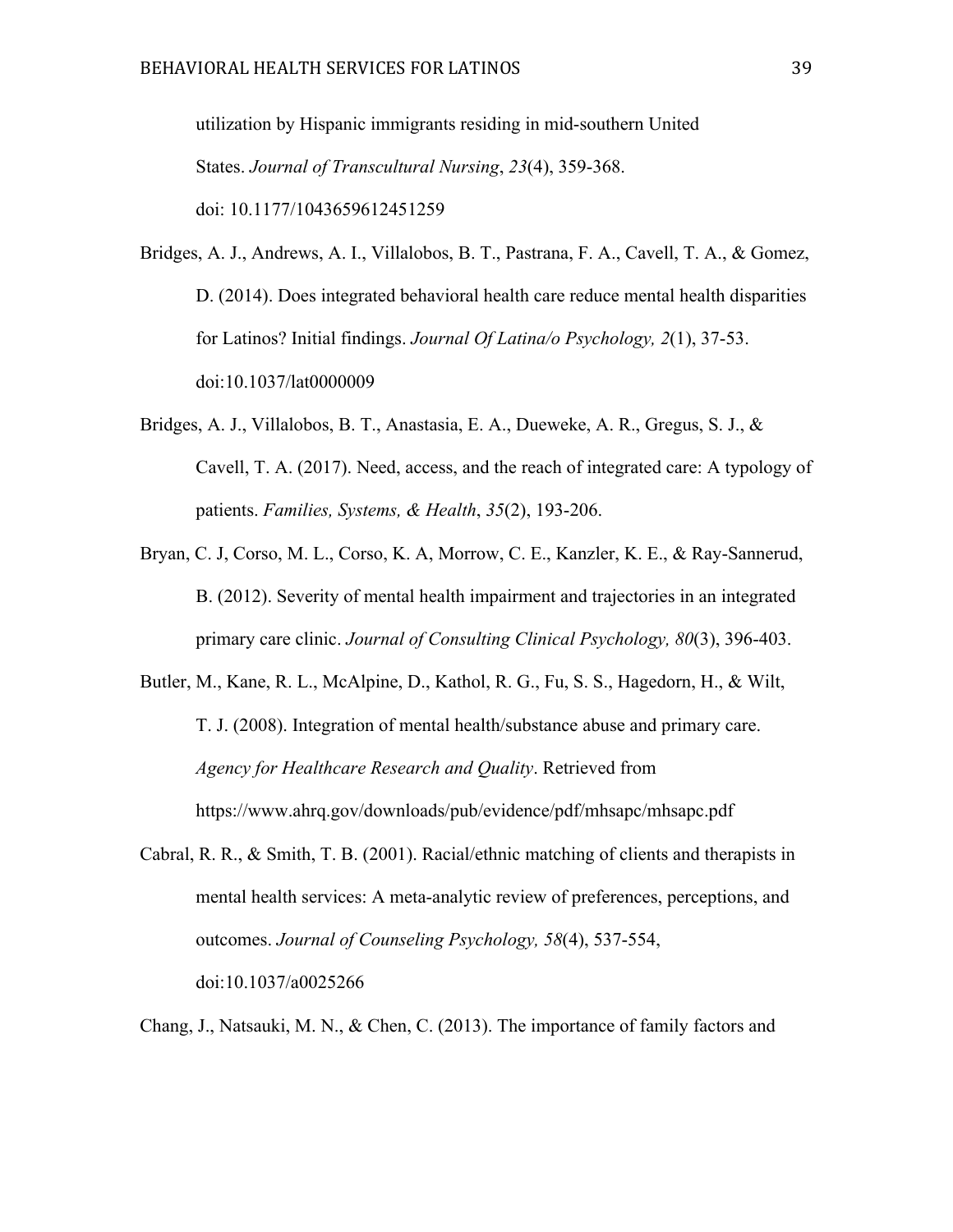utilization by Hispanic immigrants residing in mid-southern United States. *Journal of Transcultural Nursing*, *23*(4), 359-368. doi: 10.1177/1043659612451259

Bridges, A. J., Andrews, A. I., Villalobos, B. T., Pastrana, F. A., Cavell, T. A., & Gomez, D. (2014). Does integrated behavioral health care reduce mental health disparities for Latinos? Initial findings. *Journal Of Latina/o Psychology, 2*(1), 37-53. doi:10.1037/lat0000009

- Bridges, A. J., Villalobos, B. T., Anastasia, E. A., Dueweke, A. R., Gregus, S. J., & Cavell, T. A. (2017). Need, access, and the reach of integrated care: A typology of patients. *Families, Systems, & Health*, *35*(2), 193-206.
- Bryan, C. J, Corso, M. L., Corso, K. A, Morrow, C. E., Kanzler, K. E., & Ray-Sannerud, B. (2012). Severity of mental health impairment and trajectories in an integrated primary care clinic. *Journal of Consulting Clinical Psychology, 80*(3), 396-403.
- Butler, M., Kane, R. L., McAlpine, D., Kathol, R. G., Fu, S. S., Hagedorn, H., & Wilt, T. J. (2008). Integration of mental health/substance abuse and primary care. *Agency for Healthcare Research and Quality*. Retrieved from https://www.ahrq.gov/downloads/pub/evidence/pdf/mhsapc/mhsapc.pdf
- Cabral, R. R., & Smith, T. B. (2001). Racial/ethnic matching of clients and therapists in mental health services: A meta-analytic review of preferences, perceptions, and outcomes. *Journal of Counseling Psychology, 58*(4), 537-554, doi:10.1037/a0025266

Chang, J., Natsauki, M. N., & Chen, C. (2013). The importance of family factors and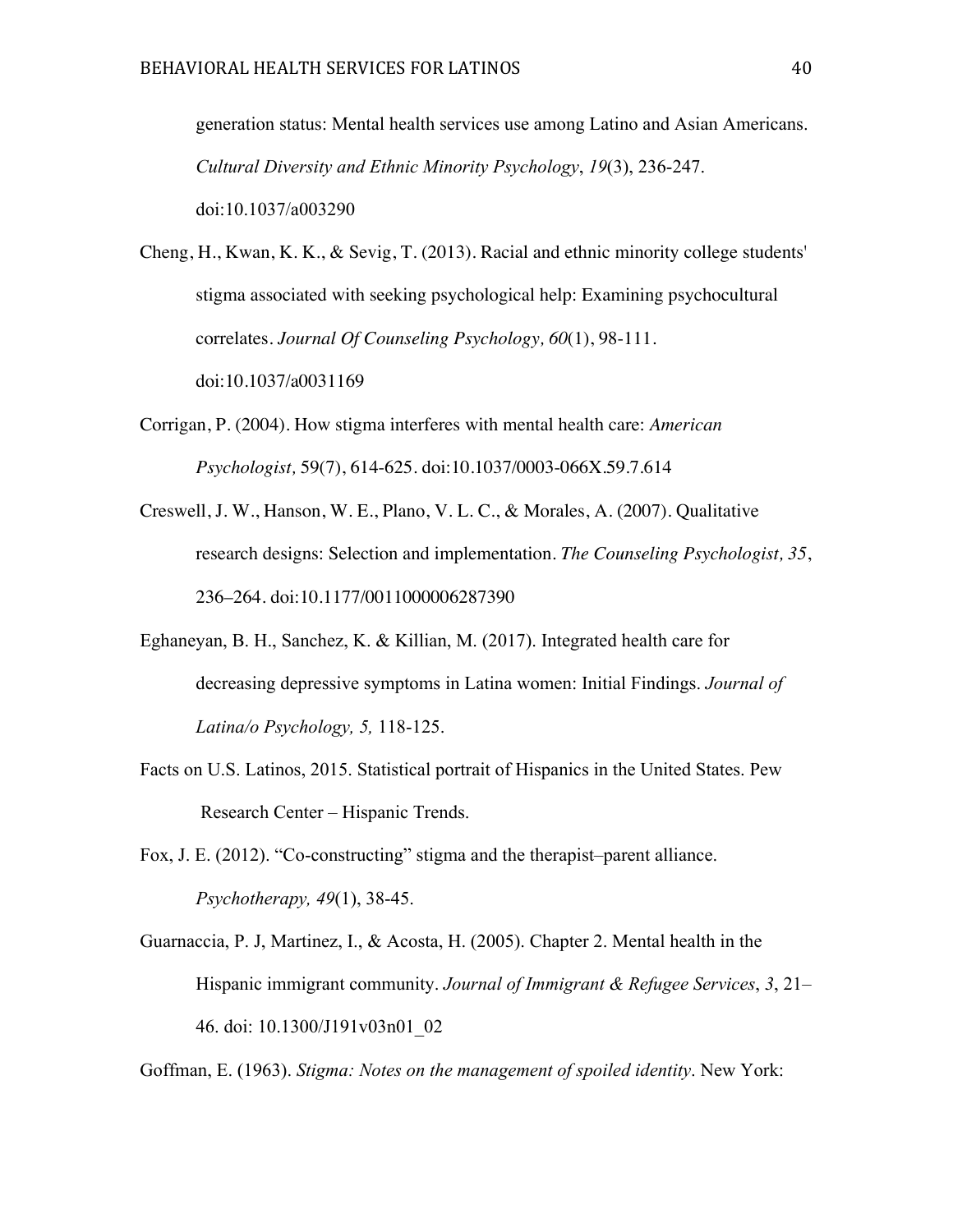generation status: Mental health services use among Latino and Asian Americans. *Cultural Diversity and Ethnic Minority Psychology*, *19*(3), 236-247. doi:10.1037/a003290

Cheng, H., Kwan, K. K., & Sevig, T. (2013). Racial and ethnic minority college students' stigma associated with seeking psychological help: Examining psychocultural correlates. *Journal Of Counseling Psychology, 60*(1), 98-111. doi:10.1037/a0031169

- Corrigan, P. (2004). How stigma interferes with mental health care: *American Psychologist,* 59(7), 614-625. doi:10.1037/0003-066X.59.7.614
- Creswell, J. W., Hanson, W. E., Plano, V. L. C., & Morales, A. (2007). Qualitative research designs: Selection and implementation. *The Counseling Psychologist, 35*, 236–264. doi:10.1177/0011000006287390
- Eghaneyan, B. H., Sanchez, K. & Killian, M. (2017). Integrated health care for decreasing depressive symptoms in Latina women: Initial Findings. *Journal of Latina/o Psychology, 5,* 118-125.
- Facts on U.S. Latinos, 2015. Statistical portrait of Hispanics in the United States. Pew Research Center – Hispanic Trends.
- Fox, J. E. (2012). "Co-constructing" stigma and the therapist–parent alliance. *Psychotherapy, 49*(1), 38-45.
- Guarnaccia, P. J, Martinez, I., & Acosta, H. (2005). Chapter 2. Mental health in the Hispanic immigrant community. *Journal of Immigrant & Refugee Services*, *3*, 21– 46. doi: 10.1300/J191v03n01\_02

Goffman, E. (1963). *Stigma: Notes on the management of spoiled identity*. New York: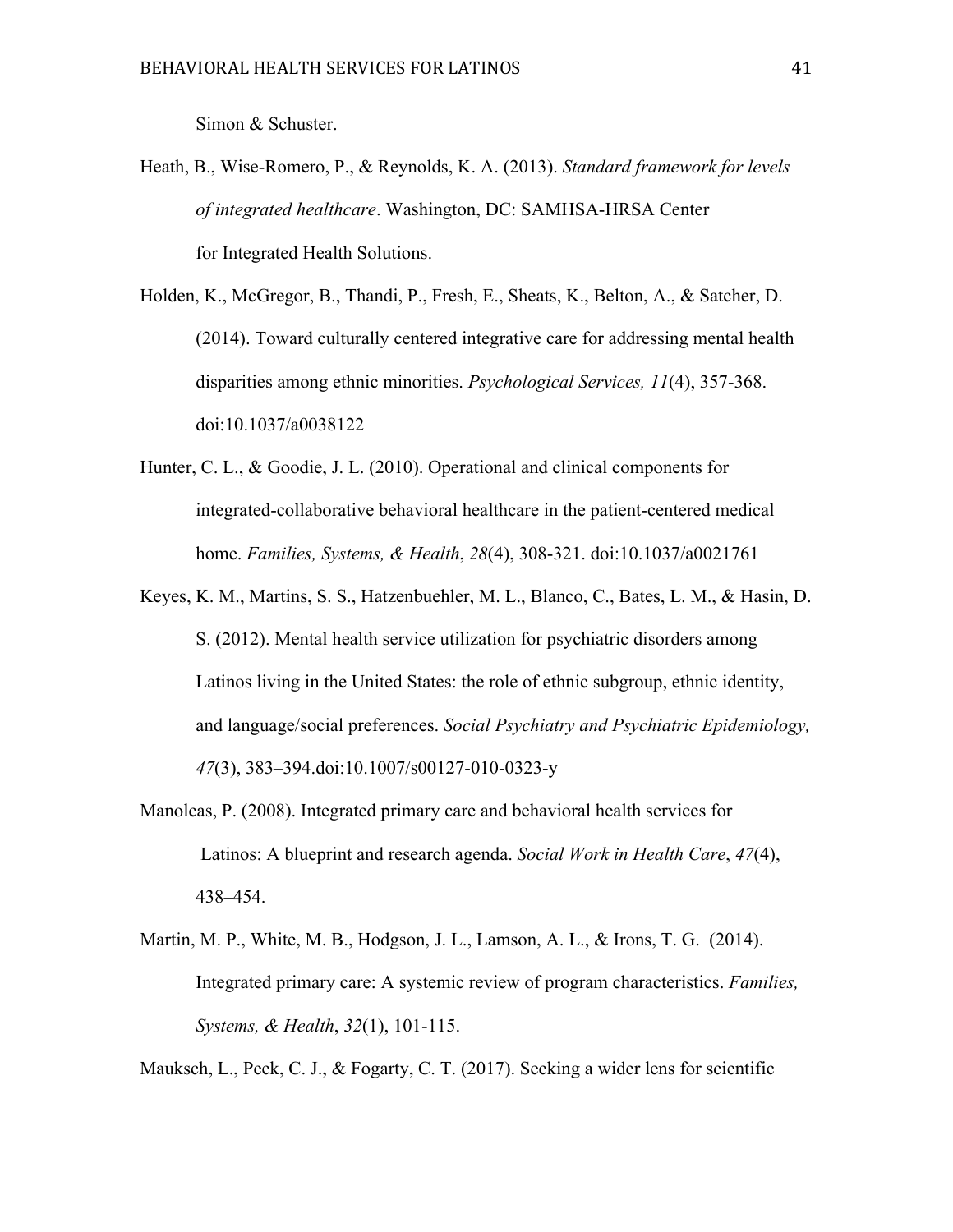Simon & Schuster.

- Heath, B., Wise-Romero, P., & Reynolds, K. A. (2013). *Standard framework for levels of integrated healthcare*. Washington, DC: SAMHSA-HRSA Center for Integrated Health Solutions.
- Holden, K., McGregor, B., Thandi, P., Fresh, E., Sheats, K., Belton, A., & Satcher, D. (2014). Toward culturally centered integrative care for addressing mental health disparities among ethnic minorities. *Psychological Services, 11*(4), 357-368. doi:10.1037/a0038122
- Hunter, C. L., & Goodie, J. L. (2010). Operational and clinical components for integrated-collaborative behavioral healthcare in the patient-centered medical home. *Families, Systems, & Health*, *28*(4), 308-321. doi:10.1037/a0021761
- Keyes, K. M., Martins, S. S., Hatzenbuehler, M. L., Blanco, C., Bates, L. M., & Hasin, D. S. (2012). Mental health service utilization for psychiatric disorders among Latinos living in the United States: the role of ethnic subgroup, ethnic identity, and language/social preferences. *Social Psychiatry and Psychiatric Epidemiology, 47*(3), 383–394.doi:10.1007/s00127-010-0323-y
- Manoleas, P. (2008). Integrated primary care and behavioral health services for Latinos: A blueprint and research agenda. *Social Work in Health Care*, *47*(4), 438–454.
- Martin, M. P., White, M. B., Hodgson, J. L., Lamson, A. L., & Irons, T. G. (2014). Integrated primary care: A systemic review of program characteristics. *Families, Systems, & Health*, *32*(1), 101-115.

Mauksch, L., Peek, C. J., & Fogarty, C. T. (2017). Seeking a wider lens for scientific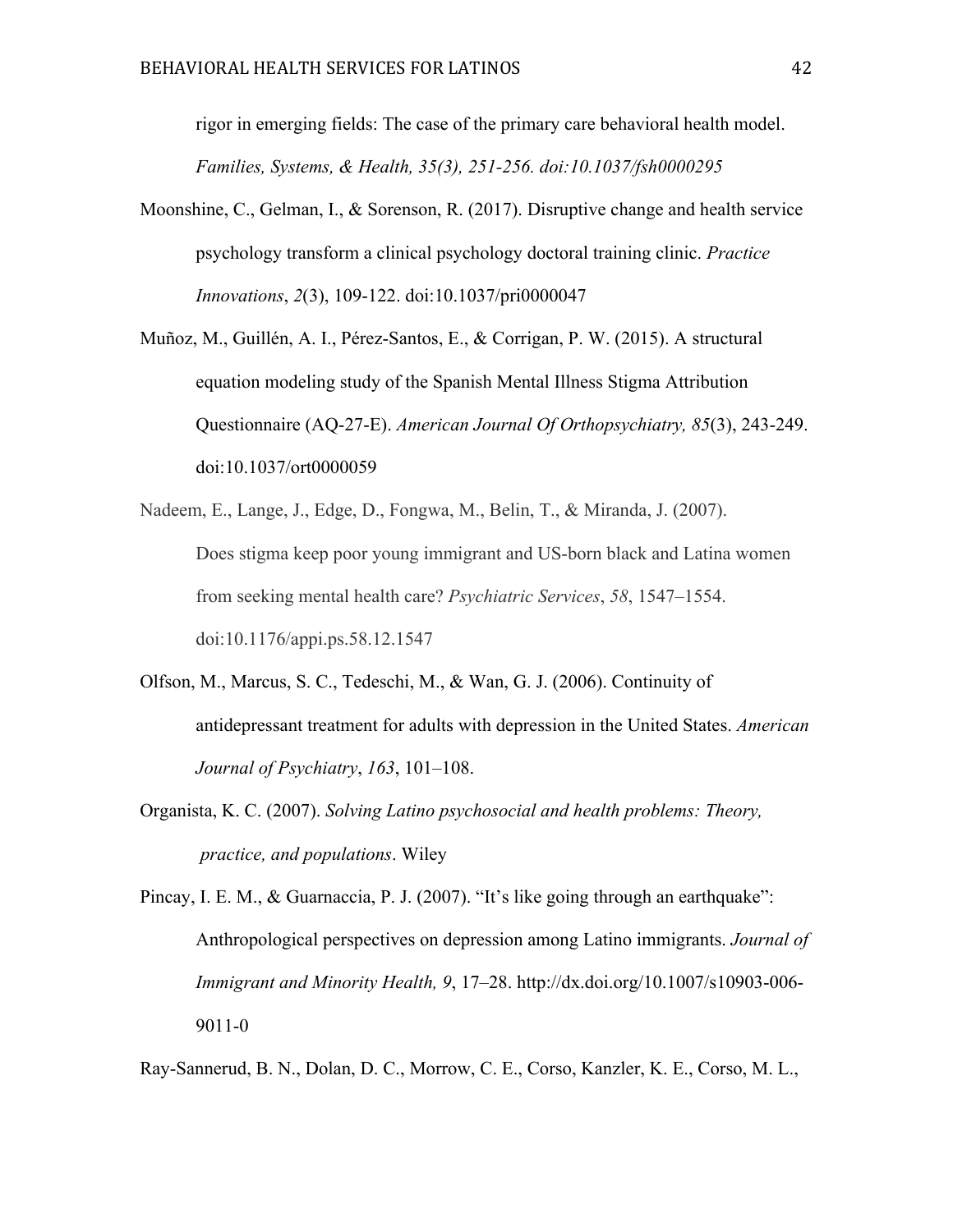rigor in emerging fields: The case of the primary care behavioral health model. *Families, Systems, & Health, 35(3), 251-256. doi:10.1037/fsh0000295*

- Moonshine, C., Gelman, I., & Sorenson, R. (2017). Disruptive change and health service psychology transform a clinical psychology doctoral training clinic. *Practice Innovations*, *2*(3), 109-122. doi:10.1037/pri0000047
- Muñoz, M., Guillén, A. I., Pérez-Santos, E., & Corrigan, P. W. (2015). A structural equation modeling study of the Spanish Mental Illness Stigma Attribution Questionnaire (AQ-27-E). *American Journal Of Orthopsychiatry, 85*(3), 243-249. doi:10.1037/ort0000059
- Nadeem, E., Lange, J., Edge, D., Fongwa, M., Belin, T., & Miranda, J. (2007). Does stigma keep poor young immigrant and US-born black and Latina women from seeking mental health care? *Psychiatric Services*, *58*, 1547–1554. doi:10.1176/appi.ps.58.12.1547
- Olfson, M., Marcus, S. C., Tedeschi, M., & Wan, G. J. (2006). Continuity of antidepressant treatment for adults with depression in the United States. *American Journal of Psychiatry*, *163*, 101–108.
- Organista, K. C. (2007). *Solving Latino psychosocial and health problems: Theory, practice, and populations*. Wiley

Pincay, I. E. M., & Guarnaccia, P. J. (2007). "It's like going through an earthquake": Anthropological perspectives on depression among Latino immigrants. *Journal of Immigrant and Minority Health, 9*, 17–28. http://dx.doi.org/10.1007/s10903-006- 9011-0

Ray-Sannerud, B. N., Dolan, D. C., Morrow, C. E., Corso, Kanzler, K. E., Corso, M. L.,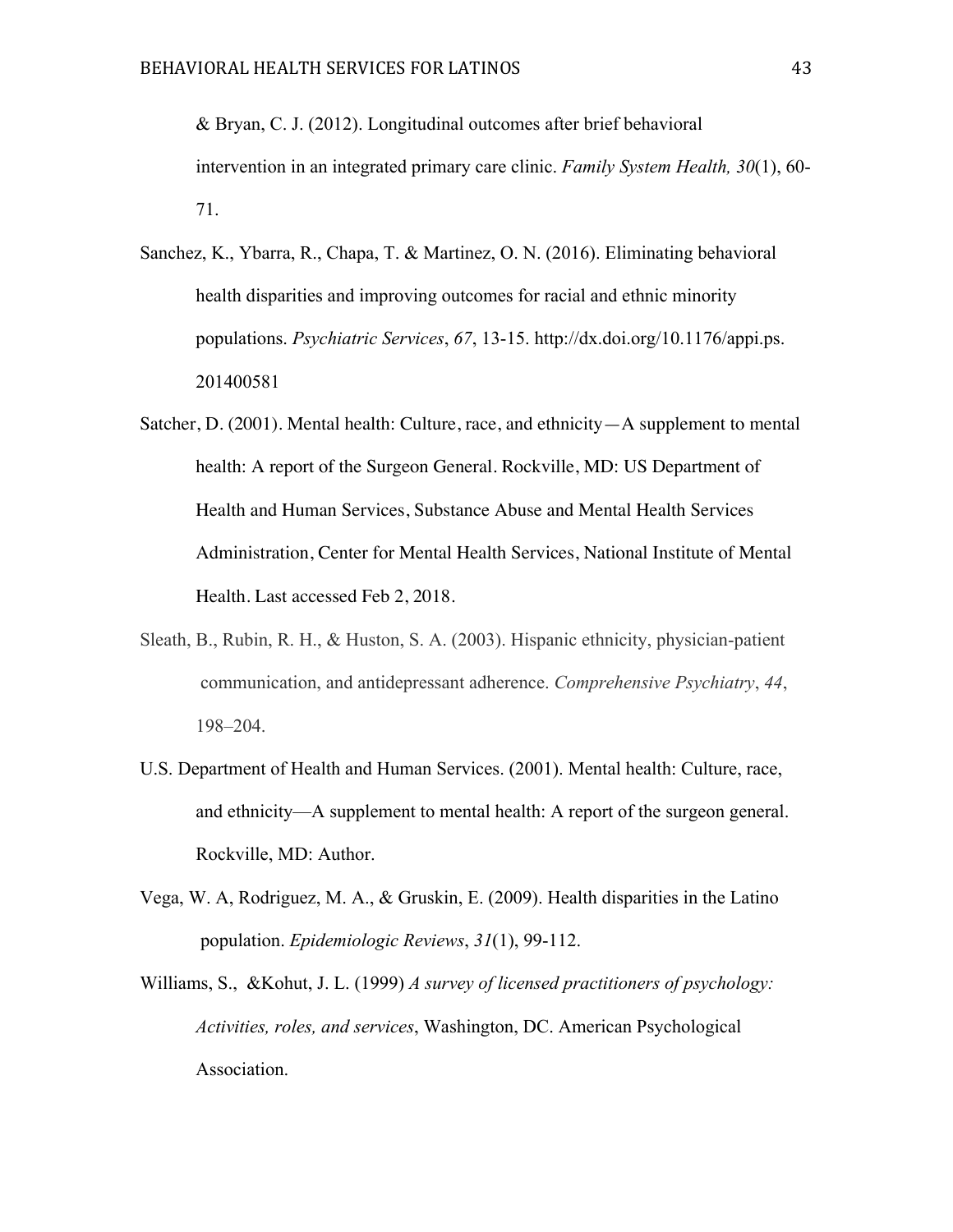& Bryan, C. J. (2012). Longitudinal outcomes after brief behavioral intervention in an integrated primary care clinic. *Family System Health, 30*(1), 60- 71.

- Sanchez, K., Ybarra, R., Chapa, T. & Martinez, O. N. (2016). Eliminating behavioral health disparities and improving outcomes for racial and ethnic minority populations. *Psychiatric Services*, *67*, 13-15. http://dx.doi.org/10.1176/appi.ps. 201400581
- Satcher, D. (2001). Mental health: Culture, race, and ethnicity—A supplement to mental health: A report of the Surgeon General. Rockville, MD: US Department of Health and Human Services, Substance Abuse and Mental Health Services Administration, Center for Mental Health Services, National Institute of Mental Health. Last accessed Feb 2, 2018.
- Sleath, B., Rubin, R. H., & Huston, S. A. (2003). Hispanic ethnicity, physician-patient communication, and antidepressant adherence. *Comprehensive Psychiatry*, *44*, 198–204.
- U.S. Department of Health and Human Services. (2001). Mental health: Culture, race, and ethnicity—A supplement to mental health: A report of the surgeon general. Rockville, MD: Author.
- Vega, W. A, Rodriguez, M. A., & Gruskin, E. (2009). Health disparities in the Latino population. *Epidemiologic Reviews*, *31*(1), 99-112.
- Williams, S., &Kohut, J. L. (1999) *A survey of licensed practitioners of psychology: Activities, roles, and services*, Washington, DC. American Psychological Association.